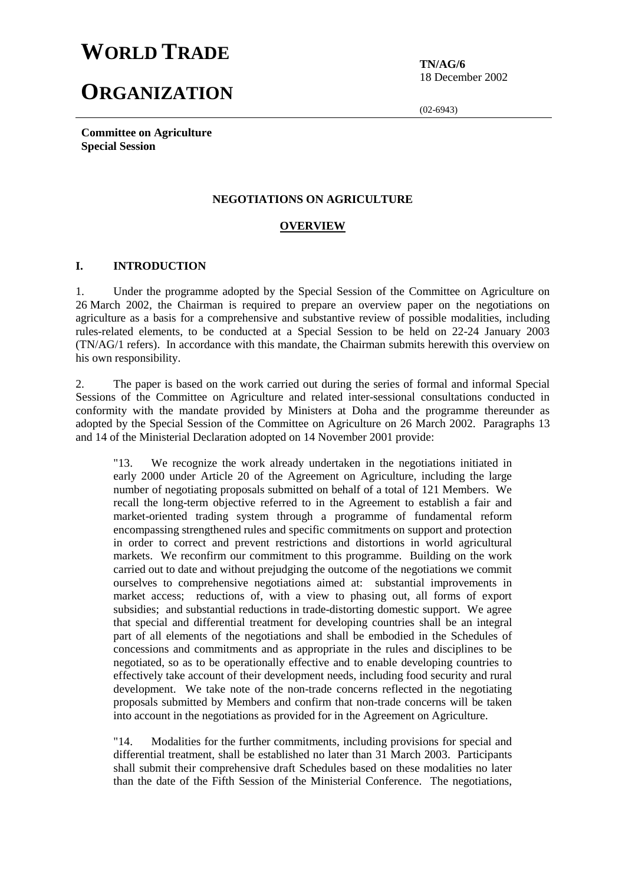# **WORLD TRADE**

# **ORGANIZATION**

**TN/AG/6** 18 December 2002

(02-6943)

**Committee on Agriculture Special Session**

#### **NEGOTIATIONS ON AGRICULTURE**

#### **OVERVIEW**

#### **I. INTRODUCTION**

1. Under the programme adopted by the Special Session of the Committee on Agriculture on 26 March 2002, the Chairman is required to prepare an overview paper on the negotiations on agriculture as a basis for a comprehensive and substantive review of possible modalities, including rules-related elements, to be conducted at a Special Session to be held on 22-24 January 2003 (TN/AG/1 refers). In accordance with this mandate, the Chairman submits herewith this overview on his own responsibility.

2. The paper is based on the work carried out during the series of formal and informal Special Sessions of the Committee on Agriculture and related inter-sessional consultations conducted in conformity with the mandate provided by Ministers at Doha and the programme thereunder as adopted by the Special Session of the Committee on Agriculture on 26 March 2002. Paragraphs 13 and 14 of the Ministerial Declaration adopted on 14 November 2001 provide:

"13. We recognize the work already undertaken in the negotiations initiated in early 2000 under Article 20 of the Agreement on Agriculture, including the large number of negotiating proposals submitted on behalf of a total of 121 Members. We recall the long-term objective referred to in the Agreement to establish a fair and market-oriented trading system through a programme of fundamental reform encompassing strengthened rules and specific commitments on support and protection in order to correct and prevent restrictions and distortions in world agricultural markets. We reconfirm our commitment to this programme. Building on the work carried out to date and without prejudging the outcome of the negotiations we commit ourselves to comprehensive negotiations aimed at: substantial improvements in market access; reductions of, with a view to phasing out, all forms of export subsidies; and substantial reductions in trade-distorting domestic support. We agree that special and differential treatment for developing countries shall be an integral part of all elements of the negotiations and shall be embodied in the Schedules of concessions and commitments and as appropriate in the rules and disciplines to be negotiated, so as to be operationally effective and to enable developing countries to effectively take account of their development needs, including food security and rural development. We take note of the non-trade concerns reflected in the negotiating proposals submitted by Members and confirm that non-trade concerns will be taken into account in the negotiations as provided for in the Agreement on Agriculture.

"14. Modalities for the further commitments, including provisions for special and differential treatment, shall be established no later than 31 March 2003. Participants shall submit their comprehensive draft Schedules based on these modalities no later than the date of the Fifth Session of the Ministerial Conference. The negotiations,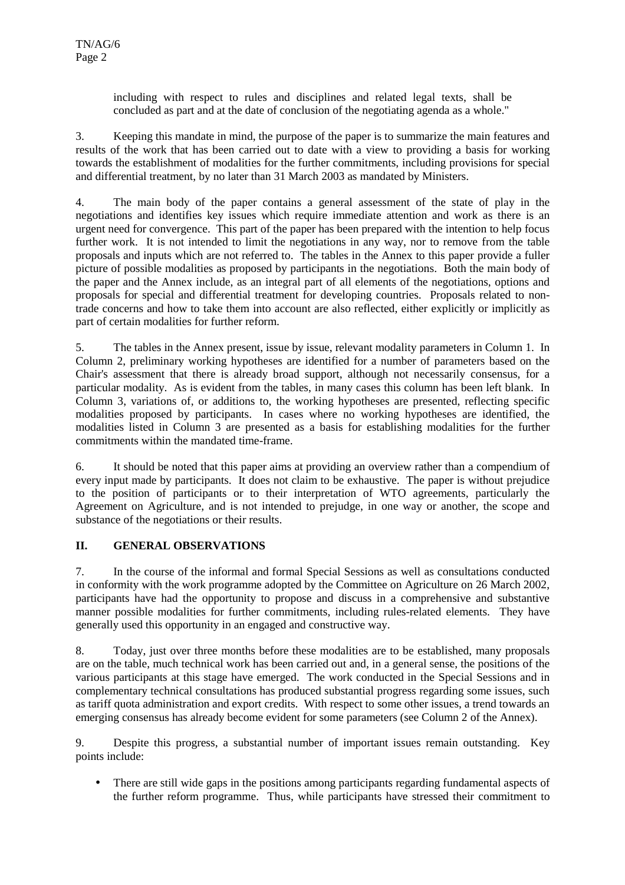including with respect to rules and disciplines and related legal texts, shall be concluded as part and at the date of conclusion of the negotiating agenda as a whole."

3. Keeping this mandate in mind, the purpose of the paper is to summarize the main features and results of the work that has been carried out to date with a view to providing a basis for working towards the establishment of modalities for the further commitments, including provisions for special and differential treatment, by no later than 31 March 2003 as mandated by Ministers.

4. The main body of the paper contains a general assessment of the state of play in the negotiations and identifies key issues which require immediate attention and work as there is an urgent need for convergence. This part of the paper has been prepared with the intention to help focus further work. It is not intended to limit the negotiations in any way, nor to remove from the table proposals and inputs which are not referred to. The tables in the Annex to this paper provide a fuller picture of possible modalities as proposed by participants in the negotiations. Both the main body of the paper and the Annex include, as an integral part of all elements of the negotiations, options and proposals for special and differential treatment for developing countries. Proposals related to nontrade concerns and how to take them into account are also reflected, either explicitly or implicitly as part of certain modalities for further reform.

5. The tables in the Annex present, issue by issue, relevant modality parameters in Column 1. In Column 2, preliminary working hypotheses are identified for a number of parameters based on the Chair's assessment that there is already broad support, although not necessarily consensus, for a particular modality. As is evident from the tables, in many cases this column has been left blank. In Column 3, variations of, or additions to, the working hypotheses are presented, reflecting specific modalities proposed by participants. In cases where no working hypotheses are identified, the modalities listed in Column 3 are presented as a basis for establishing modalities for the further commitments within the mandated time-frame.

6. It should be noted that this paper aims at providing an overview rather than a compendium of every input made by participants. It does not claim to be exhaustive. The paper is without prejudice to the position of participants or to their interpretation of WTO agreements, particularly the Agreement on Agriculture, and is not intended to prejudge, in one way or another, the scope and substance of the negotiations or their results.

# **II. GENERAL OBSERVATIONS**

7. In the course of the informal and formal Special Sessions as well as consultations conducted in conformity with the work programme adopted by the Committee on Agriculture on 26 March 2002, participants have had the opportunity to propose and discuss in a comprehensive and substantive manner possible modalities for further commitments, including rules-related elements. They have generally used this opportunity in an engaged and constructive way.

8. Today, just over three months before these modalities are to be established, many proposals are on the table, much technical work has been carried out and, in a general sense, the positions of the various participants at this stage have emerged. The work conducted in the Special Sessions and in complementary technical consultations has produced substantial progress regarding some issues, such as tariff quota administration and export credits. With respect to some other issues, a trend towards an emerging consensus has already become evident for some parameters (see Column 2 of the Annex).

9. Despite this progress, a substantial number of important issues remain outstanding. Key points include:

• There are still wide gaps in the positions among participants regarding fundamental aspects of the further reform programme. Thus, while participants have stressed their commitment to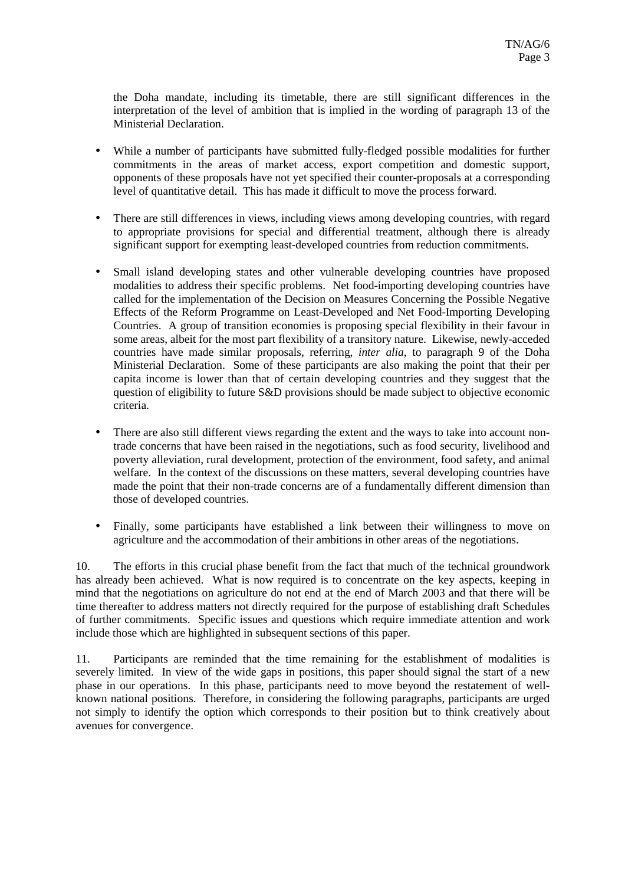the Doha mandate, including its timetable, there are still significant differences in the interpretation of the level of ambition that is implied in the wording of paragraph 13 of the Ministerial Declaration.

- While a number of participants have submitted fully-fledged possible modalities for further commitments in the areas of market access, export competition and domestic support, opponents of these proposals have not yet specified their counter-proposals at a corresponding level of quantitative detail. This has made it difficult to move the process forward.
- There are still differences in views, including views among developing countries, with regard to appropriate provisions for special and differential treatment, although there is already significant support for exempting least-developed countries from reduction commitments.
- Small island developing states and other vulnerable developing countries have proposed modalities to address their specific problems. Net food-importing developing countries have called for the implementation of the Decision on Measures Concerning the Possible Negative Effects of the Reform Programme on Least-Developed and Net Food-Importing Developing Countries. A group of transition economies is proposing special flexibility in their favour in some areas, albeit for the most part flexibility of a transitory nature. Likewise, newly-acceded countries have made similar proposals, referring, *inter alia,* to paragraph 9 of the Doha Ministerial Declaration. Some of these participants are also making the point that their per capita income is lower than that of certain developing countries and they suggest that the question of eligibility to future S&D provisions should be made subject to objective economic criteria.
- There are also still different views regarding the extent and the ways to take into account nontrade concerns that have been raised in the negotiations, such as food security, livelihood and poverty alleviation, rural development, protection of the environment, food safety, and animal welfare. In the context of the discussions on these matters, several developing countries have made the point that their non-trade concerns are of a fundamentally different dimension than those of developed countries.
- Finally, some participants have established a link between their willingness to move on agriculture and the accommodation of their ambitions in other areas of the negotiations.

10. The efforts in this crucial phase benefit from the fact that much of the technical groundwork has already been achieved. What is now required is to concentrate on the key aspects, keeping in mind that the negotiations on agriculture do not end at the end of March 2003 and that there will be time thereafter to address matters not directly required for the purpose of establishing draft Schedules of further commitments. Specific issues and questions which require immediate attention and work include those which are highlighted in subsequent sections of this paper.

11. Participants are reminded that the time remaining for the establishment of modalities is severely limited. In view of the wide gaps in positions, this paper should signal the start of a new phase in our operations. In this phase, participants need to move beyond the restatement of wellknown national positions. Therefore, in considering the following paragraphs, participants are urged not simply to identify the option which corresponds to their position but to think creatively about avenues for convergence.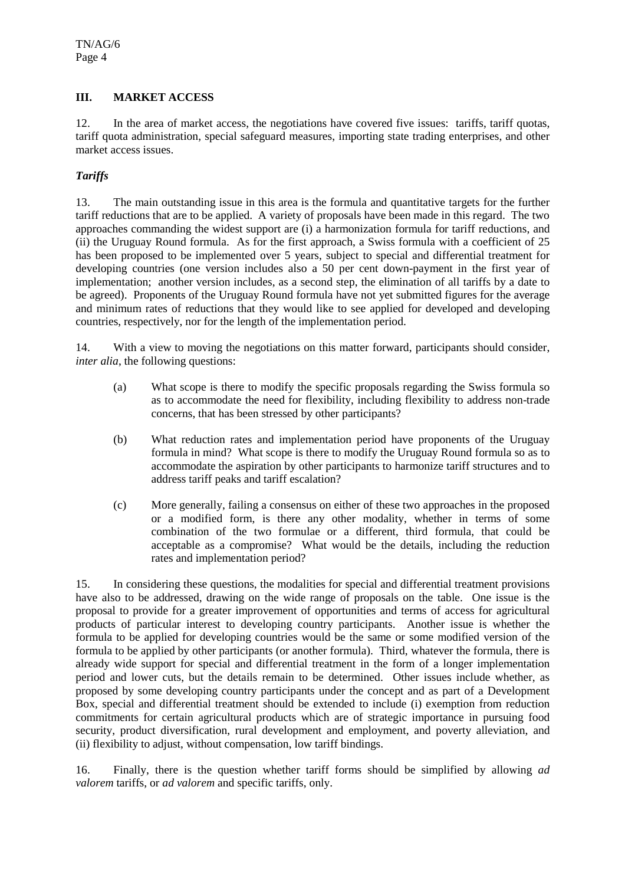### **III. MARKET ACCESS**

12. In the area of market access, the negotiations have covered five issues: tariffs, tariff quotas, tariff quota administration, special safeguard measures, importing state trading enterprises, and other market access issues.

# *Tariffs*

13. The main outstanding issue in this area is the formula and quantitative targets for the further tariff reductions that are to be applied. A variety of proposals have been made in this regard. The two approaches commanding the widest support are (i) a harmonization formula for tariff reductions, and (ii) the Uruguay Round formula. As for the first approach, a Swiss formula with a coefficient of 25 has been proposed to be implemented over 5 years, subject to special and differential treatment for developing countries (one version includes also a 50 per cent down-payment in the first year of implementation; another version includes, as a second step, the elimination of all tariffs by a date to be agreed). Proponents of the Uruguay Round formula have not yet submitted figures for the average and minimum rates of reductions that they would like to see applied for developed and developing countries, respectively, nor for the length of the implementation period.

14. With a view to moving the negotiations on this matter forward, participants should consider, *inter alia*, the following questions:

- (a) What scope is there to modify the specific proposals regarding the Swiss formula so as to accommodate the need for flexibility, including flexibility to address non-trade concerns, that has been stressed by other participants?
- (b) What reduction rates and implementation period have proponents of the Uruguay formula in mind? What scope is there to modify the Uruguay Round formula so as to accommodate the aspiration by other participants to harmonize tariff structures and to address tariff peaks and tariff escalation?
- (c) More generally, failing a consensus on either of these two approaches in the proposed or a modified form, is there any other modality, whether in terms of some combination of the two formulae or a different, third formula, that could be acceptable as a compromise? What would be the details, including the reduction rates and implementation period?

15. In considering these questions, the modalities for special and differential treatment provisions have also to be addressed, drawing on the wide range of proposals on the table. One issue is the proposal to provide for a greater improvement of opportunities and terms of access for agricultural products of particular interest to developing country participants. Another issue is whether the formula to be applied for developing countries would be the same or some modified version of the formula to be applied by other participants (or another formula). Third, whatever the formula, there is already wide support for special and differential treatment in the form of a longer implementation period and lower cuts, but the details remain to be determined. Other issues include whether, as proposed by some developing country participants under the concept and as part of a Development Box, special and differential treatment should be extended to include (i) exemption from reduction commitments for certain agricultural products which are of strategic importance in pursuing food security, product diversification, rural development and employment, and poverty alleviation, and (ii) flexibility to adjust, without compensation, low tariff bindings.

16. Finally, there is the question whether tariff forms should be simplified by allowing *ad valorem* tariffs, or *ad valorem* and specific tariffs, only.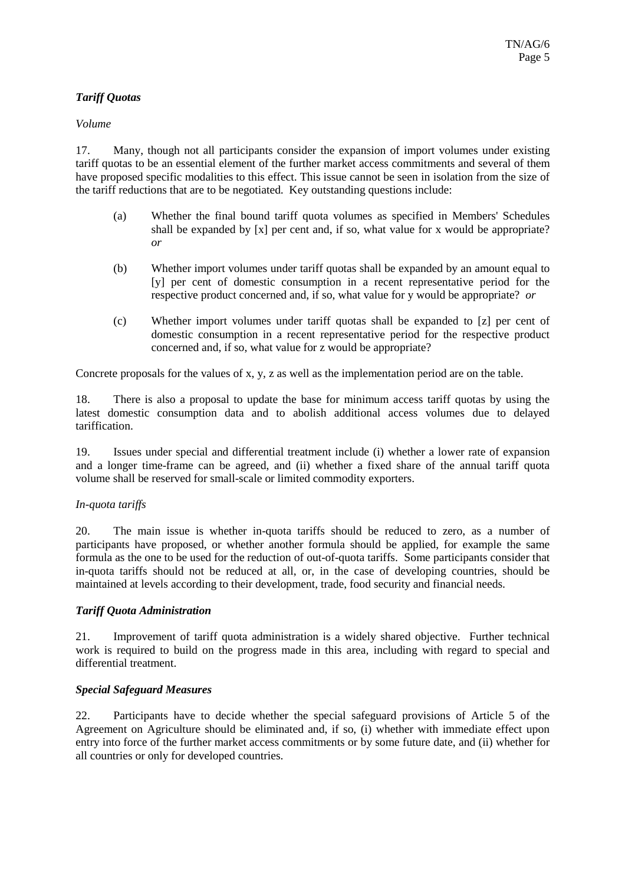#### *Volume*

17. Many, though not all participants consider the expansion of import volumes under existing tariff quotas to be an essential element of the further market access commitments and several of them have proposed specific modalities to this effect. This issue cannot be seen in isolation from the size of the tariff reductions that are to be negotiated. Key outstanding questions include:

- (a) Whether the final bound tariff quota volumes as specified in Members' Schedules shall be expanded by [x] per cent and, if so, what value for x would be appropriate? *or*
- (b) Whether import volumes under tariff quotas shall be expanded by an amount equal to [y] per cent of domestic consumption in a recent representative period for the respective product concerned and, if so, what value for y would be appropriate? *or*
- (c) Whether import volumes under tariff quotas shall be expanded to [z] per cent of domestic consumption in a recent representative period for the respective product concerned and, if so, what value for z would be appropriate?

Concrete proposals for the values of x, y, z as well as the implementation period are on the table.

18. There is also a proposal to update the base for minimum access tariff quotas by using the latest domestic consumption data and to abolish additional access volumes due to delayed tariffication.

19. Issues under special and differential treatment include (i) whether a lower rate of expansion and a longer time-frame can be agreed, and (ii) whether a fixed share of the annual tariff quota volume shall be reserved for small-scale or limited commodity exporters.

#### *In-quota tariffs*

20. The main issue is whether in-quota tariffs should be reduced to zero, as a number of participants have proposed, or whether another formula should be applied, for example the same formula as the one to be used for the reduction of out-of-quota tariffs. Some participants consider that in-quota tariffs should not be reduced at all, or, in the case of developing countries, should be maintained at levels according to their development, trade, food security and financial needs.

# *Tariff Quota Administration*

21. Improvement of tariff quota administration is a widely shared objective. Further technical work is required to build on the progress made in this area*,* including with regard to special and differential treatment.

# *Special Safeguard Measures*

22. Participants have to decide whether the special safeguard provisions of Article 5 of the Agreement on Agriculture should be eliminated and, if so, (i) whether with immediate effect upon entry into force of the further market access commitments or by some future date, and (ii) whether for all countries or only for developed countries.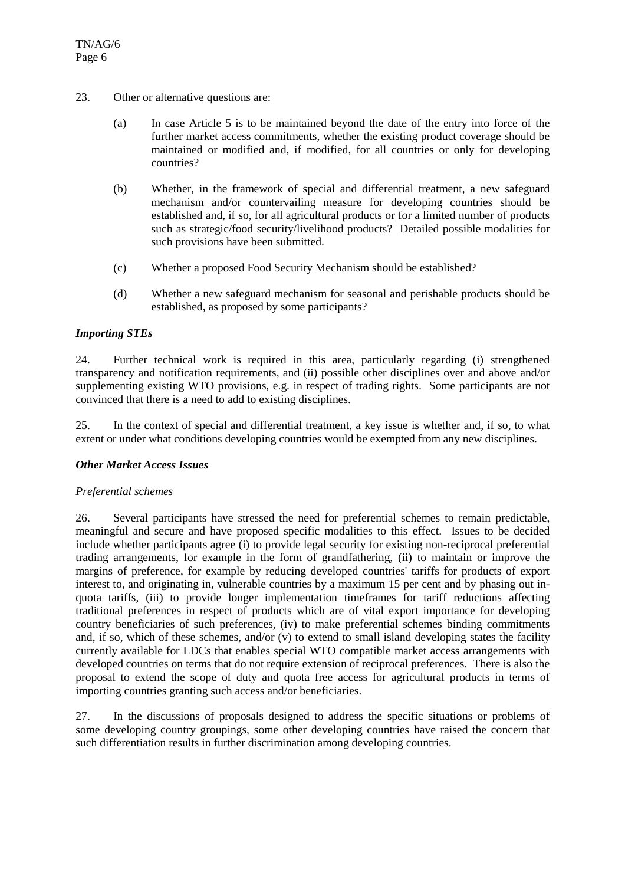- 23. Other or alternative questions are:
	- (a) In case Article 5 is to be maintained beyond the date of the entry into force of the further market access commitments, whether the existing product coverage should be maintained or modified and, if modified, for all countries or only for developing countries?
	- (b) Whether, in the framework of special and differential treatment, a new safeguard mechanism and/or countervailing measure for developing countries should be established and, if so, for all agricultural products or for a limited number of products such as strategic/food security/livelihood products? Detailed possible modalities for such provisions have been submitted.
	- (c) Whether a proposed Food Security Mechanism should be established?
	- (d) Whether a new safeguard mechanism for seasonal and perishable products should be established, as proposed by some participants?

#### *Importing STEs*

24. Further technical work is required in this area, particularly regarding (i) strengthened transparency and notification requirements, and (ii) possible other disciplines over and above and/or supplementing existing WTO provisions, e.g. in respect of trading rights. Some participants are not convinced that there is a need to add to existing disciplines.

25. In the context of special and differential treatment, a key issue is whether and, if so, to what extent or under what conditions developing countries would be exempted from any new disciplines.

#### *Other Market Access Issues*

#### *Preferential schemes*

26. Several participants have stressed the need for preferential schemes to remain predictable, meaningful and secure and have proposed specific modalities to this effect. Issues to be decided include whether participants agree (i) to provide legal security for existing non-reciprocal preferential trading arrangements, for example in the form of grandfathering*,* (ii) to maintain or improve the margins of preference, for example by reducing developed countries' tariffs for products of export interest to, and originating in, vulnerable countries by a maximum 15 per cent and by phasing out inquota tariffs, (iii) to provide longer implementation timeframes for tariff reductions affecting traditional preferences in respect of products which are of vital export importance for developing country beneficiaries of such preferences, (iv) to make preferential schemes binding commitments and, if so, which of these schemes, and/or (v) to extend to small island developing states the facility currently available for LDCs that enables special WTO compatible market access arrangements with developed countries on terms that do not require extension of reciprocal preferences. There is also the proposal to extend the scope of duty and quota free access for agricultural products in terms of importing countries granting such access and/or beneficiaries.

27. In the discussions of proposals designed to address the specific situations or problems of some developing country groupings, some other developing countries have raised the concern that such differentiation results in further discrimination among developing countries.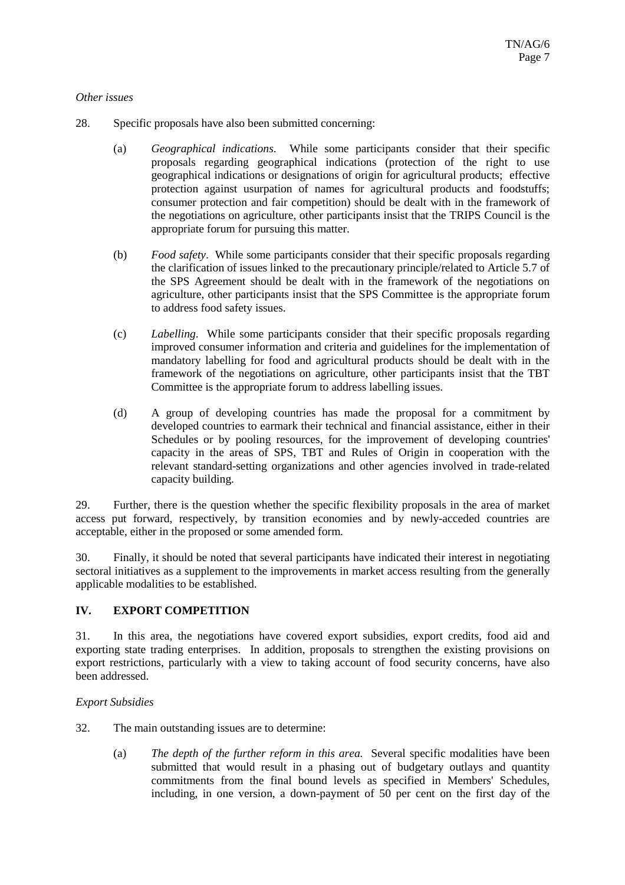#### *Other issues*

- 28. Specific proposals have also been submitted concerning:
	- (a) *Geographical indications*. While some participants consider that their specific proposals regarding geographical indications (protection of the right to use geographical indications or designations of origin for agricultural products; effective protection against usurpation of names for agricultural products and foodstuffs; consumer protection and fair competition) should be dealt with in the framework of the negotiations on agriculture, other participants insist that the TRIPS Council is the appropriate forum for pursuing this matter.
	- (b) *Food safety*. While some participants consider that their specific proposals regarding the clarification of issues linked to the precautionary principle/related to Article 5.7 of the SPS Agreement should be dealt with in the framework of the negotiations on agriculture, other participants insist that the SPS Committee is the appropriate forum to address food safety issues.
	- (c) *Labelling*. While some participants consider that their specific proposals regarding improved consumer information and criteria and guidelines for the implementation of mandatory labelling for food and agricultural products should be dealt with in the framework of the negotiations on agriculture, other participants insist that the TBT Committee is the appropriate forum to address labelling issues.
	- (d) A group of developing countries has made the proposal for a commitment by developed countries to earmark their technical and financial assistance, either in their Schedules or by pooling resources, for the improvement of developing countries' capacity in the areas of SPS, TBT and Rules of Origin in cooperation with the relevant standard-setting organizations and other agencies involved in trade-related capacity building.

29. Further, there is the question whether the specific flexibility proposals in the area of market access put forward, respectively, by transition economies and by newly-acceded countries are acceptable, either in the proposed or some amended form.

30. Finally, it should be noted that several participants have indicated their interest in negotiating sectoral initiatives as a supplement to the improvements in market access resulting from the generally applicable modalities to be established.

#### **IV. EXPORT COMPETITION**

31. In this area, the negotiations have covered export subsidies, export credits, food aid and exporting state trading enterprises. In addition, proposals to strengthen the existing provisions on export restrictions, particularly with a view to taking account of food security concerns, have also been addressed.

#### *Export Subsidies*

32. The main outstanding issues are to determine:

(a) *The depth of the further reform in this area.* Several specific modalities have been submitted that would result in a phasing out of budgetary outlays and quantity commitments from the final bound levels as specified in Members' Schedules, including, in one version, a down-payment of 50 per cent on the first day of the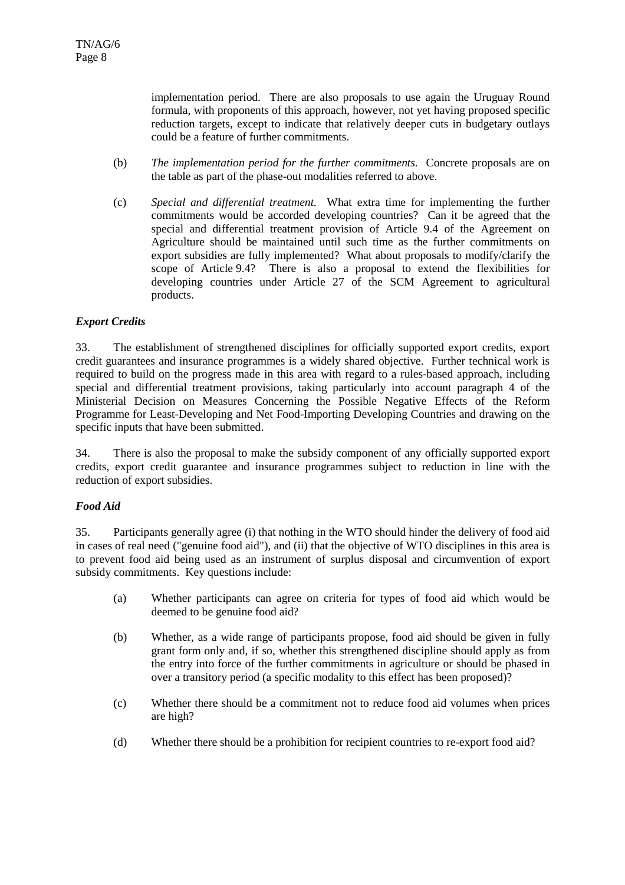implementation period. There are also proposals to use again the Uruguay Round formula, with proponents of this approach, however, not yet having proposed specific reduction targets, except to indicate that relatively deeper cuts in budgetary outlays could be a feature of further commitments.

- (b) *The implementation period for the further commitments.* Concrete proposals are on the table as part of the phase-out modalities referred to above.
- (c) *Special and differential treatment.* What extra time for implementing the further commitments would be accorded developing countries? Can it be agreed that the special and differential treatment provision of Article 9.4 of the Agreement on Agriculture should be maintained until such time as the further commitments on export subsidies are fully implemented? What about proposals to modify/clarify the scope of Article 9.4? There is also a proposal to extend the flexibilities for developing countries under Article 27 of the SCM Agreement to agricultural products.

#### *Export Credits*

33. The establishment of strengthened disciplines for officially supported export credits, export credit guarantees and insurance programmes is a widely shared objective. Further technical work is required to build on the progress made in this area with regard to a rules-based approach, including special and differential treatment provisions, taking particularly into account paragraph 4 of the Ministerial Decision on Measures Concerning the Possible Negative Effects of the Reform Programme for Least-Developing and Net Food-Importing Developing Countries and drawing on the specific inputs that have been submitted.

34. There is also the proposal to make the subsidy component of any officially supported export credits, export credit guarantee and insurance programmes subject to reduction in line with the reduction of export subsidies.

#### *Food Aid*

35. Participants generally agree (i) that nothing in the WTO should hinder the delivery of food aid in cases of real need ("genuine food aid"), and (ii) that the objective of WTO disciplines in this area is to prevent food aid being used as an instrument of surplus disposal and circumvention of export subsidy commitments. Key questions include:

- (a) Whether participants can agree on criteria for types of food aid which would be deemed to be genuine food aid?
- (b) Whether, as a wide range of participants propose, food aid should be given in fully grant form only and, if so, whether this strengthened discipline should apply as from the entry into force of the further commitments in agriculture or should be phased in over a transitory period (a specific modality to this effect has been proposed)?
- (c) Whether there should be a commitment not to reduce food aid volumes when prices are high?
- (d) Whether there should be a prohibition for recipient countries to re-export food aid?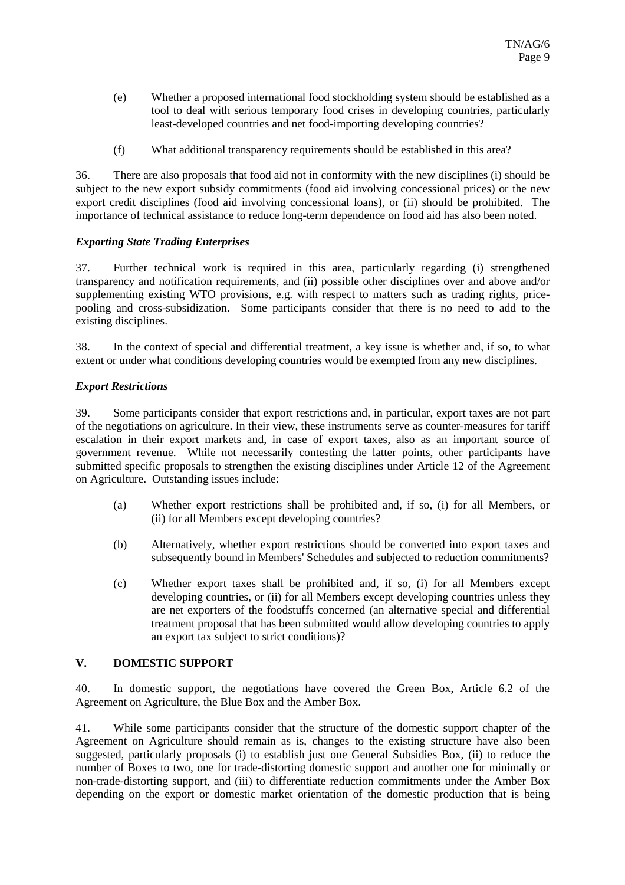- (e) Whether a proposed international food stockholding system should be established as a tool to deal with serious temporary food crises in developing countries, particularly least-developed countries and net food-importing developing countries?
- (f) What additional transparency requirements should be established in this area?

36. There are also proposals that food aid not in conformity with the new disciplines (i) should be subject to the new export subsidy commitments (food aid involving concessional prices) or the new export credit disciplines (food aid involving concessional loans), or (ii) should be prohibited. The importance of technical assistance to reduce long-term dependence on food aid has also been noted.

# *Exporting State Trading Enterprises*

37. Further technical work is required in this area, particularly regarding (i) strengthened transparency and notification requirements, and (ii) possible other disciplines over and above and/or supplementing existing WTO provisions, e.g. with respect to matters such as trading rights, pricepooling and cross-subsidization. Some participants consider that there is no need to add to the existing disciplines.

38. In the context of special and differential treatment, a key issue is whether and, if so, to what extent or under what conditions developing countries would be exempted from any new disciplines.

# *Export Restrictions*

39. Some participants consider that export restrictions and, in particular, export taxes are not part of the negotiations on agriculture. In their view, these instruments serve as counter-measures for tariff escalation in their export markets and, in case of export taxes, also as an important source of government revenue. While not necessarily contesting the latter points, other participants have submitted specific proposals to strengthen the existing disciplines under Article 12 of the Agreement on Agriculture. Outstanding issues include:

- (a) Whether export restrictions shall be prohibited and, if so, (i) for all Members, or (ii) for all Members except developing countries?
- (b) Alternatively, whether export restrictions should be converted into export taxes and subsequently bound in Members' Schedules and subjected to reduction commitments?
- (c) Whether export taxes shall be prohibited and, if so, (i) for all Members except developing countries, or (ii) for all Members except developing countries unless they are net exporters of the foodstuffs concerned (an alternative special and differential treatment proposal that has been submitted would allow developing countries to apply an export tax subject to strict conditions)?

# **V. DOMESTIC SUPPORT**

40. In domestic support, the negotiations have covered the Green Box, Article 6.2 of the Agreement on Agriculture, the Blue Box and the Amber Box.

41. While some participants consider that the structure of the domestic support chapter of the Agreement on Agriculture should remain as is, changes to the existing structure have also been suggested, particularly proposals (i) to establish just one General Subsidies Box, (ii) to reduce the number of Boxes to two, one for trade-distorting domestic support and another one for minimally or non-trade-distorting support, and (iii) to differentiate reduction commitments under the Amber Box depending on the export or domestic market orientation of the domestic production that is being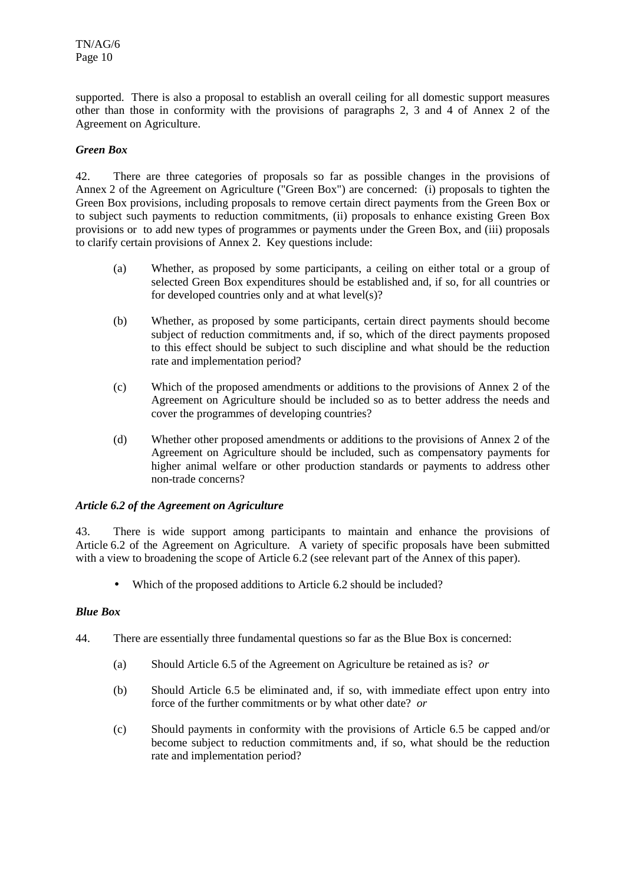supported. There is also a proposal to establish an overall ceiling for all domestic support measures other than those in conformity with the provisions of paragraphs 2, 3 and 4 of Annex 2 of the Agreement on Agriculture.

#### *Green Box*

42. There are three categories of proposals so far as possible changes in the provisions of Annex 2 of the Agreement on Agriculture ("Green Box") are concerned: (i) proposals to tighten the Green Box provisions, including proposals to remove certain direct payments from the Green Box or to subject such payments to reduction commitments, (ii) proposals to enhance existing Green Box provisions or to add new types of programmes or payments under the Green Box, and (iii) proposals to clarify certain provisions of Annex 2. Key questions include:

- (a) Whether, as proposed by some participants, a ceiling on either total or a group of selected Green Box expenditures should be established and, if so, for all countries or for developed countries only and at what level(s)?
- (b) Whether, as proposed by some participants, certain direct payments should become subject of reduction commitments and, if so, which of the direct payments proposed to this effect should be subject to such discipline and what should be the reduction rate and implementation period?
- (c) Which of the proposed amendments or additions to the provisions of Annex 2 of the Agreement on Agriculture should be included so as to better address the needs and cover the programmes of developing countries?
- (d) Whether other proposed amendments or additions to the provisions of Annex 2 of the Agreement on Agriculture should be included, such as compensatory payments for higher animal welfare or other production standards or payments to address other non-trade concerns?

#### *Article 6.2 of the Agreement on Agriculture*

43. There is wide support among participants to maintain and enhance the provisions of Article 6.2 of the Agreement on Agriculture. A variety of specific proposals have been submitted with a view to broadening the scope of Article 6.2 (see relevant part of the Annex of this paper).

• Which of the proposed additions to Article 6.2 should be included?

#### *Blue Box*

- 44. There are essentially three fundamental questions so far as the Blue Box is concerned:
	- (a) Should Article 6.5 of the Agreement on Agriculture be retained as is? *or*
	- (b) Should Article 6.5 be eliminated and, if so, with immediate effect upon entry into force of the further commitments or by what other date? *or*
	- (c) Should payments in conformity with the provisions of Article 6.5 be capped and/or become subject to reduction commitments and, if so, what should be the reduction rate and implementation period?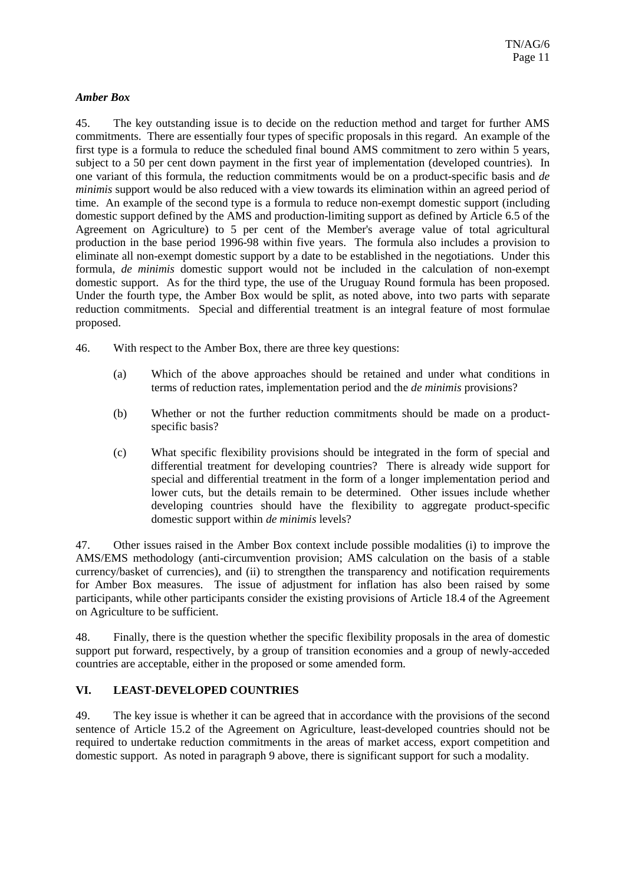### *Amber Box*

45. The key outstanding issue is to decide on the reduction method and target for further AMS commitments. There are essentially four types of specific proposals in this regard. An example of the first type is a formula to reduce the scheduled final bound AMS commitment to zero within 5 years, subject to a 50 per cent down payment in the first year of implementation (developed countries). In one variant of this formula, the reduction commitments would be on a product-specific basis and *de minimis* support would be also reduced with a view towards its elimination within an agreed period of time. An example of the second type is a formula to reduce non-exempt domestic support (including domestic support defined by the AMS and production-limiting support as defined by Article 6.5 of the Agreement on Agriculture) to 5 per cent of the Member's average value of total agricultural production in the base period 1996-98 within five years. The formula also includes a provision to eliminate all non-exempt domestic support by a date to be established in the negotiations. Under this formula, *de minimis* domestic support would not be included in the calculation of non-exempt domestic support. As for the third type, the use of the Uruguay Round formula has been proposed. Under the fourth type, the Amber Box would be split, as noted above, into two parts with separate reduction commitments. Special and differential treatment is an integral feature of most formulae proposed.

- 46. With respect to the Amber Box, there are three key questions:
	- (a) Which of the above approaches should be retained and under what conditions in terms of reduction rates, implementation period and the *de minimis* provisions?
	- (b) Whether or not the further reduction commitments should be made on a productspecific basis?
	- (c) What specific flexibility provisions should be integrated in the form of special and differential treatment for developing countries? There is already wide support for special and differential treatment in the form of a longer implementation period and lower cuts, but the details remain to be determined. Other issues include whether developing countries should have the flexibility to aggregate product-specific domestic support within *de minimis* levels?

47. Other issues raised in the Amber Box context include possible modalities (i) to improve the AMS/EMS methodology (anti-circumvention provision; AMS calculation on the basis of a stable currency/basket of currencies), and (ii) to strengthen the transparency and notification requirements for Amber Box measures. The issue of adjustment for inflation has also been raised by some participants, while other participants consider the existing provisions of Article 18.4 of the Agreement on Agriculture to be sufficient.

48. Finally, there is the question whether the specific flexibility proposals in the area of domestic support put forward, respectively, by a group of transition economies and a group of newly-acceded countries are acceptable, either in the proposed or some amended form.

# **VI. LEAST-DEVELOPED COUNTRIES**

49. The key issue is whether it can be agreed that in accordance with the provisions of the second sentence of Article 15.2 of the Agreement on Agriculture, least-developed countries should not be required to undertake reduction commitments in the areas of market access, export competition and domestic support. As noted in paragraph 9 above, there is significant support for such a modality.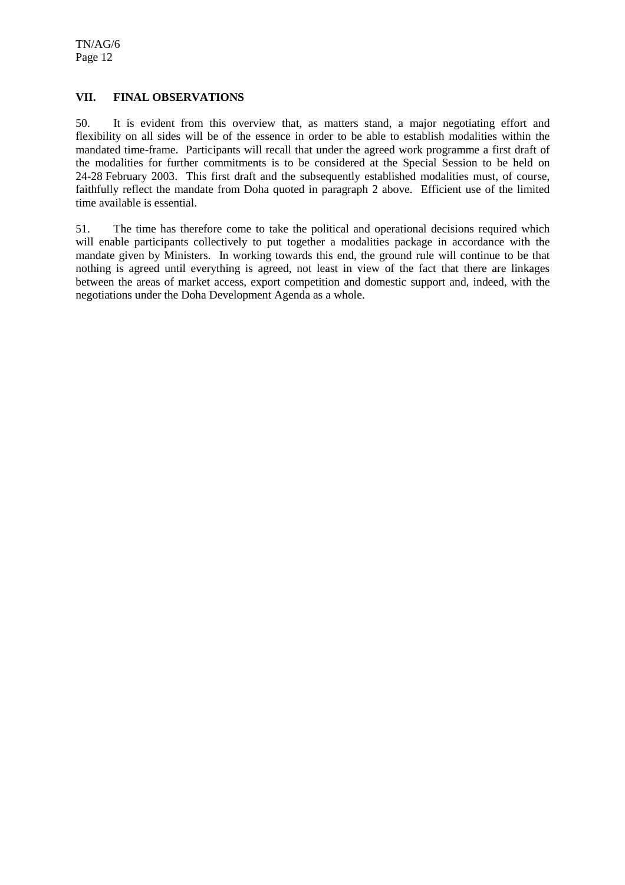# **VII. FINAL OBSERVATIONS**

50. It is evident from this overview that, as matters stand, a major negotiating effort and flexibility on all sides will be of the essence in order to be able to establish modalities within the mandated time-frame. Participants will recall that under the agreed work programme a first draft of the modalities for further commitments is to be considered at the Special Session to be held on 24-28 February 2003. This first draft and the subsequently established modalities must, of course, faithfully reflect the mandate from Doha quoted in paragraph 2 above. Efficient use of the limited time available is essential.

51. The time has therefore come to take the political and operational decisions required which will enable participants collectively to put together a modalities package in accordance with the mandate given by Ministers. In working towards this end, the ground rule will continue to be that nothing is agreed until everything is agreed, not least in view of the fact that there are linkages between the areas of market access, export competition and domestic support and, indeed, with the negotiations under the Doha Development Agenda as a whole.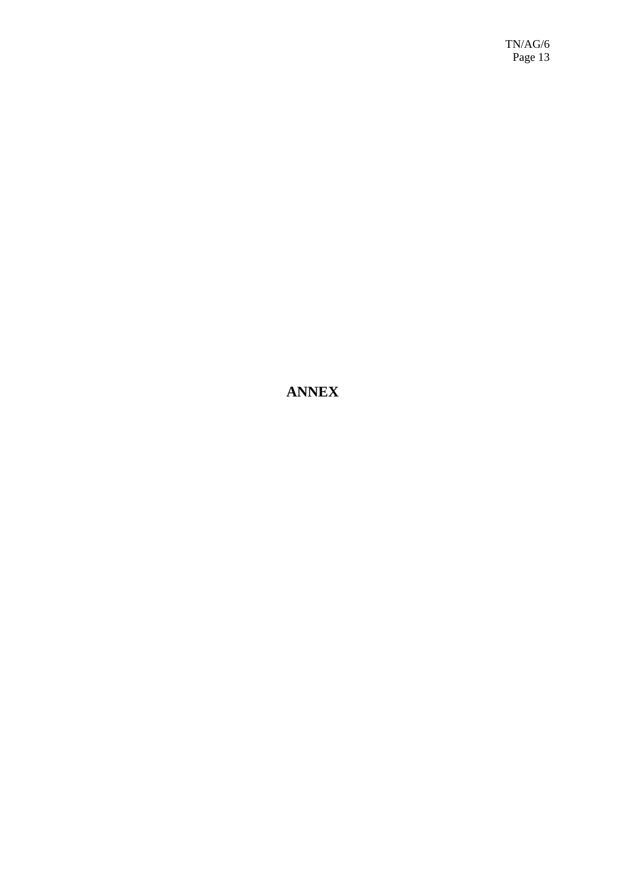TN/AG/6 Page 13

# **ANNEX**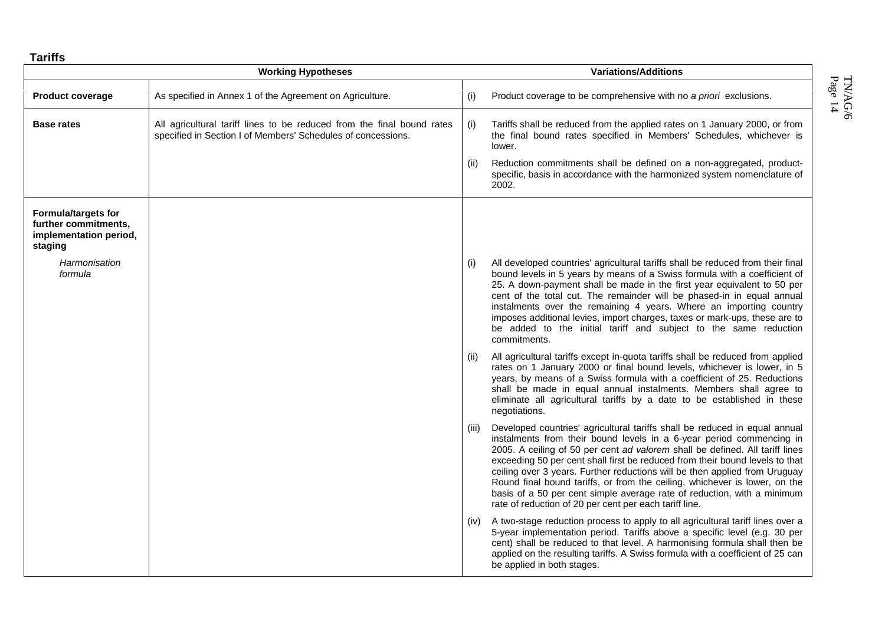|                                                                                         | <b>Working Hypotheses</b>                                                                                                              |       | <b>Variations/Additions</b>                                                                                                                                                                                                                                                                                                                                                                                                                                                                                                                                                                                         |
|-----------------------------------------------------------------------------------------|----------------------------------------------------------------------------------------------------------------------------------------|-------|---------------------------------------------------------------------------------------------------------------------------------------------------------------------------------------------------------------------------------------------------------------------------------------------------------------------------------------------------------------------------------------------------------------------------------------------------------------------------------------------------------------------------------------------------------------------------------------------------------------------|
| <b>Product coverage</b>                                                                 | As specified in Annex 1 of the Agreement on Agriculture.                                                                               | (i)   | Product coverage to be comprehensive with no a priori exclusions.                                                                                                                                                                                                                                                                                                                                                                                                                                                                                                                                                   |
| <b>Base rates</b>                                                                       | All agricultural tariff lines to be reduced from the final bound rates<br>specified in Section I of Members' Schedules of concessions. | (i)   | Tariffs shall be reduced from the applied rates on 1 January 2000, or from<br>the final bound rates specified in Members' Schedules, whichever is<br>lower.                                                                                                                                                                                                                                                                                                                                                                                                                                                         |
|                                                                                         |                                                                                                                                        | (ii)  | Reduction commitments shall be defined on a non-aggregated, product-<br>specific, basis in accordance with the harmonized system nomenclature of<br>2002.                                                                                                                                                                                                                                                                                                                                                                                                                                                           |
| <b>Formula/targets for</b><br>further commitments,<br>implementation period,<br>staging |                                                                                                                                        |       |                                                                                                                                                                                                                                                                                                                                                                                                                                                                                                                                                                                                                     |
| Harmonisation<br>formula                                                                |                                                                                                                                        | (i)   | All developed countries' agricultural tariffs shall be reduced from their final<br>bound levels in 5 years by means of a Swiss formula with a coefficient of<br>25. A down-payment shall be made in the first year equivalent to 50 per<br>cent of the total cut. The remainder will be phased-in in equal annual<br>instalments over the remaining 4 years. Where an importing country<br>imposes additional levies, import charges, taxes or mark-ups, these are to<br>be added to the initial tariff and subject to the same reduction<br>commitments.                                                           |
|                                                                                         |                                                                                                                                        | (ii)  | All agricultural tariffs except in-quota tariffs shall be reduced from applied<br>rates on 1 January 2000 or final bound levels, whichever is lower, in 5<br>years, by means of a Swiss formula with a coefficient of 25. Reductions<br>shall be made in equal annual instalments. Members shall agree to<br>eliminate all agricultural tariffs by a date to be established in these<br>negotiations.                                                                                                                                                                                                               |
|                                                                                         |                                                                                                                                        | (iii) | Developed countries' agricultural tariffs shall be reduced in equal annual<br>instalments from their bound levels in a 6-year period commencing in<br>2005. A ceiling of 50 per cent ad valorem shall be defined. All tariff lines<br>exceeding 50 per cent shall first be reduced from their bound levels to that<br>ceiling over 3 years. Further reductions will be then applied from Uruguay<br>Round final bound tariffs, or from the ceiling, whichever is lower, on the<br>basis of a 50 per cent simple average rate of reduction, with a minimum<br>rate of reduction of 20 per cent per each tariff line. |
|                                                                                         |                                                                                                                                        | (iv)  | A two-stage reduction process to apply to all agricultural tariff lines over a<br>5-year implementation period. Tariffs above a specific level (e.g. 30 per<br>cent) shall be reduced to that level. A harmonising formula shall then be<br>applied on the resulting tariffs. A Swiss formula with a coefficient of 25 can<br>be applied in both stages.                                                                                                                                                                                                                                                            |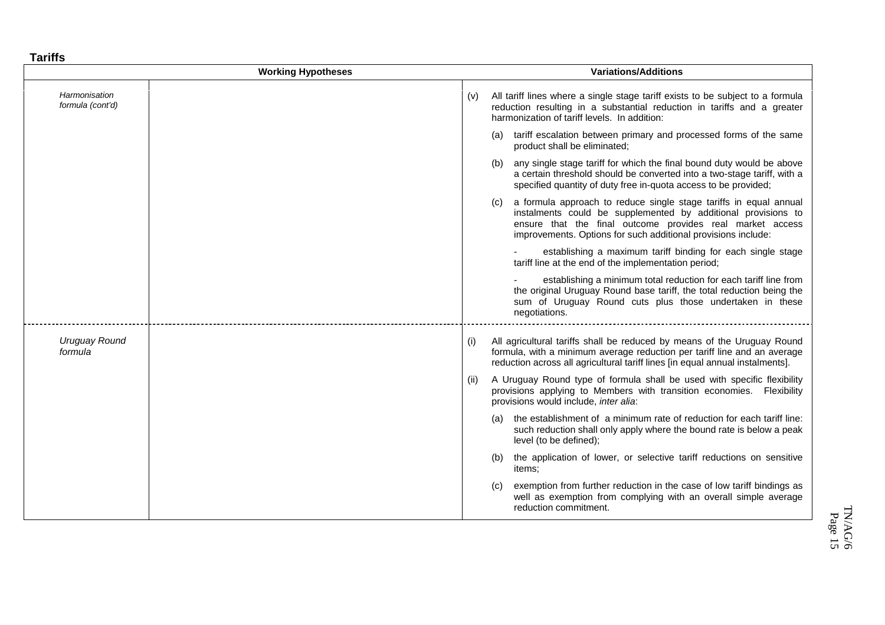|                                   | <b>Working Hypotheses</b> |      | <b>Variations/Additions</b>                                                                                                                                                                                                                                             |
|-----------------------------------|---------------------------|------|-------------------------------------------------------------------------------------------------------------------------------------------------------------------------------------------------------------------------------------------------------------------------|
| Harmonisation<br>formula (cont'd) |                           | (v)  | All tariff lines where a single stage tariff exists to be subject to a formula<br>reduction resulting in a substantial reduction in tariffs and a greater<br>harmonization of tariff levels. In addition:                                                               |
|                                   |                           |      | tariff escalation between primary and processed forms of the same<br>(a)<br>product shall be eliminated:                                                                                                                                                                |
|                                   |                           |      | any single stage tariff for which the final bound duty would be above<br>(b)<br>a certain threshold should be converted into a two-stage tariff, with a<br>specified quantity of duty free in-quota access to be provided;                                              |
|                                   |                           |      | a formula approach to reduce single stage tariffs in equal annual<br>(C)<br>instalments could be supplemented by additional provisions to<br>ensure that the final outcome provides real market access<br>improvements. Options for such additional provisions include: |
|                                   |                           |      | establishing a maximum tariff binding for each single stage<br>tariff line at the end of the implementation period;                                                                                                                                                     |
|                                   |                           |      | establishing a minimum total reduction for each tariff line from<br>the original Uruguay Round base tariff, the total reduction being the<br>sum of Uruguay Round cuts plus those undertaken in these<br>negotiations.                                                  |
| <b>Uruguay Round</b><br>formula   |                           | (i)  | All agricultural tariffs shall be reduced by means of the Uruguay Round<br>formula, with a minimum average reduction per tariff line and an average<br>reduction across all agricultural tariff lines [in equal annual instalments].                                    |
|                                   |                           | (ii) | A Uruguay Round type of formula shall be used with specific flexibility<br>provisions applying to Members with transition economies. Flexibility<br>provisions would include, inter alia:                                                                               |
|                                   |                           |      | the establishment of a minimum rate of reduction for each tariff line:<br>(a)<br>such reduction shall only apply where the bound rate is below a peak<br>level (to be defined);                                                                                         |
|                                   |                           |      | the application of lower, or selective tariff reductions on sensitive<br>(b)<br>items:                                                                                                                                                                                  |
|                                   |                           |      | exemption from further reduction in the case of low tariff bindings as<br>(c)<br>well as exemption from complying with an overall simple average<br>reduction commitment.                                                                                               |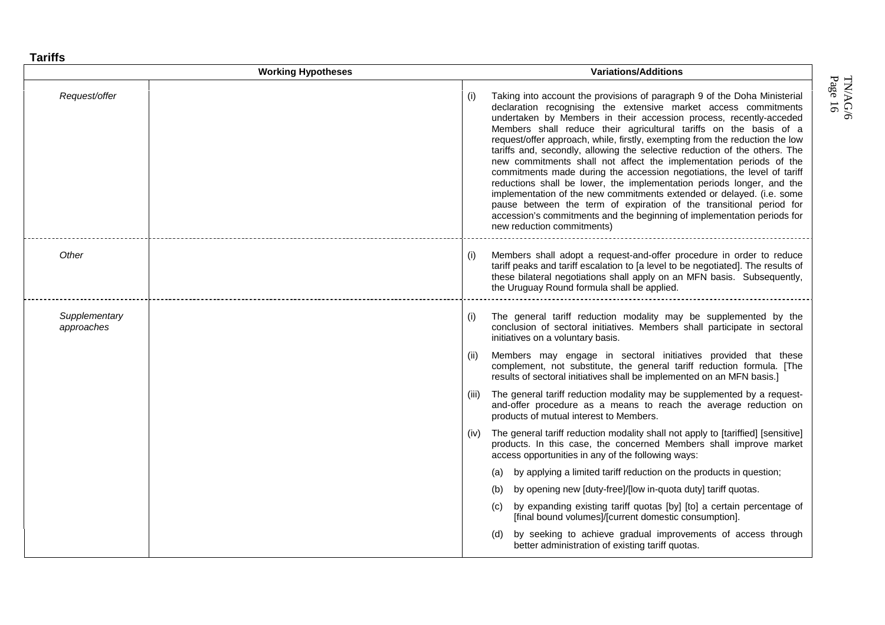|                             | <b>Working Hypotheses</b> |       | <b>Variations/Additions</b>                                                                                                                                                                                                                                                                                                                                                                                                                                                                                                                                                                                                                                                                                                                                                                                                                                                                                                              |
|-----------------------------|---------------------------|-------|------------------------------------------------------------------------------------------------------------------------------------------------------------------------------------------------------------------------------------------------------------------------------------------------------------------------------------------------------------------------------------------------------------------------------------------------------------------------------------------------------------------------------------------------------------------------------------------------------------------------------------------------------------------------------------------------------------------------------------------------------------------------------------------------------------------------------------------------------------------------------------------------------------------------------------------|
| Request/offer               |                           | (i)   | Taking into account the provisions of paragraph 9 of the Doha Ministerial<br>declaration recognising the extensive market access commitments<br>undertaken by Members in their accession process, recently-acceded<br>Members shall reduce their agricultural tariffs on the basis of a<br>request/offer approach, while, firstly, exempting from the reduction the low<br>tariffs and, secondly, allowing the selective reduction of the others. The<br>new commitments shall not affect the implementation periods of the<br>commitments made during the accession negotiations, the level of tariff<br>reductions shall be lower, the implementation periods longer, and the<br>implementation of the new commitments extended or delayed. (i.e. some<br>pause between the term of expiration of the transitional period for<br>accession's commitments and the beginning of implementation periods for<br>new reduction commitments) |
| Other                       |                           | (i)   | Members shall adopt a request-and-offer procedure in order to reduce<br>tariff peaks and tariff escalation to [a level to be negotiated]. The results of<br>these bilateral negotiations shall apply on an MFN basis. Subsequently,<br>the Uruguay Round formula shall be applied.                                                                                                                                                                                                                                                                                                                                                                                                                                                                                                                                                                                                                                                       |
| Supplementary<br>approaches |                           | (i)   | The general tariff reduction modality may be supplemented by the<br>conclusion of sectoral initiatives. Members shall participate in sectoral<br>initiatives on a voluntary basis.                                                                                                                                                                                                                                                                                                                                                                                                                                                                                                                                                                                                                                                                                                                                                       |
|                             |                           | (ii)  | Members may engage in sectoral initiatives provided that these<br>complement, not substitute, the general tariff reduction formula. [The<br>results of sectoral initiatives shall be implemented on an MFN basis.]                                                                                                                                                                                                                                                                                                                                                                                                                                                                                                                                                                                                                                                                                                                       |
|                             |                           | (iii) | The general tariff reduction modality may be supplemented by a request-<br>and-offer procedure as a means to reach the average reduction on<br>products of mutual interest to Members.                                                                                                                                                                                                                                                                                                                                                                                                                                                                                                                                                                                                                                                                                                                                                   |
|                             |                           | (iv)  | The general tariff reduction modality shall not apply to [tariffied] [sensitive]<br>products. In this case, the concerned Members shall improve market<br>access opportunities in any of the following ways:                                                                                                                                                                                                                                                                                                                                                                                                                                                                                                                                                                                                                                                                                                                             |
|                             |                           |       | by applying a limited tariff reduction on the products in question;<br>(a)                                                                                                                                                                                                                                                                                                                                                                                                                                                                                                                                                                                                                                                                                                                                                                                                                                                               |
|                             |                           |       | by opening new [duty-free]/[low in-quota duty] tariff quotas.<br>(b)                                                                                                                                                                                                                                                                                                                                                                                                                                                                                                                                                                                                                                                                                                                                                                                                                                                                     |
|                             |                           |       | by expanding existing tariff quotas [by] [to] a certain percentage of<br>(c)<br>[final bound volumes]/[current domestic consumption].                                                                                                                                                                                                                                                                                                                                                                                                                                                                                                                                                                                                                                                                                                                                                                                                    |
|                             |                           |       | by seeking to achieve gradual improvements of access through<br>(d)<br>better administration of existing tariff quotas.                                                                                                                                                                                                                                                                                                                                                                                                                                                                                                                                                                                                                                                                                                                                                                                                                  |

 $\begin{array}{lcl} \text{TN} \text{AG/6} \\ \text{Page 16} \end{array}$ TN/AG/6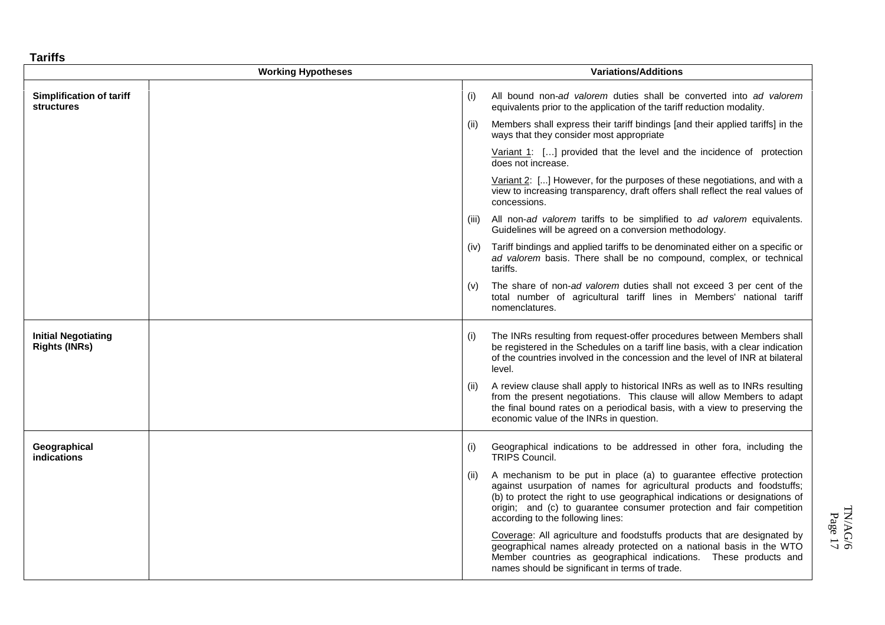|                                                      | <b>Working Hypotheses</b> |       | <b>Variations/Additions</b>                                                                                                                                                                                                                                                                                                                |
|------------------------------------------------------|---------------------------|-------|--------------------------------------------------------------------------------------------------------------------------------------------------------------------------------------------------------------------------------------------------------------------------------------------------------------------------------------------|
| <b>Simplification of tariff</b><br><b>structures</b> |                           | (i)   | All bound non-ad valorem duties shall be converted into ad valorem<br>equivalents prior to the application of the tariff reduction modality.                                                                                                                                                                                               |
|                                                      |                           | (ii)  | Members shall express their tariff bindings [and their applied tariffs] in the<br>ways that they consider most appropriate                                                                                                                                                                                                                 |
|                                                      |                           |       | Variant 1: [] provided that the level and the incidence of protection<br>does not increase.                                                                                                                                                                                                                                                |
|                                                      |                           |       | Variant 2: [] However, for the purposes of these negotiations, and with a<br>view to increasing transparency, draft offers shall reflect the real values of<br>concessions.                                                                                                                                                                |
|                                                      |                           | (III) | All non-ad valorem tariffs to be simplified to ad valorem equivalents.<br>Guidelines will be agreed on a conversion methodology.                                                                                                                                                                                                           |
|                                                      |                           | (iv)  | Tariff bindings and applied tariffs to be denominated either on a specific or<br>ad valorem basis. There shall be no compound, complex, or technical<br>tariffs.                                                                                                                                                                           |
|                                                      |                           | (v)   | The share of non-ad valorem duties shall not exceed 3 per cent of the<br>total number of agricultural tariff lines in Members' national tariff<br>nomenclatures.                                                                                                                                                                           |
| <b>Initial Negotiating</b><br><b>Rights (INRs)</b>   |                           | (i)   | The INRs resulting from request-offer procedures between Members shall<br>be registered in the Schedules on a tariff line basis, with a clear indication<br>of the countries involved in the concession and the level of INR at bilateral<br>level.                                                                                        |
|                                                      |                           | (ii)  | A review clause shall apply to historical INRs as well as to INRs resulting<br>from the present negotiations. This clause will allow Members to adapt<br>the final bound rates on a periodical basis, with a view to preserving the<br>economic value of the INRs in question.                                                             |
| Geographical<br>indications                          |                           | (i)   | Geographical indications to be addressed in other fora, including the<br><b>TRIPS Council.</b>                                                                                                                                                                                                                                             |
|                                                      |                           | (ii)  | A mechanism to be put in place (a) to guarantee effective protection<br>against usurpation of names for agricultural products and foodstuffs;<br>(b) to protect the right to use geographical indications or designations of<br>origin; and (c) to guarantee consumer protection and fair competition<br>according to the following lines: |
|                                                      |                           |       | Coverage: All agriculture and foodstuffs products that are designated by<br>geographical names already protected on a national basis in the WTO<br>Member countries as geographical indications. These products and<br>names should be significant in terms of trade.                                                                      |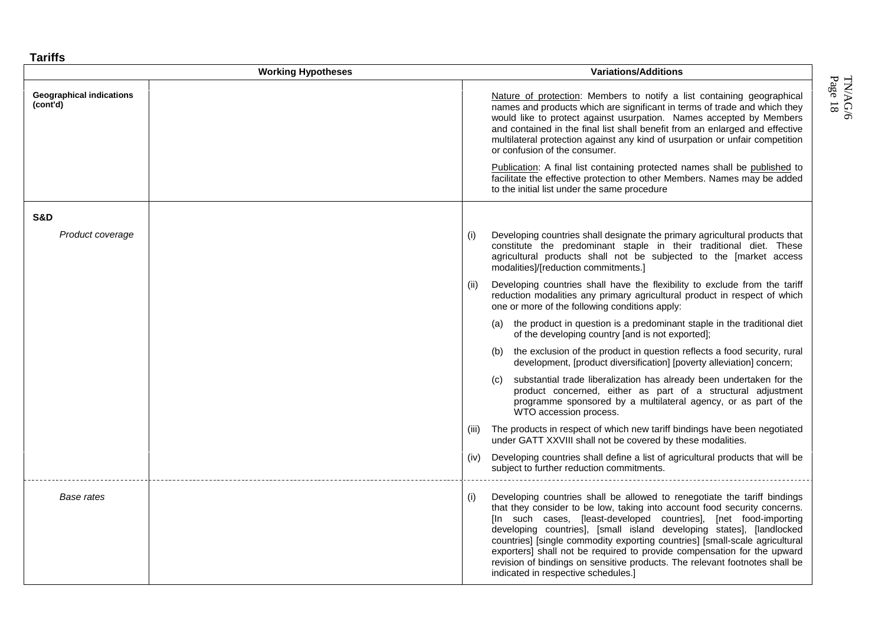|                                             | <b>Working Hypotheses</b> |      | <b>Variations/Additions</b>                                                                                                                                                                                                                                                                                                                                                                                                                                                                                                                                                       |
|---------------------------------------------|---------------------------|------|-----------------------------------------------------------------------------------------------------------------------------------------------------------------------------------------------------------------------------------------------------------------------------------------------------------------------------------------------------------------------------------------------------------------------------------------------------------------------------------------------------------------------------------------------------------------------------------|
| <b>Geographical indications</b><br>(cont'd) |                           |      | Nature of protection: Members to notify a list containing geographical<br>names and products which are significant in terms of trade and which they<br>would like to protect against usurpation. Names accepted by Members<br>and contained in the final list shall benefit from an enlarged and effective<br>multilateral protection against any kind of usurpation or unfair competition<br>or confusion of the consumer.                                                                                                                                                       |
|                                             |                           |      | Publication: A final list containing protected names shall be published to<br>facilitate the effective protection to other Members. Names may be added<br>to the initial list under the same procedure                                                                                                                                                                                                                                                                                                                                                                            |
| S&D                                         |                           |      |                                                                                                                                                                                                                                                                                                                                                                                                                                                                                                                                                                                   |
| Product coverage                            | (i)                       |      | Developing countries shall designate the primary agricultural products that<br>constitute the predominant staple in their traditional diet. These<br>agricultural products shall not be subjected to the [market access<br>modalities]/[reduction commitments.]                                                                                                                                                                                                                                                                                                                   |
|                                             |                           | (ii) | Developing countries shall have the flexibility to exclude from the tariff<br>reduction modalities any primary agricultural product in respect of which<br>one or more of the following conditions apply:                                                                                                                                                                                                                                                                                                                                                                         |
|                                             |                           |      | (a) the product in question is a predominant staple in the traditional diet<br>of the developing country [and is not exported];                                                                                                                                                                                                                                                                                                                                                                                                                                                   |
|                                             |                           |      | (b) the exclusion of the product in question reflects a food security, rural<br>development, [product diversification] [poverty alleviation] concern;                                                                                                                                                                                                                                                                                                                                                                                                                             |
|                                             |                           |      | substantial trade liberalization has already been undertaken for the<br>(c)<br>product concerned, either as part of a structural adjustment<br>programme sponsored by a multilateral agency, or as part of the<br>WTO accession process.                                                                                                                                                                                                                                                                                                                                          |
|                                             |                           |      | The products in respect of which new tariff bindings have been negotiated<br>under GATT XXVIII shall not be covered by these modalities.                                                                                                                                                                                                                                                                                                                                                                                                                                          |
|                                             |                           | (iv) | Developing countries shall define a list of agricultural products that will be<br>subject to further reduction commitments.                                                                                                                                                                                                                                                                                                                                                                                                                                                       |
| <b>Base rates</b>                           | (i)                       |      | Developing countries shall be allowed to renegotiate the tariff bindings<br>that they consider to be low, taking into account food security concerns.<br>[In such cases, [least-developed countries], [net food-importing<br>developing countries], [small island developing states], [landlocked<br>countries] [single commodity exporting countries] [small-scale agricultural<br>exporters] shall not be required to provide compensation for the upward<br>revision of bindings on sensitive products. The relevant footnotes shall be<br>indicated in respective schedules.] |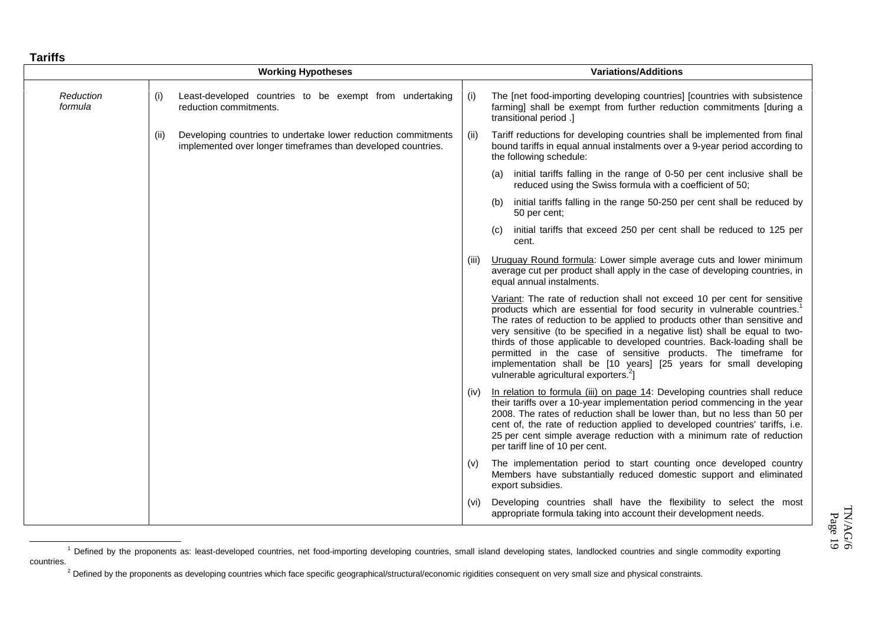|  | rit1 |  |
|--|------|--|
|  |      |  |

|                      | <b>Working Hypotheses</b> |                                                                                                                               |       | <b>Variations/Additions</b>                                                                                                                                                                                                                                                                                                                                                                                                                                                                                                                                                                          |  |  |
|----------------------|---------------------------|-------------------------------------------------------------------------------------------------------------------------------|-------|------------------------------------------------------------------------------------------------------------------------------------------------------------------------------------------------------------------------------------------------------------------------------------------------------------------------------------------------------------------------------------------------------------------------------------------------------------------------------------------------------------------------------------------------------------------------------------------------------|--|--|
| Reduction<br>formula | (i)                       | Least-developed countries to be exempt from undertaking<br>reduction commitments.                                             | (i)   | The [net food-importing developing countries] [countries with subsistence<br>farming] shall be exempt from further reduction commitments [during a<br>transitional period .]                                                                                                                                                                                                                                                                                                                                                                                                                         |  |  |
|                      | (ii)                      | Developing countries to undertake lower reduction commitments<br>implemented over longer timeframes than developed countries. | (ii)  | Tariff reductions for developing countries shall be implemented from final<br>bound tariffs in equal annual instalments over a 9-year period according to<br>the following schedule:                                                                                                                                                                                                                                                                                                                                                                                                                 |  |  |
|                      |                           |                                                                                                                               |       | initial tariffs falling in the range of 0-50 per cent inclusive shall be<br>(a)<br>reduced using the Swiss formula with a coefficient of 50;                                                                                                                                                                                                                                                                                                                                                                                                                                                         |  |  |
|                      |                           |                                                                                                                               |       | initial tariffs falling in the range 50-250 per cent shall be reduced by<br>(b)<br>50 per cent;                                                                                                                                                                                                                                                                                                                                                                                                                                                                                                      |  |  |
|                      |                           |                                                                                                                               |       | initial tariffs that exceed 250 per cent shall be reduced to 125 per<br>(C)<br>cent.                                                                                                                                                                                                                                                                                                                                                                                                                                                                                                                 |  |  |
|                      |                           |                                                                                                                               | (iii) | Uruguay Round formula: Lower simple average cuts and lower minimum<br>average cut per product shall apply in the case of developing countries, in<br>equal annual instalments.                                                                                                                                                                                                                                                                                                                                                                                                                       |  |  |
|                      |                           |                                                                                                                               |       | Variant: The rate of reduction shall not exceed 10 per cent for sensitive<br>products which are essential for food security in vulnerable countries. <sup>1</sup><br>The rates of reduction to be applied to products other than sensitive and<br>very sensitive (to be specified in a negative list) shall be equal to two-<br>thirds of those applicable to developed countries. Back-loading shall be<br>permitted in the case of sensitive products. The timeframe for<br>implementation shall be [10 years] [25 years for small developing<br>vulnerable agricultural exporters. <sup>2</sup> ] |  |  |
|                      |                           |                                                                                                                               | (iv)  | In relation to formula (iii) on page 14: Developing countries shall reduce<br>their tariffs over a 10-year implementation period commencing in the year<br>2008. The rates of reduction shall be lower than, but no less than 50 per<br>cent of, the rate of reduction applied to developed countries' tariffs, i.e.<br>25 per cent simple average reduction with a minimum rate of reduction<br>per tariff line of 10 per cent.                                                                                                                                                                     |  |  |
|                      |                           |                                                                                                                               | (v)   | The implementation period to start counting once developed country<br>Members have substantially reduced domestic support and eliminated<br>export subsidies.                                                                                                                                                                                                                                                                                                                                                                                                                                        |  |  |
|                      |                           |                                                                                                                               | (vi)  | Developing countries shall have the flexibility to select the most<br>appropriate formula taking into account their development needs.                                                                                                                                                                                                                                                                                                                                                                                                                                                               |  |  |

<sup>&</sup>lt;sup>1</sup> Defined by the proponents as: least-developed countries, net food-importing developing countries, small island developing states, landlocked countries and single commodity exporting countries.

<sup>&</sup>lt;sup>2</sup> Defined by the proponents as developing countries which face specific geographical/structural/economic rigidities consequent on very small size and physical constraints.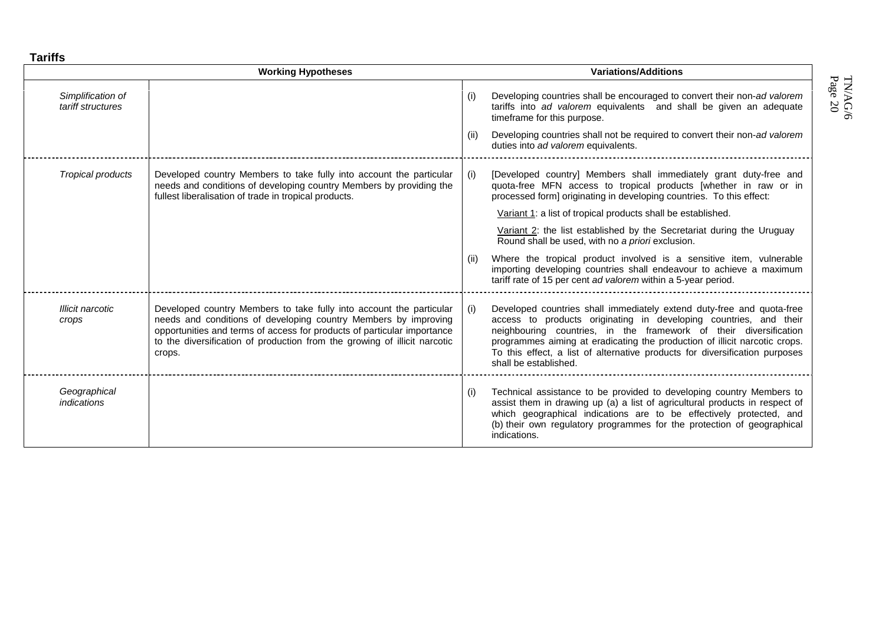|                                        | <b>Working Hypotheses</b>                                                                                                                                                                                                                                                                                |      | <b>Variations/Additions</b>                                                                                                                                                                                                                                                                                                                                                                           |  |  |
|----------------------------------------|----------------------------------------------------------------------------------------------------------------------------------------------------------------------------------------------------------------------------------------------------------------------------------------------------------|------|-------------------------------------------------------------------------------------------------------------------------------------------------------------------------------------------------------------------------------------------------------------------------------------------------------------------------------------------------------------------------------------------------------|--|--|
| Simplification of<br>tariff structures |                                                                                                                                                                                                                                                                                                          | (i)  | Developing countries shall be encouraged to convert their non-ad valorem<br>tariffs into ad valorem equivalents and shall be given an adequate<br>timeframe for this purpose.                                                                                                                                                                                                                         |  |  |
|                                        |                                                                                                                                                                                                                                                                                                          | (ii) | Developing countries shall not be required to convert their non-ad valorem<br>duties into ad valorem equivalents.                                                                                                                                                                                                                                                                                     |  |  |
| Tropical products                      | Developed country Members to take fully into account the particular<br>needs and conditions of developing country Members by providing the<br>fullest liberalisation of trade in tropical products.                                                                                                      | (i)  | [Developed country] Members shall immediately grant duty-free and<br>quota-free MFN access to tropical products [whether in raw or in<br>processed form] originating in developing countries. To this effect:<br>Variant 1: a list of tropical products shall be established.                                                                                                                         |  |  |
|                                        |                                                                                                                                                                                                                                                                                                          |      | Variant 2: the list established by the Secretariat during the Uruguay<br>Round shall be used, with no a priori exclusion.                                                                                                                                                                                                                                                                             |  |  |
|                                        |                                                                                                                                                                                                                                                                                                          | (ii) | Where the tropical product involved is a sensitive item, vulnerable<br>importing developing countries shall endeavour to achieve a maximum<br>tariff rate of 15 per cent ad valorem within a 5-year period.                                                                                                                                                                                           |  |  |
| <b>Illicit narcotic</b><br>crops       | Developed country Members to take fully into account the particular<br>needs and conditions of developing country Members by improving<br>opportunities and terms of access for products of particular importance<br>to the diversification of production from the growing of illicit narcotic<br>crops. | (i)  | Developed countries shall immediately extend duty-free and quota-free<br>access to products originating in developing countries, and their<br>neighbouring countries, in the framework of their diversification<br>programmes aiming at eradicating the production of illicit narcotic crops.<br>To this effect, a list of alternative products for diversification purposes<br>shall be established. |  |  |
| Geographical<br>indications            |                                                                                                                                                                                                                                                                                                          | (i)  | Technical assistance to be provided to developing country Members to<br>assist them in drawing up (a) a list of agricultural products in respect of<br>which geographical indications are to be effectively protected, and<br>(b) their own regulatory programmes for the protection of geographical<br>indications.                                                                                  |  |  |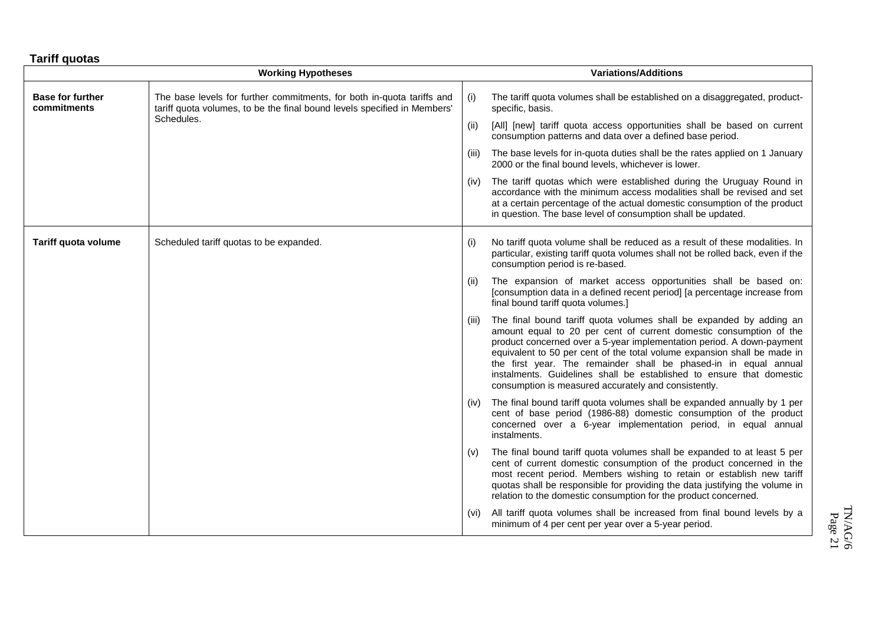|                                        | <b>Working Hypotheses</b>                                                                                                                          |       | <b>Variations/Additions</b>                                                                                                                                                                                                                                                                                                                                                                                                                                                                        |  |  |
|----------------------------------------|----------------------------------------------------------------------------------------------------------------------------------------------------|-------|----------------------------------------------------------------------------------------------------------------------------------------------------------------------------------------------------------------------------------------------------------------------------------------------------------------------------------------------------------------------------------------------------------------------------------------------------------------------------------------------------|--|--|
| <b>Base for further</b><br>commitments | The base levels for further commitments, for both in-quota tariffs and<br>tariff quota volumes, to be the final bound levels specified in Members' | (i)   | The tariff quota volumes shall be established on a disaggregated, product-<br>specific, basis.                                                                                                                                                                                                                                                                                                                                                                                                     |  |  |
|                                        | Schedules.                                                                                                                                         | (ii)  | [All] [new] tariff quota access opportunities shall be based on current<br>consumption patterns and data over a defined base period.                                                                                                                                                                                                                                                                                                                                                               |  |  |
|                                        |                                                                                                                                                    | (iii) | The base levels for in-quota duties shall be the rates applied on 1 January<br>2000 or the final bound levels, whichever is lower.                                                                                                                                                                                                                                                                                                                                                                 |  |  |
|                                        |                                                                                                                                                    | (iv)  | The tariff quotas which were established during the Uruguay Round in<br>accordance with the minimum access modalities shall be revised and set<br>at a certain percentage of the actual domestic consumption of the product<br>in question. The base level of consumption shall be updated.                                                                                                                                                                                                        |  |  |
| Tariff quota volume                    | Scheduled tariff quotas to be expanded.                                                                                                            | (i)   | No tariff quota volume shall be reduced as a result of these modalities. In<br>particular, existing tariff quota volumes shall not be rolled back, even if the<br>consumption period is re-based.                                                                                                                                                                                                                                                                                                  |  |  |
|                                        |                                                                                                                                                    | (ii)  | The expansion of market access opportunities shall be based on:<br>[consumption data in a defined recent period] [a percentage increase from<br>final bound tariff quota volumes.]                                                                                                                                                                                                                                                                                                                 |  |  |
|                                        |                                                                                                                                                    | (iii) | The final bound tariff quota volumes shall be expanded by adding an<br>amount equal to 20 per cent of current domestic consumption of the<br>product concerned over a 5-year implementation period. A down-payment<br>equivalent to 50 per cent of the total volume expansion shall be made in<br>the first year. The remainder shall be phased-in in equal annual<br>instalments. Guidelines shall be established to ensure that domestic<br>consumption is measured accurately and consistently. |  |  |
|                                        |                                                                                                                                                    | (iv)  | The final bound tariff quota volumes shall be expanded annually by 1 per<br>cent of base period (1986-88) domestic consumption of the product<br>concerned over a 6-year implementation period, in equal annual<br>instalments.                                                                                                                                                                                                                                                                    |  |  |
|                                        |                                                                                                                                                    | (v)   | The final bound tariff quota volumes shall be expanded to at least 5 per<br>cent of current domestic consumption of the product concerned in the<br>most recent period. Members wishing to retain or establish new tariff<br>quotas shall be responsible for providing the data justifying the volume in<br>relation to the domestic consumption for the product concerned.                                                                                                                        |  |  |
|                                        |                                                                                                                                                    | (vi)  | All tariff quota volumes shall be increased from final bound levels by a<br>minimum of 4 per cent per year over a 5-year period.                                                                                                                                                                                                                                                                                                                                                                   |  |  |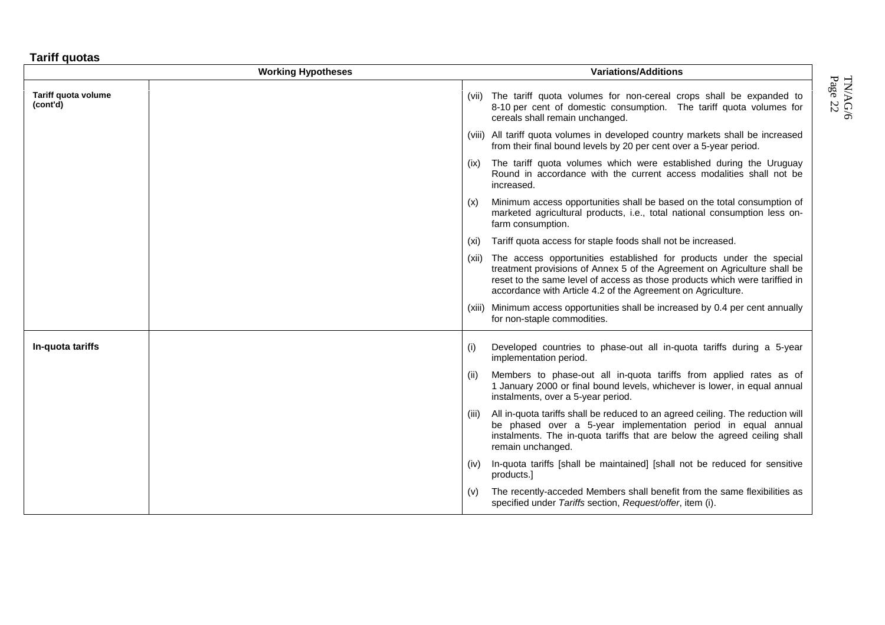| <b>Working Hypotheses</b>       | <b>Variations/Additions</b>                                                                                                                                                                                                                                                                          |
|---------------------------------|------------------------------------------------------------------------------------------------------------------------------------------------------------------------------------------------------------------------------------------------------------------------------------------------------|
| Tariff quota volume<br>(cont'd) | (vii) The tariff quota volumes for non-cereal crops shall be expanded to<br>8-10 per cent of domestic consumption. The tariff quota volumes for<br>cereals shall remain unchanged.                                                                                                                   |
|                                 | (viii) All tariff quota volumes in developed country markets shall be increased<br>from their final bound levels by 20 per cent over a 5-year period.                                                                                                                                                |
|                                 | The tariff quota volumes which were established during the Uruguay<br>(IX)<br>Round in accordance with the current access modalities shall not be<br>increased.                                                                                                                                      |
|                                 | Minimum access opportunities shall be based on the total consumption of<br>(x)<br>marketed agricultural products, i.e., total national consumption less on-<br>farm consumption.                                                                                                                     |
|                                 | Tariff quota access for staple foods shall not be increased.<br>(xi)                                                                                                                                                                                                                                 |
|                                 | (xii) The access opportunities established for products under the special<br>treatment provisions of Annex 5 of the Agreement on Agriculture shall be<br>reset to the same level of access as those products which were tariffied in<br>accordance with Article 4.2 of the Agreement on Agriculture. |
|                                 | (xiii) Minimum access opportunities shall be increased by 0.4 per cent annually<br>for non-staple commodities.                                                                                                                                                                                       |
| In-quota tariffs                | Developed countries to phase-out all in-quota tariffs during a 5-year<br>(i)<br>implementation period.                                                                                                                                                                                               |
|                                 | Members to phase-out all in-quota tariffs from applied rates as of<br>(ii)<br>1 January 2000 or final bound levels, whichever is lower, in equal annual<br>instalments, over a 5-year period.                                                                                                        |
|                                 | All in-quota tariffs shall be reduced to an agreed ceiling. The reduction will<br>(iii)<br>be phased over a 5-year implementation period in equal annual<br>instalments. The in-quota tariffs that are below the agreed ceiling shall<br>remain unchanged.                                           |
|                                 | In-quota tariffs [shall be maintained] [shall not be reduced for sensitive<br>(iv)<br>products.]                                                                                                                                                                                                     |
|                                 | The recently-acceded Members shall benefit from the same flexibilities as<br>(v)<br>specified under Tariffs section, Request/offer, item (i).                                                                                                                                                        |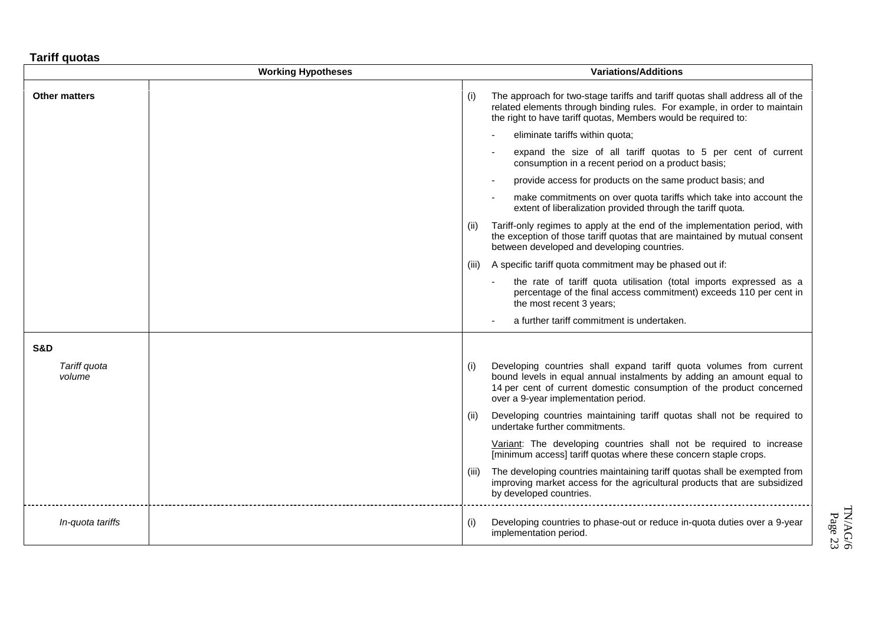|                        | <b>Working Hypotheses</b> | <b>Variations/Additions</b>                                                                                                                                                                                                                                  |
|------------------------|---------------------------|--------------------------------------------------------------------------------------------------------------------------------------------------------------------------------------------------------------------------------------------------------------|
| <b>Other matters</b>   | (i)                       | The approach for two-stage tariffs and tariff quotas shall address all of the<br>related elements through binding rules. For example, in order to maintain<br>the right to have tariff quotas, Members would be required to:                                 |
|                        |                           | eliminate tariffs within quota;                                                                                                                                                                                                                              |
|                        |                           | expand the size of all tariff quotas to 5 per cent of current<br>consumption in a recent period on a product basis;                                                                                                                                          |
|                        |                           | provide access for products on the same product basis; and                                                                                                                                                                                                   |
|                        |                           | make commitments on over quota tariffs which take into account the<br>extent of liberalization provided through the tariff quota.                                                                                                                            |
|                        | (ii)                      | Tariff-only regimes to apply at the end of the implementation period, with<br>the exception of those tariff quotas that are maintained by mutual consent<br>between developed and developing countries.                                                      |
|                        | (iii)                     | A specific tariff quota commitment may be phased out if:                                                                                                                                                                                                     |
|                        |                           | the rate of tariff quota utilisation (total imports expressed as a<br>percentage of the final access commitment) exceeds 110 per cent in<br>the most recent 3 years;                                                                                         |
|                        |                           | a further tariff commitment is undertaken.                                                                                                                                                                                                                   |
| S&D                    |                           |                                                                                                                                                                                                                                                              |
| Tariff quota<br>volume | (i)                       | Developing countries shall expand tariff quota volumes from current<br>bound levels in equal annual instalments by adding an amount equal to<br>14 per cent of current domestic consumption of the product concerned<br>over a 9-year implementation period. |
|                        | (ii)                      | Developing countries maintaining tariff quotas shall not be required to<br>undertake further commitments.                                                                                                                                                    |
|                        |                           | Variant: The developing countries shall not be required to increase<br>[minimum access] tariff quotas where these concern staple crops.                                                                                                                      |
|                        | (iii)                     | The developing countries maintaining tariff quotas shall be exempted from<br>improving market access for the agricultural products that are subsidized<br>by developed countries.                                                                            |
| In-quota tariffs       | (i)                       | Developing countries to phase-out or reduce in-quota duties over a 9-year<br>implementation period.                                                                                                                                                          |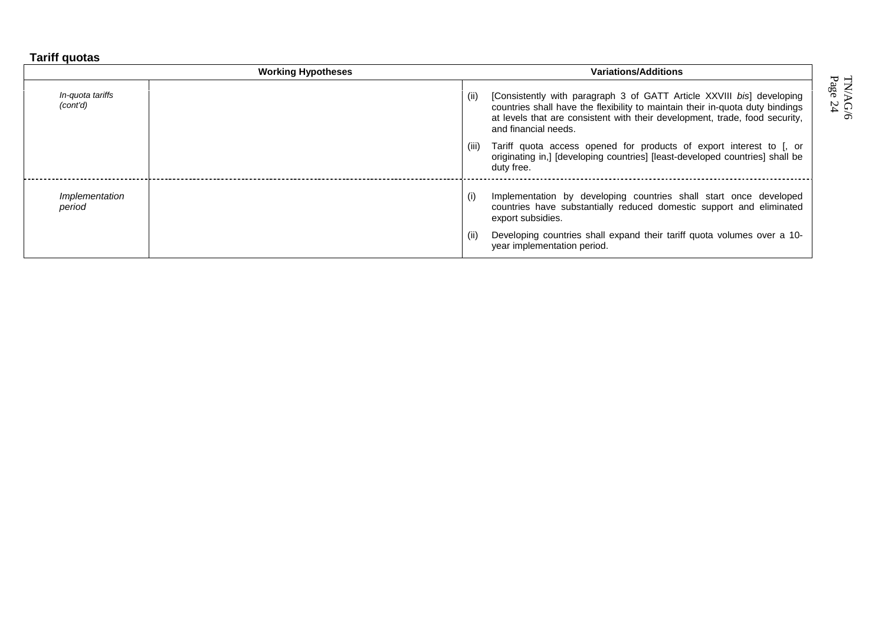| <b>Working Hypotheses</b>    | <b>Variations/Additions</b>                                                                                                                                                                                                                                           |
|------------------------------|-----------------------------------------------------------------------------------------------------------------------------------------------------------------------------------------------------------------------------------------------------------------------|
| In-quota tariffs<br>(cont'd) | [Consistently with paragraph 3 of GATT Article XXVIII bis] developing<br>(ii)<br>countries shall have the flexibility to maintain their in-quota duty bindings<br>at levels that are consistent with their development, trade, food security,<br>and financial needs. |
|                              | Tariff quota access opened for products of export interest to [, or<br>(III)<br>originating in,] [developing countries] [least-developed countries] shall be<br>duty free.                                                                                            |
| Implementation<br>period     | Implementation by developing countries shall start once developed<br>(i)<br>countries have substantially reduced domestic support and eliminated<br>export subsidies.                                                                                                 |
|                              | Developing countries shall expand their tariff quota volumes over a 10-<br>(ii)<br>year implementation period.                                                                                                                                                        |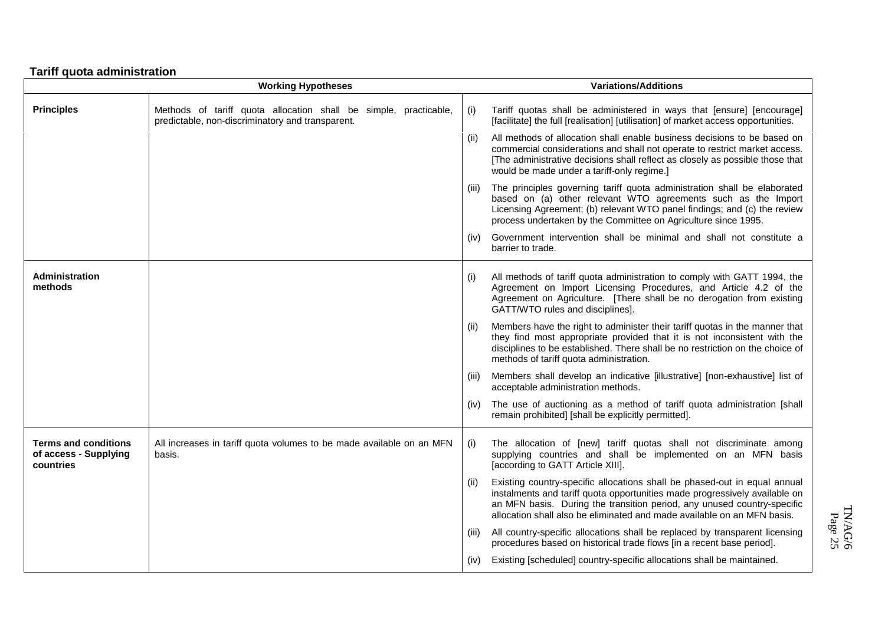| <b>Working Hypotheses</b>                                         |                                                                                                                      |       | <b>Variations/Additions</b>                                                                                                                                                                                                                                                                                   |  |  |
|-------------------------------------------------------------------|----------------------------------------------------------------------------------------------------------------------|-------|---------------------------------------------------------------------------------------------------------------------------------------------------------------------------------------------------------------------------------------------------------------------------------------------------------------|--|--|
| <b>Principles</b>                                                 | Methods of tariff quota allocation shall be simple, practicable,<br>predictable, non-discriminatory and transparent. | (i)   | Tariff quotas shall be administered in ways that [ensure] [encourage]<br>[facilitate] the full [realisation] [utilisation] of market access opportunities.                                                                                                                                                    |  |  |
|                                                                   |                                                                                                                      | (ii)  | All methods of allocation shall enable business decisions to be based on<br>commercial considerations and shall not operate to restrict market access.<br>[The administrative decisions shall reflect as closely as possible those that<br>would be made under a tariff-only regime.]                         |  |  |
|                                                                   |                                                                                                                      | (III) | The principles governing tariff quota administration shall be elaborated<br>based on (a) other relevant WTO agreements such as the Import<br>Licensing Agreement; (b) relevant WTO panel findings; and (c) the review<br>process undertaken by the Committee on Agriculture since 1995.                       |  |  |
|                                                                   |                                                                                                                      | (iv)  | Government intervention shall be minimal and shall not constitute a<br>barrier to trade.                                                                                                                                                                                                                      |  |  |
| <b>Administration</b><br>methods                                  |                                                                                                                      | (i)   | All methods of tariff quota administration to comply with GATT 1994, the<br>Agreement on Import Licensing Procedures, and Article 4.2 of the<br>Agreement on Agriculture. [There shall be no derogation from existing<br>GATT/WTO rules and disciplines].                                                     |  |  |
|                                                                   |                                                                                                                      | (11)  | Members have the right to administer their tariff quotas in the manner that<br>they find most appropriate provided that it is not inconsistent with the<br>disciplines to be established. There shall be no restriction on the choice of<br>methods of tariff quota administration.                           |  |  |
|                                                                   |                                                                                                                      | (III) | Members shall develop an indicative [illustrative] [non-exhaustive] list of<br>acceptable administration methods.                                                                                                                                                                                             |  |  |
|                                                                   |                                                                                                                      | (iv)  | The use of auctioning as a method of tariff quota administration [shall<br>remain prohibited] [shall be explicitly permitted].                                                                                                                                                                                |  |  |
| <b>Terms and conditions</b><br>of access - Supplying<br>countries | All increases in tariff quota volumes to be made available on an MFN<br>basis.                                       | (i)   | The allocation of [new] tariff quotas shall not discriminate among<br>supplying countries and shall be implemented on an MFN basis<br>[according to GATT Article XIII].                                                                                                                                       |  |  |
|                                                                   |                                                                                                                      | (ii)  | Existing country-specific allocations shall be phased-out in equal annual<br>instalments and tariff quota opportunities made progressively available on<br>an MFN basis. During the transition period, any unused country-specific<br>allocation shall also be eliminated and made available on an MFN basis. |  |  |
|                                                                   |                                                                                                                      | (iii) | All country-specific allocations shall be replaced by transparent licensing<br>procedures based on historical trade flows [in a recent base period].                                                                                                                                                          |  |  |
|                                                                   |                                                                                                                      | (iv)  | Existing [scheduled] country-specific allocations shall be maintained.                                                                                                                                                                                                                                        |  |  |

TN/AG/6  $\frac{\rm TN/AG/6}{\rm Page}\ 25$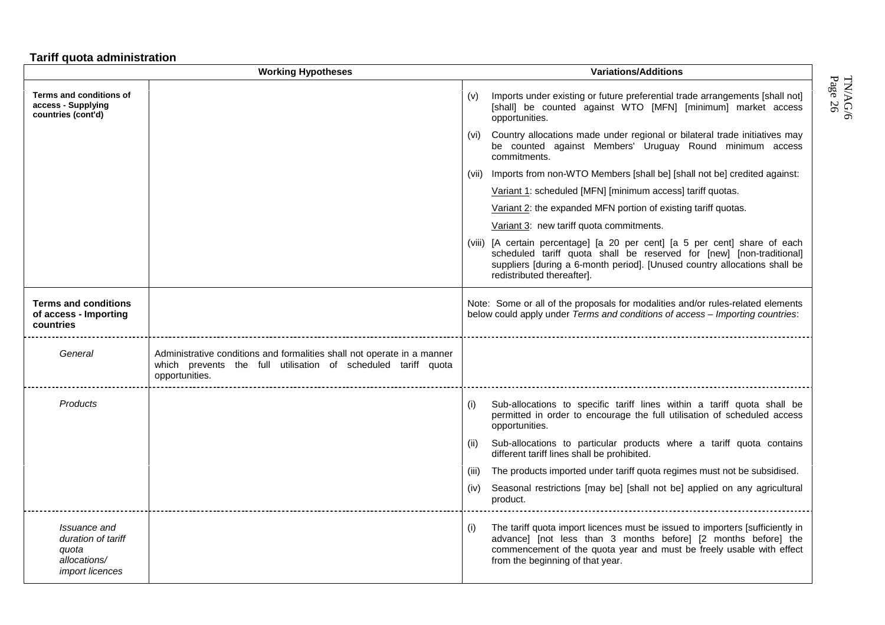|                                                                                       | <b>Working Hypotheses</b>                                                                                                                                  |       | <b>Variations/Additions</b>                                                                                                                                                                                                                                   |
|---------------------------------------------------------------------------------------|------------------------------------------------------------------------------------------------------------------------------------------------------------|-------|---------------------------------------------------------------------------------------------------------------------------------------------------------------------------------------------------------------------------------------------------------------|
| <b>Terms and conditions of</b><br>access - Supplying<br>countries (cont'd)            |                                                                                                                                                            | (v)   | Imports under existing or future preferential trade arrangements [shall not]<br>[shall] be counted against WTO [MFN] [minimum] market access<br>opportunities.                                                                                                |
|                                                                                       |                                                                                                                                                            | (vi)  | Country allocations made under regional or bilateral trade initiatives may<br>be counted against Members' Uruguay Round minimum access<br>commitments.                                                                                                        |
|                                                                                       |                                                                                                                                                            | (vii) | Imports from non-WTO Members [shall be] [shall not be] credited against:                                                                                                                                                                                      |
|                                                                                       |                                                                                                                                                            |       | Variant 1: scheduled [MFN] [minimum access] tariff quotas.                                                                                                                                                                                                    |
|                                                                                       |                                                                                                                                                            |       | Variant 2: the expanded MFN portion of existing tariff quotas.                                                                                                                                                                                                |
|                                                                                       |                                                                                                                                                            |       | Variant 3: new tariff quota commitments.                                                                                                                                                                                                                      |
|                                                                                       |                                                                                                                                                            |       | (viii) [A certain percentage] [a 20 per cent] [a 5 per cent] share of each<br>scheduled tariff quota shall be reserved for [new] [non-traditional]<br>suppliers [during a 6-month period]. [Unused country allocations shall be<br>redistributed thereafter]. |
| <b>Terms and conditions</b><br>of access - Importing<br>countries                     |                                                                                                                                                            |       | Note: Some or all of the proposals for modalities and/or rules-related elements<br>below could apply under Terms and conditions of access - Importing countries:                                                                                              |
| General                                                                               | Administrative conditions and formalities shall not operate in a manner<br>which prevents the full utilisation of scheduled tariff quota<br>opportunities. |       |                                                                                                                                                                                                                                                               |
| Products                                                                              |                                                                                                                                                            | (i)   | Sub-allocations to specific tariff lines within a tariff quota shall be<br>permitted in order to encourage the full utilisation of scheduled access<br>opportunities.                                                                                         |
|                                                                                       |                                                                                                                                                            | (ii)  | Sub-allocations to particular products where a tariff quota contains<br>different tariff lines shall be prohibited.                                                                                                                                           |
|                                                                                       |                                                                                                                                                            | (iii) | The products imported under tariff quota regimes must not be subsidised.                                                                                                                                                                                      |
|                                                                                       |                                                                                                                                                            | (iv)  | Seasonal restrictions [may be] [shall not be] applied on any agricultural<br>product.                                                                                                                                                                         |
| <i>Issuance and</i><br>duration of tariff<br>quota<br>allocations/<br>import licences |                                                                                                                                                            | (i)   | The tariff quota import licences must be issued to importers [sufficiently in<br>advance] [not less than 3 months before] [2 months before] the<br>commencement of the quota year and must be freely usable with effect<br>from the beginning of that year.   |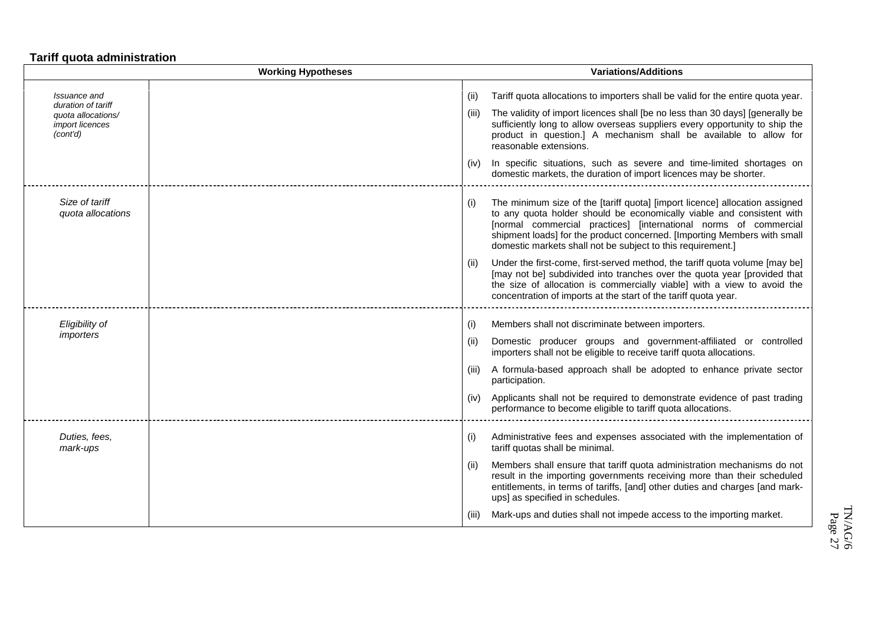|                                                   | <b>Working Hypotheses</b> | <b>Variations/Additions</b>                                                                                                                                                                                                                                                                                                                                         |
|---------------------------------------------------|---------------------------|---------------------------------------------------------------------------------------------------------------------------------------------------------------------------------------------------------------------------------------------------------------------------------------------------------------------------------------------------------------------|
| Issuance and<br>duration of tariff                | (ii)                      | Tariff quota allocations to importers shall be valid for the entire quota year.                                                                                                                                                                                                                                                                                     |
| quota allocations/<br>import licences<br>(cont'd) | (iii)                     | The validity of import licences shall [be no less than 30 days] [generally be<br>sufficiently long to allow overseas suppliers every opportunity to ship the<br>product in question.] A mechanism shall be available to allow for<br>reasonable extensions.                                                                                                         |
|                                                   | (iv)                      | In specific situations, such as severe and time-limited shortages on<br>domestic markets, the duration of import licences may be shorter.                                                                                                                                                                                                                           |
| Size of tariff<br>quota allocations               | (i)                       | The minimum size of the [tariff quota] [import licence] allocation assigned<br>to any quota holder should be economically viable and consistent with<br>[normal commercial practices] [international norms of commercial<br>shipment loads] for the product concerned. [Importing Members with small<br>domestic markets shall not be subject to this requirement.] |
|                                                   | (ii)                      | Under the first-come, first-served method, the tariff quota volume [may be]<br>[may not be] subdivided into tranches over the quota year [provided that<br>the size of allocation is commercially viable] with a view to avoid the<br>concentration of imports at the start of the tariff quota year.                                                               |
| Eligibility of                                    | (i)                       | Members shall not discriminate between importers.                                                                                                                                                                                                                                                                                                                   |
| importers                                         | (ii)                      | Domestic producer groups and government-affiliated or controlled<br>importers shall not be eligible to receive tariff quota allocations.                                                                                                                                                                                                                            |
|                                                   | (iii)                     | A formula-based approach shall be adopted to enhance private sector<br>participation.                                                                                                                                                                                                                                                                               |
|                                                   | (iv)                      | Applicants shall not be required to demonstrate evidence of past trading<br>performance to become eligible to tariff quota allocations.                                                                                                                                                                                                                             |
| Duties, fees,<br>mark-ups                         | (i)                       | Administrative fees and expenses associated with the implementation of<br>tariff quotas shall be minimal.                                                                                                                                                                                                                                                           |
|                                                   | (ii)                      | Members shall ensure that tariff quota administration mechanisms do not<br>result in the importing governments receiving more than their scheduled<br>entitlements, in terms of tariffs, [and] other duties and charges [and mark-<br>ups] as specified in schedules.                                                                                               |
|                                                   | (iii)                     | Mark-ups and duties shall not impede access to the importing market.                                                                                                                                                                                                                                                                                                |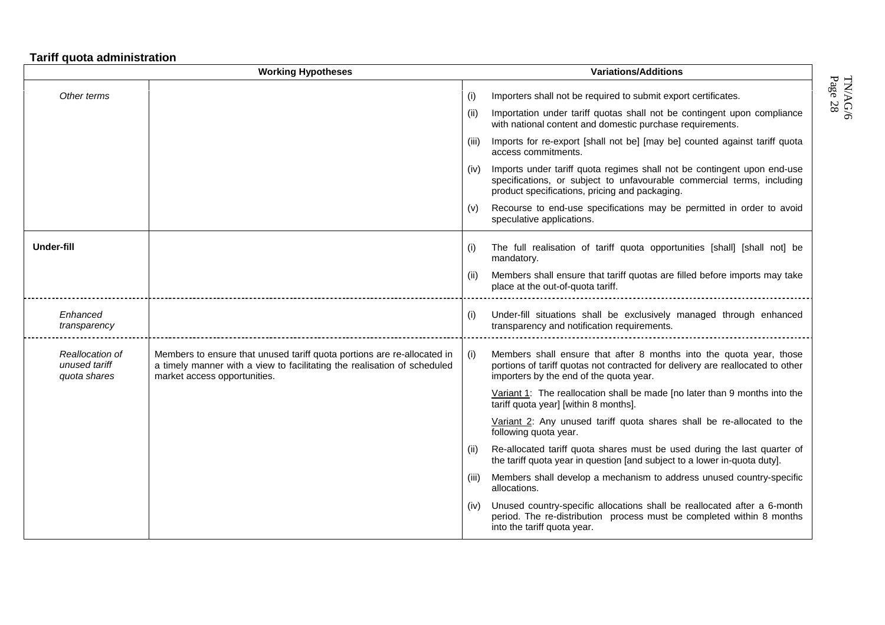|                                                  | <b>Working Hypotheses</b>                                                                                                                                                           |       | <b>Variations/Additions</b>                                                                                                                                                                         |
|--------------------------------------------------|-------------------------------------------------------------------------------------------------------------------------------------------------------------------------------------|-------|-----------------------------------------------------------------------------------------------------------------------------------------------------------------------------------------------------|
| Other terms                                      |                                                                                                                                                                                     | (i)   | Importers shall not be required to submit export certificates.                                                                                                                                      |
|                                                  |                                                                                                                                                                                     | (ii)  | Importation under tariff quotas shall not be contingent upon compliance<br>with national content and domestic purchase requirements.                                                                |
|                                                  |                                                                                                                                                                                     | (iii) | Imports for re-export [shall not be] [may be] counted against tariff quota<br>access commitments.                                                                                                   |
|                                                  |                                                                                                                                                                                     | (iv)  | Imports under tariff quota regimes shall not be contingent upon end-use<br>specifications, or subject to unfavourable commercial terms, including<br>product specifications, pricing and packaging. |
|                                                  |                                                                                                                                                                                     | (v)   | Recourse to end-use specifications may be permitted in order to avoid<br>speculative applications.                                                                                                  |
| Under-fill                                       |                                                                                                                                                                                     | (i)   | The full realisation of tariff quota opportunities [shall] [shall not] be<br>mandatory.                                                                                                             |
|                                                  |                                                                                                                                                                                     | (ii)  | Members shall ensure that tariff quotas are filled before imports may take<br>place at the out-of-quota tariff.                                                                                     |
| Enhanced<br>transparency                         |                                                                                                                                                                                     | (i)   | Under-fill situations shall be exclusively managed through enhanced<br>transparency and notification requirements.                                                                                  |
| Reallocation of<br>unused tariff<br>quota shares | Members to ensure that unused tariff quota portions are re-allocated in<br>a timely manner with a view to facilitating the realisation of scheduled<br>market access opportunities. | (i)   | Members shall ensure that after 8 months into the quota year, those<br>portions of tariff quotas not contracted for delivery are reallocated to other<br>importers by the end of the quota year.    |
|                                                  |                                                                                                                                                                                     |       | Variant 1: The reallocation shall be made [no later than 9 months into the<br>tariff quota year] [within 8 months].                                                                                 |
|                                                  |                                                                                                                                                                                     |       | Variant 2: Any unused tariff quota shares shall be re-allocated to the<br>following quota year.                                                                                                     |
|                                                  |                                                                                                                                                                                     | (ii)  | Re-allocated tariff quota shares must be used during the last quarter of<br>the tariff quota year in question [and subject to a lower in-quota duty].                                               |
|                                                  |                                                                                                                                                                                     | (iii) | Members shall develop a mechanism to address unused country-specific<br>allocations.                                                                                                                |
|                                                  |                                                                                                                                                                                     | (iv)  | Unused country-specific allocations shall be reallocated after a 6-month<br>period. The re-distribution process must be completed within 8 months<br>into the tariff quota year.                    |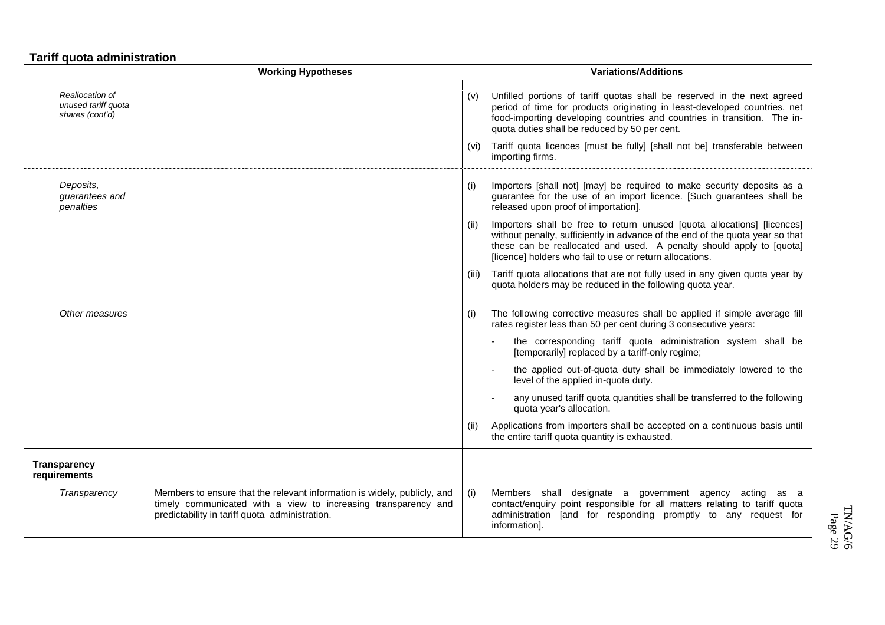| <b>Working Hypotheses</b>                                 |                                                                                                                                                                                              | <b>Variations/Additions</b> |                                                                                                                                                                                                                                                                                              |  |
|-----------------------------------------------------------|----------------------------------------------------------------------------------------------------------------------------------------------------------------------------------------------|-----------------------------|----------------------------------------------------------------------------------------------------------------------------------------------------------------------------------------------------------------------------------------------------------------------------------------------|--|
| Reallocation of<br>unused tariff quota<br>shares (cont'd) |                                                                                                                                                                                              | (v)                         | Unfilled portions of tariff quotas shall be reserved in the next agreed<br>period of time for products originating in least-developed countries, net<br>food-importing developing countries and countries in transition. The in-<br>quota duties shall be reduced by 50 per cent.            |  |
|                                                           |                                                                                                                                                                                              | (vi)                        | Tariff quota licences [must be fully] [shall not be] transferable between<br>importing firms.                                                                                                                                                                                                |  |
| Deposits,<br>guarantees and<br>penalties                  |                                                                                                                                                                                              | (i)                         | Importers [shall not] [may] be required to make security deposits as a<br>guarantee for the use of an import licence. [Such guarantees shall be<br>released upon proof of importation].                                                                                                      |  |
|                                                           |                                                                                                                                                                                              | (ii)                        | Importers shall be free to return unused [quota allocations] [licences]<br>without penalty, sufficiently in advance of the end of the quota year so that<br>these can be reallocated and used. A penalty should apply to [quota]<br>[licence] holders who fail to use or return allocations. |  |
|                                                           |                                                                                                                                                                                              | (iii)                       | Tariff quota allocations that are not fully used in any given quota year by<br>quota holders may be reduced in the following quota year.                                                                                                                                                     |  |
| Other measures                                            |                                                                                                                                                                                              | (i)                         | The following corrective measures shall be applied if simple average fill<br>rates register less than 50 per cent during 3 consecutive years:                                                                                                                                                |  |
|                                                           |                                                                                                                                                                                              |                             | the corresponding tariff quota administration system shall be<br>[temporarily] replaced by a tariff-only regime;                                                                                                                                                                             |  |
|                                                           |                                                                                                                                                                                              |                             | the applied out-of-quota duty shall be immediately lowered to the<br>level of the applied in-quota duty.                                                                                                                                                                                     |  |
|                                                           |                                                                                                                                                                                              |                             | any unused tariff quota quantities shall be transferred to the following<br>quota year's allocation.                                                                                                                                                                                         |  |
|                                                           |                                                                                                                                                                                              | (ii)                        | Applications from importers shall be accepted on a continuous basis until<br>the entire tariff quota quantity is exhausted.                                                                                                                                                                  |  |
| <b>Transparency</b><br>requirements                       |                                                                                                                                                                                              |                             |                                                                                                                                                                                                                                                                                              |  |
| Transparency                                              | Members to ensure that the relevant information is widely, publicly, and<br>timely communicated with a view to increasing transparency and<br>predictability in tariff quota administration. | (i)                         | Members shall designate a government agency acting as a<br>contact/enquiry point responsible for all matters relating to tariff quota<br>administration [and for responding promptly to any request for<br>information].                                                                     |  |

TN/AG/6  $\frac{\rm TNAG/6}{\rm Page}\,29$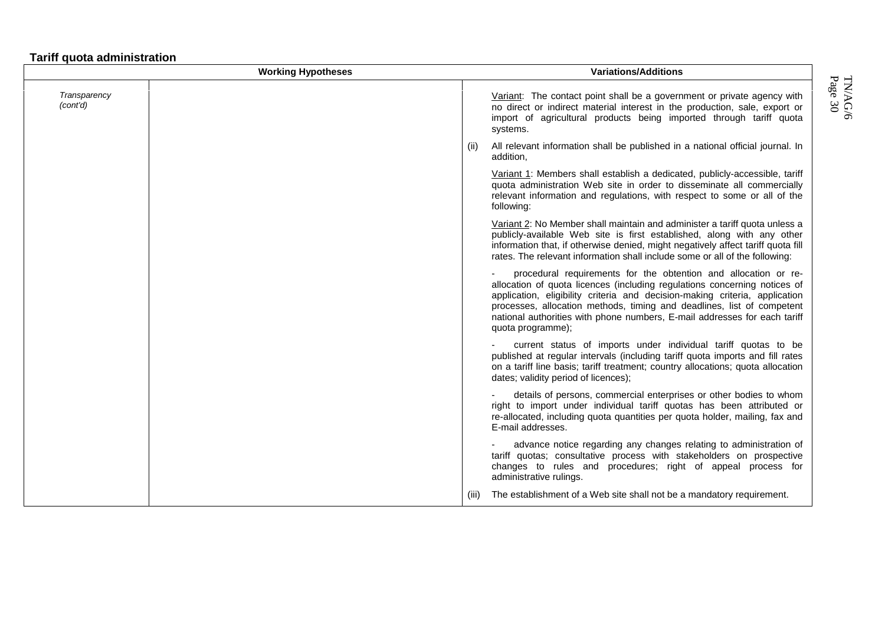|                          | <b>Working Hypotheses</b> |       | <b>Variations/Additions</b>                                                                                                                                                                                                                                                                                                                                                                             |
|--------------------------|---------------------------|-------|---------------------------------------------------------------------------------------------------------------------------------------------------------------------------------------------------------------------------------------------------------------------------------------------------------------------------------------------------------------------------------------------------------|
| Transparency<br>(cont'd) |                           |       | Variant: The contact point shall be a government or private agency with<br>no direct or indirect material interest in the production, sale, export or<br>import of agricultural products being imported through tariff quota<br>systems.                                                                                                                                                                |
|                          |                           | (ii)  | All relevant information shall be published in a national official journal. In<br>addition,                                                                                                                                                                                                                                                                                                             |
|                          |                           |       | Variant 1: Members shall establish a dedicated, publicly-accessible, tariff<br>quota administration Web site in order to disseminate all commercially<br>relevant information and regulations, with respect to some or all of the<br>following:                                                                                                                                                         |
|                          |                           |       | Variant 2: No Member shall maintain and administer a tariff quota unless a<br>publicly-available Web site is first established, along with any other<br>information that, if otherwise denied, might negatively affect tariff quota fill<br>rates. The relevant information shall include some or all of the following:                                                                                 |
|                          |                           |       | procedural requirements for the obtention and allocation or re-<br>allocation of quota licences (including regulations concerning notices of<br>application, eligibility criteria and decision-making criteria, application<br>processes, allocation methods, timing and deadlines, list of competent<br>national authorities with phone numbers, E-mail addresses for each tariff<br>quota programme); |
|                          |                           |       | current status of imports under individual tariff quotas to be<br>published at regular intervals (including tariff quota imports and fill rates<br>on a tariff line basis; tariff treatment; country allocations; quota allocation<br>dates; validity period of licences);                                                                                                                              |
|                          |                           |       | details of persons, commercial enterprises or other bodies to whom<br>right to import under individual tariff quotas has been attributed or<br>re-allocated, including quota quantities per quota holder, mailing, fax and<br>E-mail addresses.                                                                                                                                                         |
|                          |                           |       | advance notice regarding any changes relating to administration of<br>tariff quotas; consultative process with stakeholders on prospective<br>changes to rules and procedures; right of appeal process for<br>administrative rulings.                                                                                                                                                                   |
|                          |                           | (iii) | The establishment of a Web site shall not be a mandatory requirement.                                                                                                                                                                                                                                                                                                                                   |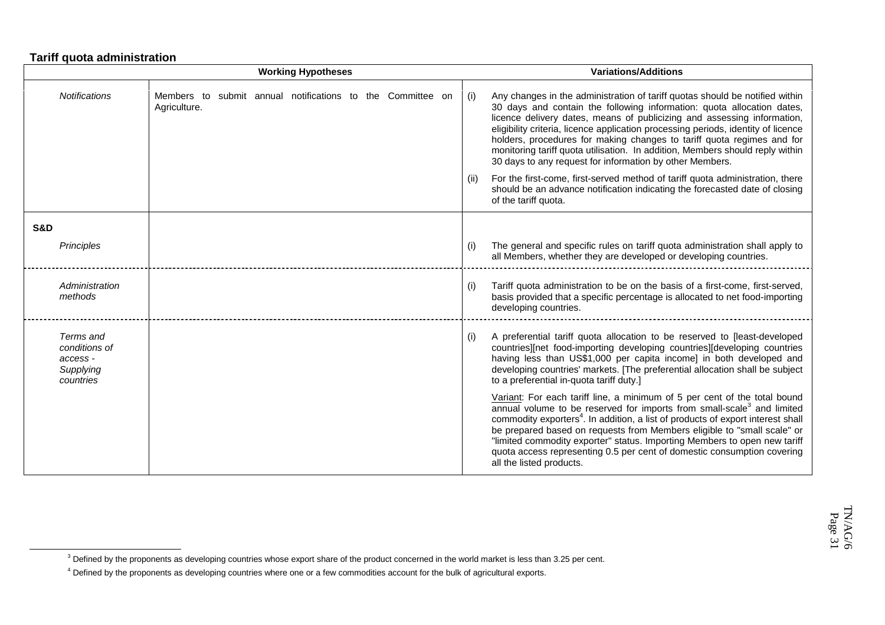|                                                                  | <b>Working Hypotheses</b>                                                  | <b>Variations/Additions</b>                                                                                                                                                                                                                                                                                                                                                                                                                                                                                                                          |
|------------------------------------------------------------------|----------------------------------------------------------------------------|------------------------------------------------------------------------------------------------------------------------------------------------------------------------------------------------------------------------------------------------------------------------------------------------------------------------------------------------------------------------------------------------------------------------------------------------------------------------------------------------------------------------------------------------------|
| <b>Notifications</b>                                             | Members to submit annual notifications to the Committee on<br>Agriculture. | Any changes in the administration of tariff quotas should be notified within<br>(i)<br>30 days and contain the following information: quota allocation dates,<br>licence delivery dates, means of publicizing and assessing information,<br>eligibility criteria, licence application processing periods, identity of licence<br>holders, procedures for making changes to tariff quota regimes and for<br>monitoring tariff quota utilisation. In addition, Members should reply within<br>30 days to any request for information by other Members. |
|                                                                  |                                                                            | For the first-come, first-served method of tariff quota administration, there<br>(ii)<br>should be an advance notification indicating the forecasted date of closing<br>of the tariff quota.                                                                                                                                                                                                                                                                                                                                                         |
| S&D                                                              |                                                                            |                                                                                                                                                                                                                                                                                                                                                                                                                                                                                                                                                      |
| Principles                                                       |                                                                            | The general and specific rules on tariff quota administration shall apply to<br>(i)<br>all Members, whether they are developed or developing countries.                                                                                                                                                                                                                                                                                                                                                                                              |
| Administration<br>methods                                        |                                                                            | Tariff quota administration to be on the basis of a first-come, first-served,<br>(i)<br>basis provided that a specific percentage is allocated to net food-importing<br>developing countries.                                                                                                                                                                                                                                                                                                                                                        |
| Terms and<br>conditions of<br>access -<br>Supplying<br>countries |                                                                            | A preferential tariff quota allocation to be reserved to [least-developed<br>(i)<br>countries][net food-importing developing countries][developing countries<br>having less than US\$1,000 per capita income] in both developed and<br>developing countries' markets. [The preferential allocation shall be subject<br>to a preferential in-quota tariff duty.]                                                                                                                                                                                      |
|                                                                  |                                                                            | Variant: For each tariff line, a minimum of 5 per cent of the total bound<br>annual volume to be reserved for imports from small-scale <sup>3</sup> and limited<br>commodity exporters <sup>4</sup> . In addition, a list of products of export interest shall<br>be prepared based on requests from Members eligible to "small scale" or<br>"limited commodity exporter" status. Importing Members to open new tariff<br>quota access representing 0.5 per cent of domestic consumption covering<br>all the listed products.                        |

<sup>&</sup>lt;sup>3</sup> Defined by the proponents as developing countries whose export share of the product concerned in the world market is less than 3.25 per cent.

 $4$  Defined by the proponents as developing countries where one or a few commodities account for the bulk of agricultural exports.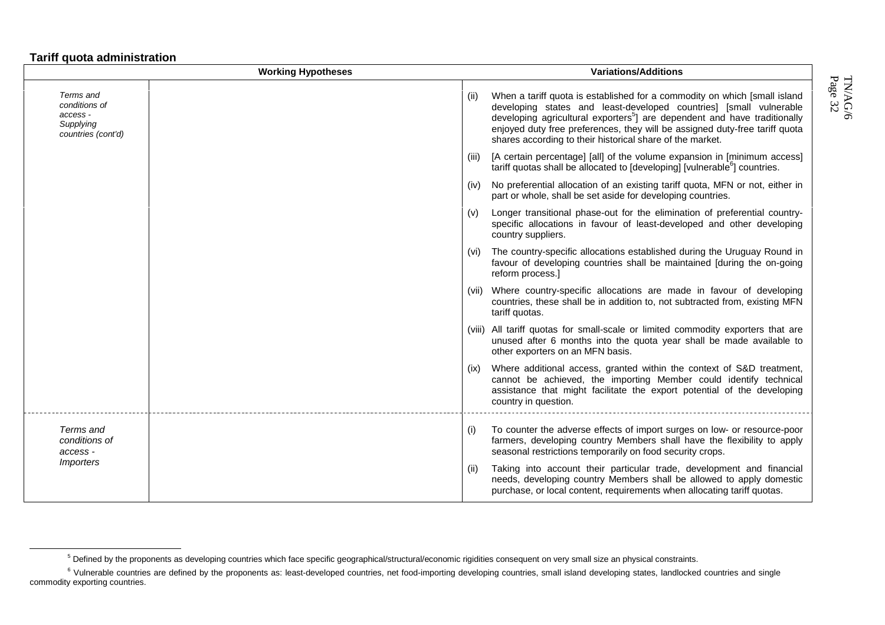|                                                                           | <b>Working Hypotheses</b> |       | <b>Variations/Additions</b>                                                                                                                                                                                                                                                                                                                                                          |
|---------------------------------------------------------------------------|---------------------------|-------|--------------------------------------------------------------------------------------------------------------------------------------------------------------------------------------------------------------------------------------------------------------------------------------------------------------------------------------------------------------------------------------|
| Terms and<br>conditions of<br>access -<br>Supplying<br>countries (cont'd) |                           | (ii)  | When a tariff quota is established for a commodity on which [small island<br>developing states and least-developed countries] [small vulnerable<br>developing agricultural exporters <sup>5</sup> ] are dependent and have traditionally<br>enjoyed duty free preferences, they will be assigned duty-free tariff quota<br>shares according to their historical share of the market. |
|                                                                           |                           | (iii) | [A certain percentage] [all] of the volume expansion in [minimum access]<br>tariff quotas shall be allocated to [developing] [vulnerable <sup>6</sup> ] countries.                                                                                                                                                                                                                   |
|                                                                           |                           | (iv)  | No preferential allocation of an existing tariff quota, MFN or not, either in<br>part or whole, shall be set aside for developing countries.                                                                                                                                                                                                                                         |
|                                                                           |                           | (v)   | Longer transitional phase-out for the elimination of preferential country-<br>specific allocations in favour of least-developed and other developing<br>country suppliers.                                                                                                                                                                                                           |
|                                                                           |                           | (vi)  | The country-specific allocations established during the Uruguay Round in<br>favour of developing countries shall be maintained [during the on-going<br>reform process.]                                                                                                                                                                                                              |
|                                                                           |                           |       | (vii) Where country-specific allocations are made in favour of developing<br>countries, these shall be in addition to, not subtracted from, existing MFN<br>tariff quotas.                                                                                                                                                                                                           |
|                                                                           |                           |       | (viii) All tariff quotas for small-scale or limited commodity exporters that are<br>unused after 6 months into the quota year shall be made available to<br>other exporters on an MFN basis.                                                                                                                                                                                         |
|                                                                           |                           | (ix)  | Where additional access, granted within the context of S&D treatment,<br>cannot be achieved, the importing Member could identify technical<br>assistance that might facilitate the export potential of the developing<br>country in question.                                                                                                                                        |
| Terms and<br>conditions of<br>access -                                    |                           | (i)   | To counter the adverse effects of import surges on low- or resource-poor<br>farmers, developing country Members shall have the flexibility to apply<br>seasonal restrictions temporarily on food security crops.                                                                                                                                                                     |
| <i><b>Importers</b></i>                                                   |                           | (ii)  | Taking into account their particular trade, development and financial<br>needs, developing country Members shall be allowed to apply domestic<br>purchase, or local content, requirements when allocating tariff quotas.                                                                                                                                                             |

<sup>&</sup>lt;sup>5</sup> Defined by the proponents as developing countries which face specific geographical/structural/economic rigidities consequent on very small size an physical constraints.

<sup>&</sup>lt;sup>6</sup> Vulnerable countries are defined by the proponents as: least-developed countries, net food-importing developing countries, small island developing states, landlocked countries and single commodity exporting countries.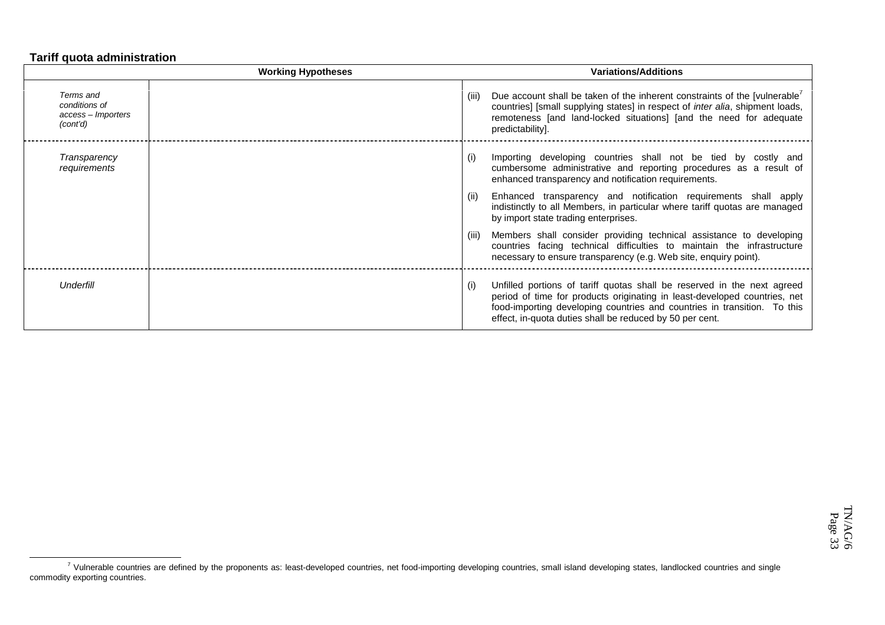|                                                              | <b>Working Hypotheses</b> | <b>Variations/Additions</b>                                                                                                                                                                                                                                                                  |
|--------------------------------------------------------------|---------------------------|----------------------------------------------------------------------------------------------------------------------------------------------------------------------------------------------------------------------------------------------------------------------------------------------|
| Terms and<br>conditions of<br>access - Importers<br>(cont'd) | (iii)                     | Due account shall be taken of the inherent constraints of the [vulnerable]<br>countries] [small supplying states] in respect of <i>inter alia</i> , shipment loads,<br>remoteness [and land-locked situations] [and the need for adequate<br>predictability].                                |
| Transparency<br>requirements                                 | (i)                       | Importing developing countries shall not be tied by costly and<br>cumbersome administrative and reporting procedures as a result of<br>enhanced transparency and notification requirements.                                                                                                  |
|                                                              | (ii)                      | Enhanced transparency and notification requirements shall apply<br>indistinctly to all Members, in particular where tariff quotas are managed<br>by import state trading enterprises.                                                                                                        |
|                                                              | (iii)                     | Members shall consider providing technical assistance to developing<br>countries facing technical difficulties to maintain the infrastructure<br>necessary to ensure transparency (e.g. Web site, enquiry point).                                                                            |
| Underfill                                                    | (i)                       | Unfilled portions of tariff quotas shall be reserved in the next agreed<br>period of time for products originating in least-developed countries, net<br>food-importing developing countries and countries in transition. To this<br>effect, in-quota duties shall be reduced by 50 per cent. |

TN/AG/6  $\frac{\rm TNAG/6}{\rm Page}\,33$ 

 $^7$  Vulnerable countries are defined by the proponents as: least-developed countries, net food-importing developing countries, small island developing states, landlocked countries and single commodity exporting countries.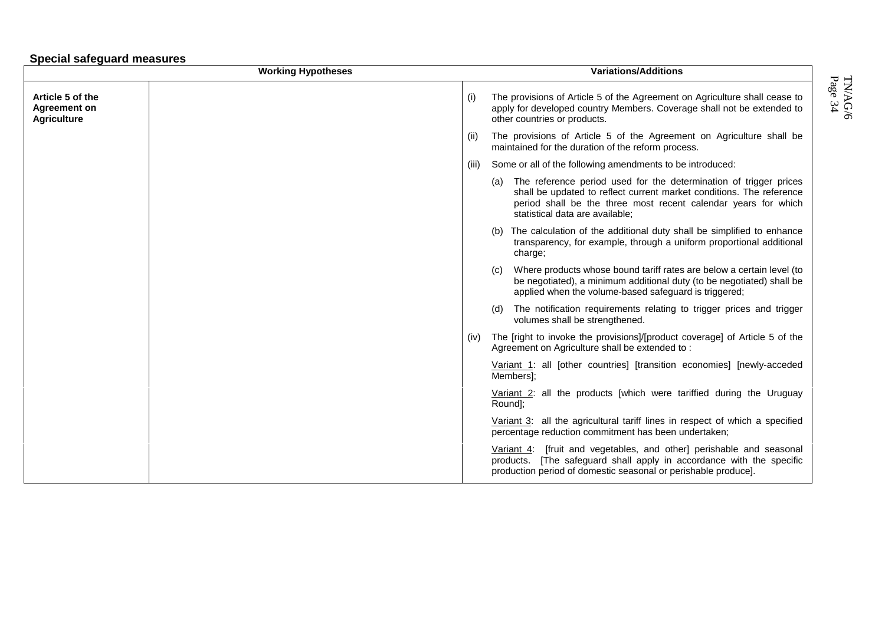# **Special safeguard measures**

|                                                               | <b>Working Hypotheses</b> |       | <b>Variations/Additions</b>                                                                                                                                                                                                                           |
|---------------------------------------------------------------|---------------------------|-------|-------------------------------------------------------------------------------------------------------------------------------------------------------------------------------------------------------------------------------------------------------|
| Article 5 of the<br><b>Agreement on</b><br><b>Agriculture</b> |                           | (i)   | The provisions of Article 5 of the Agreement on Agriculture shall cease to<br>apply for developed country Members. Coverage shall not be extended to<br>other countries or products.                                                                  |
|                                                               |                           | (ii)  | The provisions of Article 5 of the Agreement on Agriculture shall be<br>maintained for the duration of the reform process.                                                                                                                            |
|                                                               |                           | (iii) | Some or all of the following amendments to be introduced:                                                                                                                                                                                             |
|                                                               |                           |       | The reference period used for the determination of trigger prices<br>(a)<br>shall be updated to reflect current market conditions. The reference<br>period shall be the three most recent calendar years for which<br>statistical data are available; |
|                                                               |                           |       | (b) The calculation of the additional duty shall be simplified to enhance<br>transparency, for example, through a uniform proportional additional<br>charge;                                                                                          |
|                                                               |                           |       | Where products whose bound tariff rates are below a certain level (to<br>(C)<br>be negotiated), a minimum additional duty (to be negotiated) shall be<br>applied when the volume-based safeguard is triggered;                                        |
|                                                               |                           |       | The notification requirements relating to trigger prices and trigger<br>(d)<br>volumes shall be strengthened.                                                                                                                                         |
|                                                               |                           | (iv)  | The [right to invoke the provisions]/[product coverage] of Article 5 of the<br>Agreement on Agriculture shall be extended to:                                                                                                                         |
|                                                               |                           |       | Variant 1: all [other countries] [transition economies] [newly-acceded<br>Members];                                                                                                                                                                   |
|                                                               |                           |       | Variant 2: all the products [which were tariffied during the Uruguay<br>Round]:                                                                                                                                                                       |
|                                                               |                           |       | Variant $3$ : all the agricultural tariff lines in respect of which a specified<br>percentage reduction commitment has been undertaken;                                                                                                               |
|                                                               |                           |       | Variant 4: [fruit and vegetables, and other] perishable and seasonal<br>products. [The safeguard shall apply in accordance with the specific<br>production period of domestic seasonal or perishable produce].                                        |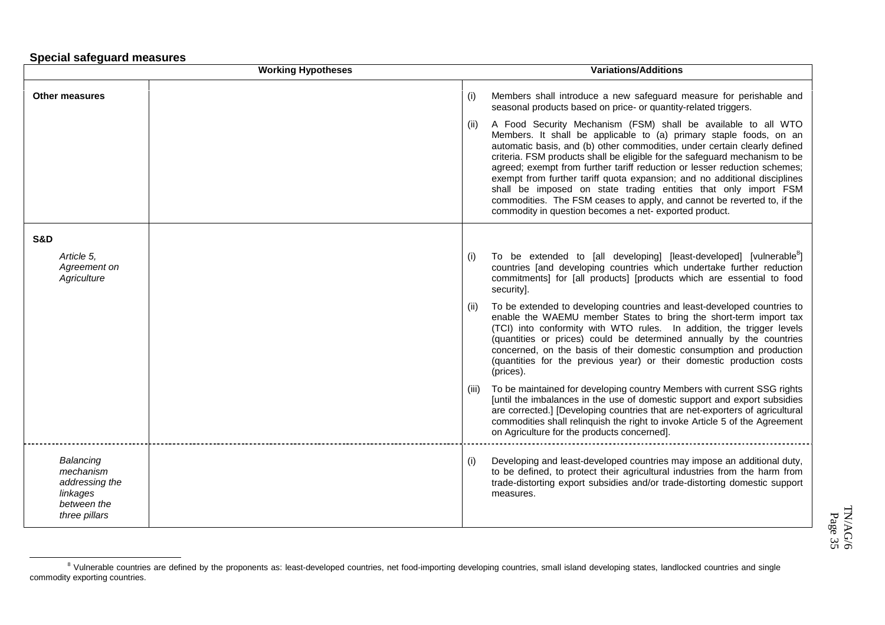# **Special safeguard measures**

|                                                                                      | <b>Working Hypotheses</b> |       | <b>Variations/Additions</b>                                                                                                                                                                                                                                                                                                                                                                                                                                                                                                                                                                                                                                      |
|--------------------------------------------------------------------------------------|---------------------------|-------|------------------------------------------------------------------------------------------------------------------------------------------------------------------------------------------------------------------------------------------------------------------------------------------------------------------------------------------------------------------------------------------------------------------------------------------------------------------------------------------------------------------------------------------------------------------------------------------------------------------------------------------------------------------|
| <b>Other measures</b>                                                                |                           | (i)   | Members shall introduce a new safeguard measure for perishable and<br>seasonal products based on price- or quantity-related triggers.                                                                                                                                                                                                                                                                                                                                                                                                                                                                                                                            |
|                                                                                      |                           | (ii)  | A Food Security Mechanism (FSM) shall be available to all WTO<br>Members. It shall be applicable to (a) primary staple foods, on an<br>automatic basis, and (b) other commodities, under certain clearly defined<br>criteria. FSM products shall be eligible for the safeguard mechanism to be<br>agreed; exempt from further tariff reduction or lesser reduction schemes;<br>exempt from further tariff quota expansion; and no additional disciplines<br>shall be imposed on state trading entities that only import FSM<br>commodities. The FSM ceases to apply, and cannot be reverted to, if the<br>commodity in question becomes a net- exported product. |
| S&D                                                                                  |                           |       |                                                                                                                                                                                                                                                                                                                                                                                                                                                                                                                                                                                                                                                                  |
| Article 5.<br>Agreement on<br>Agriculture                                            |                           | (i)   | To be extended to [all developing] [least-developed] [vulnerable <sup>8</sup> ]<br>countries [and developing countries which undertake further reduction<br>commitments] for [all products] [products which are essential to food<br>security].                                                                                                                                                                                                                                                                                                                                                                                                                  |
|                                                                                      |                           | (ii)  | To be extended to developing countries and least-developed countries to<br>enable the WAEMU member States to bring the short-term import tax<br>(TCI) into conformity with WTO rules. In addition, the trigger levels<br>(quantities or prices) could be determined annually by the countries<br>concerned, on the basis of their domestic consumption and production<br>(quantities for the previous year) or their domestic production costs<br>(prices).                                                                                                                                                                                                      |
|                                                                                      |                           | (iii) | To be maintained for developing country Members with current SSG rights<br>[until the imbalances in the use of domestic support and export subsidies<br>are corrected.] [Developing countries that are net-exporters of agricultural<br>commodities shall relinquish the right to invoke Article 5 of the Agreement<br>on Agriculture for the products concerned].                                                                                                                                                                                                                                                                                               |
| Balancing<br>mechanism<br>addressing the<br>linkages<br>between the<br>three pillars |                           | (i)   | Developing and least-developed countries may impose an additional duty,<br>to be defined, to protect their agricultural industries from the harm from<br>trade-distorting export subsidies and/or trade-distorting domestic support<br>measures.                                                                                                                                                                                                                                                                                                                                                                                                                 |

TN/AG/6  $\begin{array}{lcl} & \text{TN} \land \text{G}/6 \\ & \text{Page 35} \end{array}$ 

 $8$  Vulnerable countries are defined by the proponents as: least-developed countries, net food-importing developing countries, small island developing states, landlocked countries and single commodity exporting countries.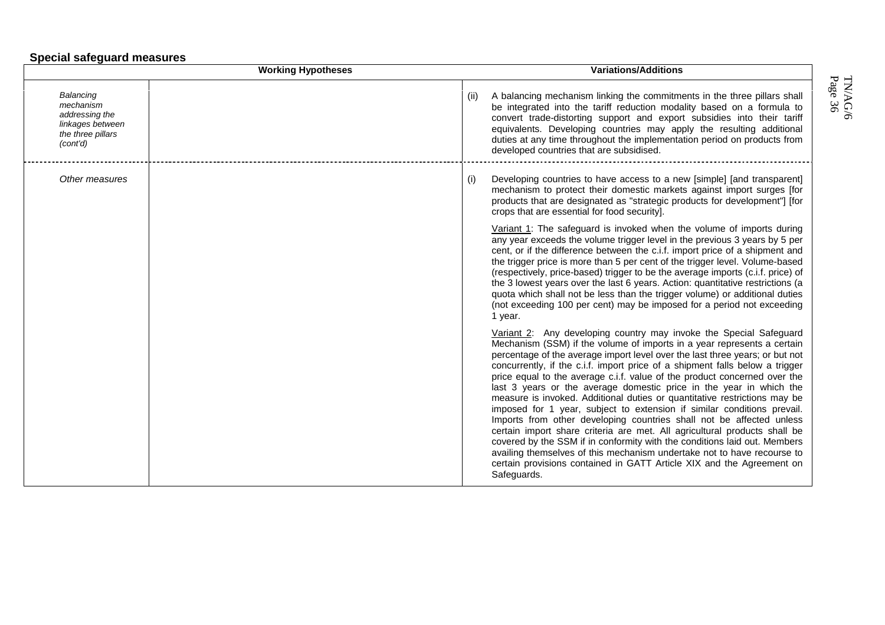# **Special safeguard measures**

| <b>Working Hypotheses</b>                                                                     | <b>Variations/Additions</b>                                                                                                                                                                                                                                                                                                                                                                                                                                                                                                                                                                                                                                                                                                                                                                                                                                                                                                                                                                                                    |
|-----------------------------------------------------------------------------------------------|--------------------------------------------------------------------------------------------------------------------------------------------------------------------------------------------------------------------------------------------------------------------------------------------------------------------------------------------------------------------------------------------------------------------------------------------------------------------------------------------------------------------------------------------------------------------------------------------------------------------------------------------------------------------------------------------------------------------------------------------------------------------------------------------------------------------------------------------------------------------------------------------------------------------------------------------------------------------------------------------------------------------------------|
| Balancing<br>mechanism<br>addressing the<br>linkages between<br>the three pillars<br>(cont'd) | (ii)<br>A balancing mechanism linking the commitments in the three pillars shall<br>be integrated into the tariff reduction modality based on a formula to<br>convert trade-distorting support and export subsidies into their tariff<br>equivalents. Developing countries may apply the resulting additional<br>duties at any time throughout the implementation period on products from<br>developed countries that are subsidised.                                                                                                                                                                                                                                                                                                                                                                                                                                                                                                                                                                                          |
| Other measures                                                                                | Developing countries to have access to a new [simple] [and transparent]<br>(i)<br>mechanism to protect their domestic markets against import surges [for<br>products that are designated as "strategic products for development"] [for<br>crops that are essential for food security].                                                                                                                                                                                                                                                                                                                                                                                                                                                                                                                                                                                                                                                                                                                                         |
|                                                                                               | Variant 1: The safeguard is invoked when the volume of imports during<br>any year exceeds the volume trigger level in the previous 3 years by 5 per<br>cent, or if the difference between the c.i.f. import price of a shipment and<br>the trigger price is more than 5 per cent of the trigger level. Volume-based<br>(respectively, price-based) trigger to be the average imports (c.i.f. price) of<br>the 3 lowest years over the last 6 years. Action: quantitative restrictions (a<br>quota which shall not be less than the trigger volume) or additional duties<br>(not exceeding 100 per cent) may be imposed for a period not exceeding<br>1 year.                                                                                                                                                                                                                                                                                                                                                                   |
|                                                                                               | Variant 2: Any developing country may invoke the Special Safeguard<br>Mechanism (SSM) if the volume of imports in a year represents a certain<br>percentage of the average import level over the last three years; or but not<br>concurrently, if the c.i.f. import price of a shipment falls below a trigger<br>price equal to the average c.i.f. value of the product concerned over the<br>last 3 years or the average domestic price in the year in which the<br>measure is invoked. Additional duties or quantitative restrictions may be<br>imposed for 1 year, subject to extension if similar conditions prevail.<br>Imports from other developing countries shall not be affected unless<br>certain import share criteria are met. All agricultural products shall be<br>covered by the SSM if in conformity with the conditions laid out. Members<br>availing themselves of this mechanism undertake not to have recourse to<br>certain provisions contained in GATT Article XIX and the Agreement on<br>Safeguards. |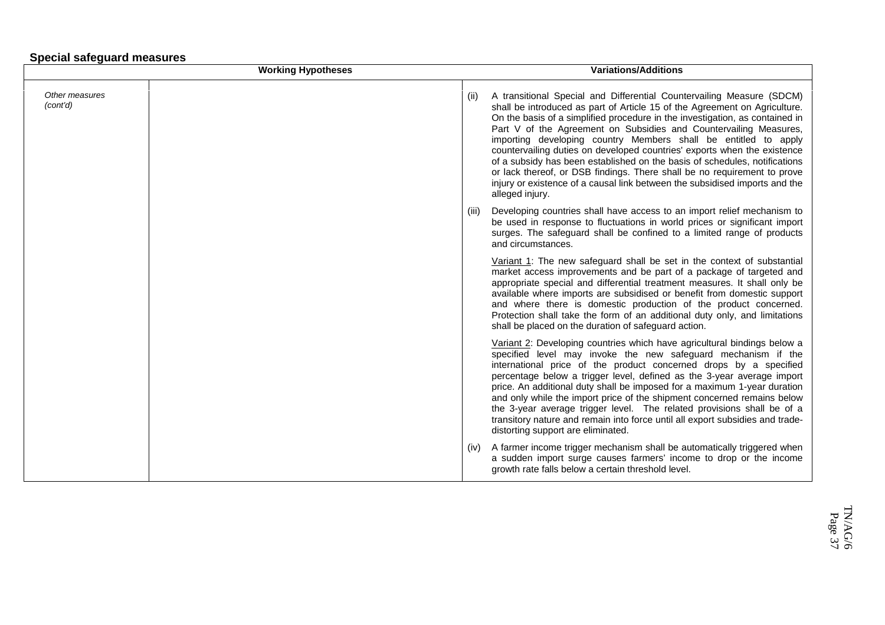## **Special safeguard measures**

|                            | <b>Working Hypotheses</b> | <b>Variations/Additions</b>                                                                                                                                                                                                                                                                                                                                                                                                                                                                                                                                                                                                                                                                                         |
|----------------------------|---------------------------|---------------------------------------------------------------------------------------------------------------------------------------------------------------------------------------------------------------------------------------------------------------------------------------------------------------------------------------------------------------------------------------------------------------------------------------------------------------------------------------------------------------------------------------------------------------------------------------------------------------------------------------------------------------------------------------------------------------------|
| Other measures<br>(cont'd) | (ii)                      | A transitional Special and Differential Countervailing Measure (SDCM)<br>shall be introduced as part of Article 15 of the Agreement on Agriculture.<br>On the basis of a simplified procedure in the investigation, as contained in<br>Part V of the Agreement on Subsidies and Countervailing Measures,<br>importing developing country Members shall be entitled to apply<br>countervailing duties on developed countries' exports when the existence<br>of a subsidy has been established on the basis of schedules, notifications<br>or lack thereof, or DSB findings. There shall be no requirement to prove<br>injury or existence of a causal link between the subsidised imports and the<br>alleged injury. |
|                            | (iii)                     | Developing countries shall have access to an import relief mechanism to<br>be used in response to fluctuations in world prices or significant import<br>surges. The safeguard shall be confined to a limited range of products<br>and circumstances.                                                                                                                                                                                                                                                                                                                                                                                                                                                                |
|                            |                           | Variant 1: The new safeguard shall be set in the context of substantial<br>market access improvements and be part of a package of targeted and<br>appropriate special and differential treatment measures. It shall only be<br>available where imports are subsidised or benefit from domestic support<br>and where there is domestic production of the product concerned.<br>Protection shall take the form of an additional duty only, and limitations<br>shall be placed on the duration of safeguard action.                                                                                                                                                                                                    |
|                            |                           | Variant 2: Developing countries which have agricultural bindings below a<br>specified level may invoke the new safeguard mechanism if the<br>international price of the product concerned drops by a specified<br>percentage below a trigger level, defined as the 3-year average import<br>price. An additional duty shall be imposed for a maximum 1-year duration<br>and only while the import price of the shipment concerned remains below<br>the 3-year average trigger level. The related provisions shall be of a<br>transitory nature and remain into force until all export subsidies and trade-<br>distorting support are eliminated.                                                                    |
|                            | (iv)                      | A farmer income trigger mechanism shall be automatically triggered when<br>a sudden import surge causes farmers' income to drop or the income<br>growth rate falls below a certain threshold level.                                                                                                                                                                                                                                                                                                                                                                                                                                                                                                                 |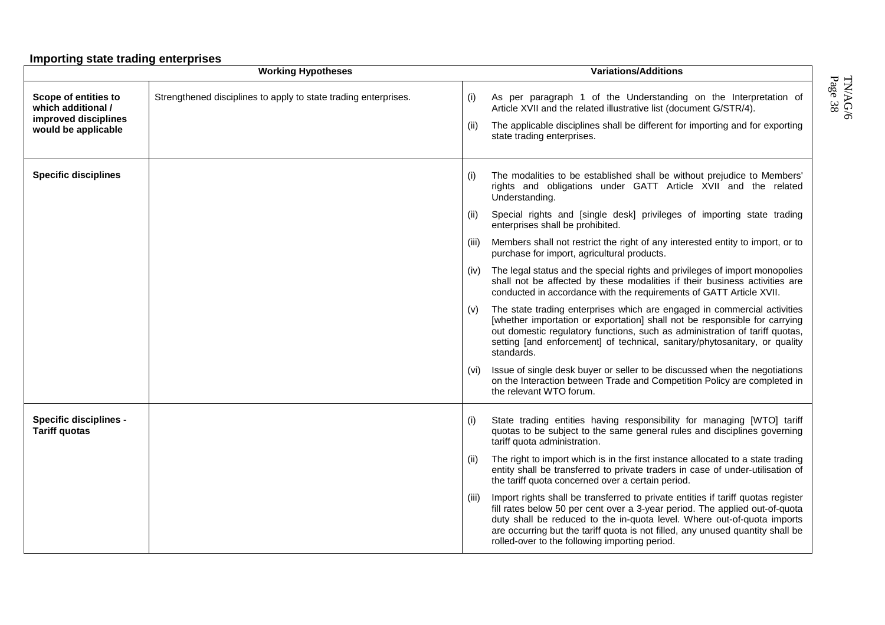## **Importing state trading enterprises**

|                                                       | <b>Working Hypotheses</b>                                       |       | <b>Variations/Additions</b>                                                                                                                                                                                                                                                                                                                                                    |
|-------------------------------------------------------|-----------------------------------------------------------------|-------|--------------------------------------------------------------------------------------------------------------------------------------------------------------------------------------------------------------------------------------------------------------------------------------------------------------------------------------------------------------------------------|
| Scope of entities to<br>which additional /            | Strengthened disciplines to apply to state trading enterprises. | (i)   | As per paragraph 1 of the Understanding on the Interpretation of<br>Article XVII and the related illustrative list (document G/STR/4).                                                                                                                                                                                                                                         |
| improved disciplines<br>would be applicable           |                                                                 | (ii)  | The applicable disciplines shall be different for importing and for exporting<br>state trading enterprises.                                                                                                                                                                                                                                                                    |
| <b>Specific disciplines</b>                           |                                                                 | (i)   | The modalities to be established shall be without prejudice to Members'<br>rights and obligations under GATT Article XVII and the related<br>Understanding.                                                                                                                                                                                                                    |
|                                                       |                                                                 | (ii)  | Special rights and [single desk] privileges of importing state trading<br>enterprises shall be prohibited.                                                                                                                                                                                                                                                                     |
|                                                       |                                                                 | (iii) | Members shall not restrict the right of any interested entity to import, or to<br>purchase for import, agricultural products.                                                                                                                                                                                                                                                  |
|                                                       |                                                                 | (iv)  | The legal status and the special rights and privileges of import monopolies<br>shall not be affected by these modalities if their business activities are<br>conducted in accordance with the requirements of GATT Article XVII.                                                                                                                                               |
|                                                       |                                                                 | (v)   | The state trading enterprises which are engaged in commercial activities<br>[whether importation or exportation] shall not be responsible for carrying<br>out domestic regulatory functions, such as administration of tariff quotas,<br>setting [and enforcement] of technical, sanitary/phytosanitary, or quality<br>standards.                                              |
|                                                       |                                                                 | (vi)  | Issue of single desk buyer or seller to be discussed when the negotiations<br>on the Interaction between Trade and Competition Policy are completed in<br>the relevant WTO forum.                                                                                                                                                                                              |
| <b>Specific disciplines -</b><br><b>Tariff quotas</b> |                                                                 | (i)   | State trading entities having responsibility for managing [WTO] tariff<br>quotas to be subject to the same general rules and disciplines governing<br>tariff quota administration.                                                                                                                                                                                             |
|                                                       |                                                                 | (ii)  | The right to import which is in the first instance allocated to a state trading<br>entity shall be transferred to private traders in case of under-utilisation of<br>the tariff quota concerned over a certain period.                                                                                                                                                         |
|                                                       |                                                                 | (iii) | Import rights shall be transferred to private entities if tariff quotas register<br>fill rates below 50 per cent over a 3-year period. The applied out-of-quota<br>duty shall be reduced to the in-quota level. Where out-of-quota imports<br>are occurring but the tariff quota is not filled, any unused quantity shall be<br>rolled-over to the following importing period. |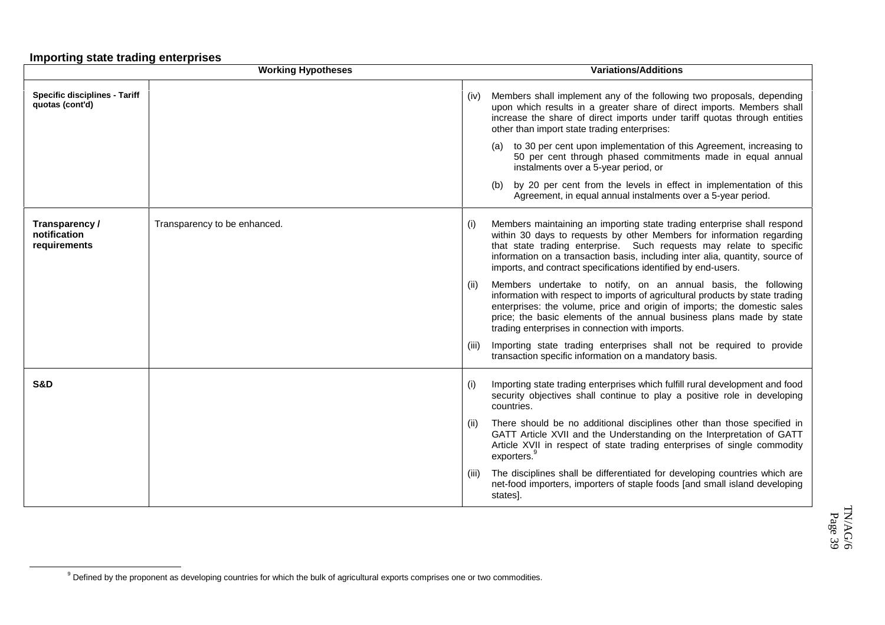## **Importing state trading enterprises**

|                                                         | <b>Working Hypotheses</b>    | <b>Variations/Additions</b> |                                                                                                                                                                                                                                                                                                                                                                           |
|---------------------------------------------------------|------------------------------|-----------------------------|---------------------------------------------------------------------------------------------------------------------------------------------------------------------------------------------------------------------------------------------------------------------------------------------------------------------------------------------------------------------------|
| <b>Specific disciplines - Tariff</b><br>quotas (cont'd) |                              | (iv)                        | Members shall implement any of the following two proposals, depending<br>upon which results in a greater share of direct imports. Members shall<br>increase the share of direct imports under tariff quotas through entities<br>other than import state trading enterprises:                                                                                              |
|                                                         |                              |                             | (a) to 30 per cent upon implementation of this Agreement, increasing to<br>50 per cent through phased commitments made in equal annual<br>instalments over a 5-year period, or                                                                                                                                                                                            |
|                                                         |                              |                             | by 20 per cent from the levels in effect in implementation of this<br>(b)<br>Agreement, in equal annual instalments over a 5-year period.                                                                                                                                                                                                                                 |
| Transparency /<br>notification<br>requirements          | Transparency to be enhanced. | (i)                         | Members maintaining an importing state trading enterprise shall respond<br>within 30 days to requests by other Members for information regarding<br>that state trading enterprise. Such requests may relate to specific<br>information on a transaction basis, including inter alia, quantity, source of<br>imports, and contract specifications identified by end-users. |
|                                                         |                              | (ii)                        | Members undertake to notify, on an annual basis, the following<br>information with respect to imports of agricultural products by state trading<br>enterprises: the volume, price and origin of imports; the domestic sales<br>price; the basic elements of the annual business plans made by state<br>trading enterprises in connection with imports.                    |
|                                                         |                              | (iii)                       | Importing state trading enterprises shall not be required to provide<br>transaction specific information on a mandatory basis.                                                                                                                                                                                                                                            |
| S&D                                                     |                              | (i)                         | Importing state trading enterprises which fulfill rural development and food<br>security objectives shall continue to play a positive role in developing<br>countries.                                                                                                                                                                                                    |
|                                                         |                              | (ii)                        | There should be no additional disciplines other than those specified in<br>GATT Article XVII and the Understanding on the Interpretation of GATT<br>Article XVII in respect of state trading enterprises of single commodity<br>exporters. <sup>9</sup>                                                                                                                   |
|                                                         |                              | (iii)                       | The disciplines shall be differentiated for developing countries which are<br>net-food importers, importers of staple foods [and small island developing<br>states].                                                                                                                                                                                                      |

<sup>&</sup>lt;sup>9</sup> Defined by the proponent as developing countries for which the bulk of agricultural exports comprises one or two commodities.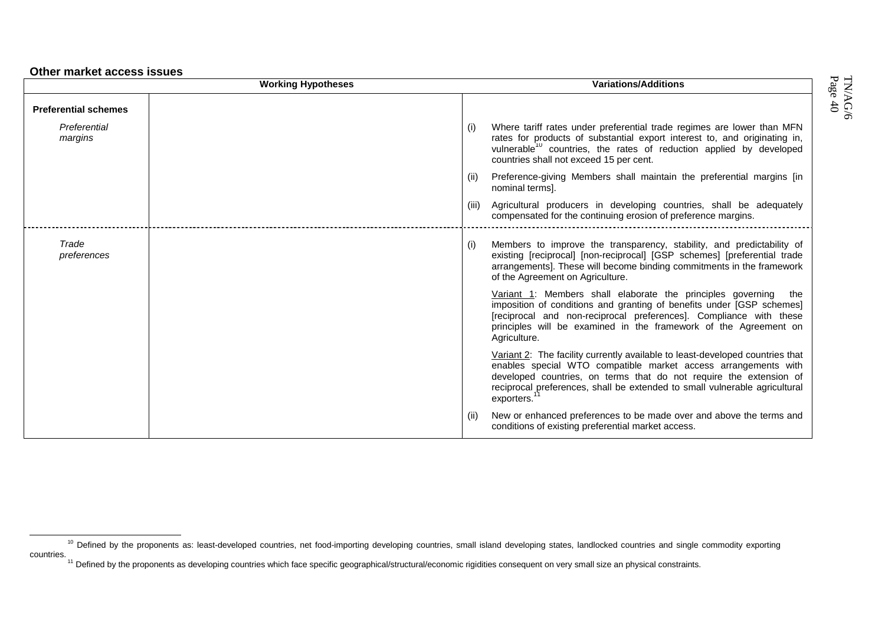|                             | <b>Working Hypotheses</b> |       | <b>Variations/Additions</b>                                                                                                                                                                                                                                                                                                    |
|-----------------------------|---------------------------|-------|--------------------------------------------------------------------------------------------------------------------------------------------------------------------------------------------------------------------------------------------------------------------------------------------------------------------------------|
| <b>Preferential schemes</b> |                           |       |                                                                                                                                                                                                                                                                                                                                |
| Preferential<br>margins     |                           | (i)   | Where tariff rates under preferential trade regimes are lower than MFN<br>rates for products of substantial export interest to, and originating in,<br>vulnerable <sup>10</sup> countries, the rates of reduction applied by developed<br>countries shall not exceed 15 per cent.                                              |
|                             |                           | (ii)  | Preference-giving Members shall maintain the preferential margins [in<br>nominal terms].                                                                                                                                                                                                                                       |
|                             |                           | (iii) | Agricultural producers in developing countries, shall be adequately<br>compensated for the continuing erosion of preference margins.                                                                                                                                                                                           |
| Trade<br>preferences        |                           | (i)   | Members to improve the transparency, stability, and predictability of<br>existing [reciprocal] [non-reciprocal] [GSP schemes] [preferential trade<br>arrangements]. These will become binding commitments in the framework<br>of the Agreement on Agriculture.                                                                 |
|                             |                           |       | Variant 1: Members shall elaborate the principles governing the<br>imposition of conditions and granting of benefits under [GSP schemes]<br>[reciprocal and non-reciprocal preferences]. Compliance with these<br>principles will be examined in the framework of the Agreement on<br>Agriculture.                             |
|                             |                           |       | Variant 2: The facility currently available to least-developed countries that<br>enables special WTO compatible market access arrangements with<br>developed countries, on terms that do not require the extension of<br>reciprocal preferences, shall be extended to small vulnerable agricultural<br>exporters. <sup>1</sup> |
|                             |                           | (ii)  | New or enhanced preferences to be made over and above the terms and<br>conditions of existing preferential market access.                                                                                                                                                                                                      |

<sup>&</sup>lt;sup>10</sup> Defined by the proponents as: least-developed countries, net food-importing developing countries, small island developing states, landlocked countries and single commodity exporting countries.

<sup>&</sup>lt;sup>11</sup> Defined by the proponents as developing countries which face specific geographical/structural/economic rigidities consequent on very small size an physical constraints.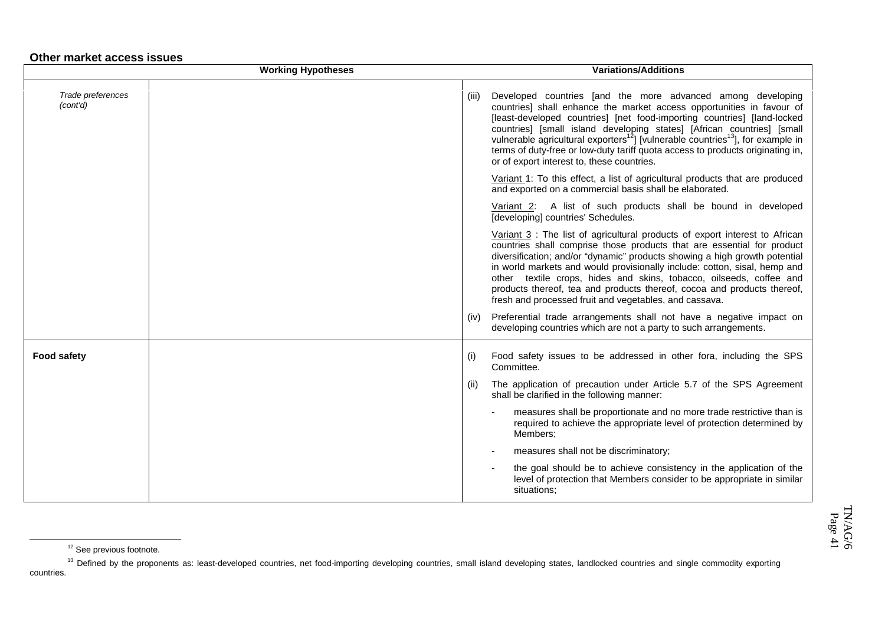|                               | <b>Working Hypotheses</b> | <b>Variations/Additions</b>                                                                                                                                                                                                                                                                                                                                                                                                                                                                                                          |
|-------------------------------|---------------------------|--------------------------------------------------------------------------------------------------------------------------------------------------------------------------------------------------------------------------------------------------------------------------------------------------------------------------------------------------------------------------------------------------------------------------------------------------------------------------------------------------------------------------------------|
| Trade preferences<br>(cont'd) | (iii)                     | Developed countries [and the more advanced among developing<br>countries] shall enhance the market access opportunities in favour of<br>[least-developed countries] [net food-importing countries] [land-locked<br>countries] [small island developing states] [African countries] [small<br>vulnerable agricultural exporters <sup>12</sup> ] [vulnerable countries <sup>13</sup> ], for example in<br>terms of duty-free or low-duty tariff quota access to products originating in,<br>or of export interest to, these countries. |
|                               |                           | Variant 1: To this effect, a list of agricultural products that are produced<br>and exported on a commercial basis shall be elaborated.                                                                                                                                                                                                                                                                                                                                                                                              |
|                               |                           | Variant 2: A list of such products shall be bound in developed<br>[developing] countries' Schedules.                                                                                                                                                                                                                                                                                                                                                                                                                                 |
|                               |                           | Variant $3$ : The list of agricultural products of export interest to African<br>countries shall comprise those products that are essential for product<br>diversification; and/or "dynamic" products showing a high growth potential<br>in world markets and would provisionally include: cotton, sisal, hemp and<br>other textile crops, hides and skins, tobacco, oilseeds, coffee and<br>products thereof, tea and products thereof, cocoa and products thereof,<br>fresh and processed fruit and vegetables, and cassava.       |
|                               | (iv)                      | Preferential trade arrangements shall not have a negative impact on<br>developing countries which are not a party to such arrangements.                                                                                                                                                                                                                                                                                                                                                                                              |
| <b>Food safety</b>            | (i)                       | Food safety issues to be addressed in other fora, including the SPS<br>Committee.                                                                                                                                                                                                                                                                                                                                                                                                                                                    |
|                               | (ii)                      | The application of precaution under Article 5.7 of the SPS Agreement<br>shall be clarified in the following manner:                                                                                                                                                                                                                                                                                                                                                                                                                  |
|                               |                           | measures shall be proportionate and no more trade restrictive than is<br>required to achieve the appropriate level of protection determined by<br>Members;                                                                                                                                                                                                                                                                                                                                                                           |
|                               |                           | measures shall not be discriminatory;                                                                                                                                                                                                                                                                                                                                                                                                                                                                                                |
|                               |                           | the goal should be to achieve consistency in the application of the<br>level of protection that Members consider to be appropriate in similar<br>situations;                                                                                                                                                                                                                                                                                                                                                                         |

<sup>&</sup>lt;sup>12</sup> See previous footnote.

<sup>&</sup>lt;sup>13</sup> Defined by the proponents as: least-developed countries, net food-importing developing countries, small island developing states, landlocked countries and single commodity exporting countries.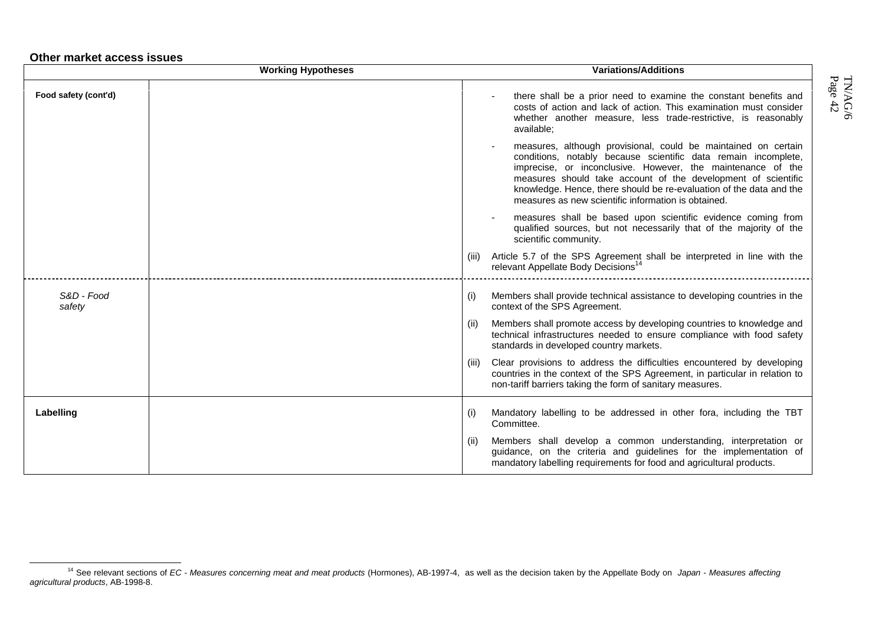|                      | <b>Working Hypotheses</b> | <b>Variations/Additions</b>                                                                                                                                                                                                                                                                                                                                                                    |
|----------------------|---------------------------|------------------------------------------------------------------------------------------------------------------------------------------------------------------------------------------------------------------------------------------------------------------------------------------------------------------------------------------------------------------------------------------------|
| Food safety (cont'd) |                           | there shall be a prior need to examine the constant benefits and<br>costs of action and lack of action. This examination must consider<br>whether another measure, less trade-restrictive, is reasonably<br>available;                                                                                                                                                                         |
|                      |                           | measures, although provisional, could be maintained on certain<br>conditions, notably because scientific data remain incomplete,<br>imprecise, or inconclusive. However, the maintenance of the<br>measures should take account of the development of scientific<br>knowledge. Hence, there should be re-evaluation of the data and the<br>measures as new scientific information is obtained. |
|                      |                           | measures shall be based upon scientific evidence coming from<br>qualified sources, but not necessarily that of the majority of the<br>scientific community.                                                                                                                                                                                                                                    |
|                      |                           | Article 5.7 of the SPS Agreement shall be interpreted in line with the<br>(iii)<br>relevant Appellate Body Decisions <sup>14</sup>                                                                                                                                                                                                                                                             |
| S&D - Food<br>safety |                           | Members shall provide technical assistance to developing countries in the<br>(i)<br>context of the SPS Agreement.                                                                                                                                                                                                                                                                              |
|                      |                           | Members shall promote access by developing countries to knowledge and<br>(ii)<br>technical infrastructures needed to ensure compliance with food safety<br>standards in developed country markets.                                                                                                                                                                                             |
|                      |                           | Clear provisions to address the difficulties encountered by developing<br>(iii)<br>countries in the context of the SPS Agreement, in particular in relation to<br>non-tariff barriers taking the form of sanitary measures.                                                                                                                                                                    |
| Labelling            |                           | Mandatory labelling to be addressed in other fora, including the TBT<br>(i)<br>Committee.                                                                                                                                                                                                                                                                                                      |
|                      |                           | Members shall develop a common understanding, interpretation or<br>(ii)<br>guidance, on the criteria and guidelines for the implementation of<br>mandatory labelling requirements for food and agricultural products.                                                                                                                                                                          |

<sup>14</sup> See relevant sections of *EC - Measures concerning meat and meat products* (Hormones), AB-1997-4, as well as the decision taken by the Appellate Body on *Japan - Measures affecting agricultural products*, AB-1998-8.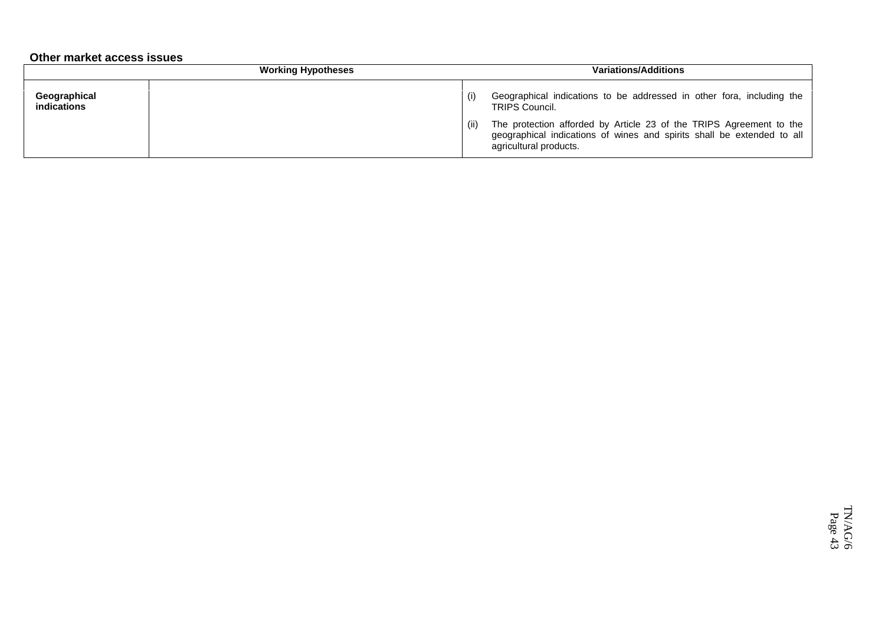|                             | <b>Working Hypotheses</b> | <b>Variations/Additions</b>                                                                                                                                                     |
|-----------------------------|---------------------------|---------------------------------------------------------------------------------------------------------------------------------------------------------------------------------|
| Geographical<br>indications |                           | Geographical indications to be addressed in other fora, including the<br>(i)<br><b>TRIPS Council.</b>                                                                           |
|                             |                           | The protection afforded by Article 23 of the TRIPS Agreement to the<br>(ii)<br>geographical indications of wines and spirits shall be extended to all<br>agricultural products. |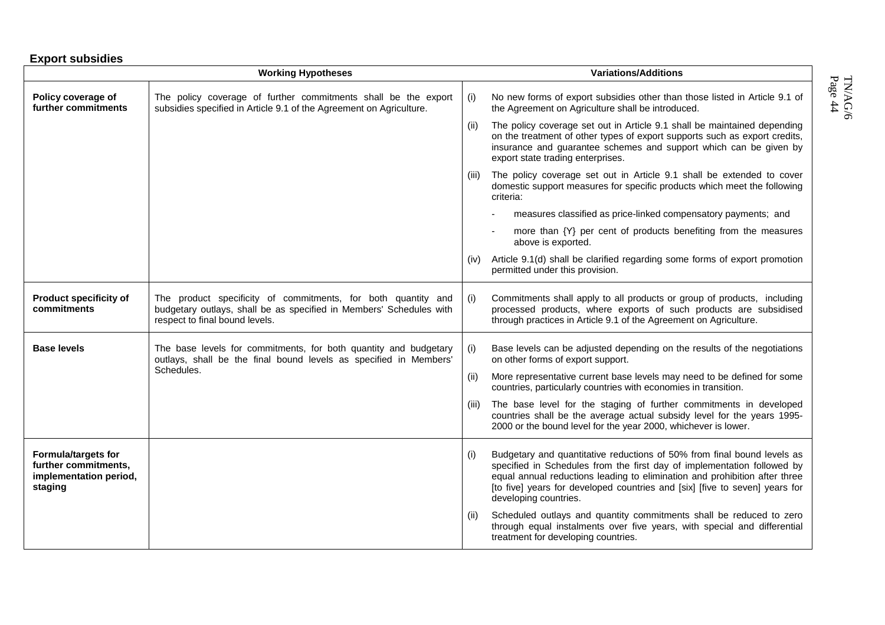|                                                                                  | <b>Working Hypotheses</b>                                                                                                                                              |       | <b>Variations/Additions</b>                                                                                                                                                                                                                                                                                                              |
|----------------------------------------------------------------------------------|------------------------------------------------------------------------------------------------------------------------------------------------------------------------|-------|------------------------------------------------------------------------------------------------------------------------------------------------------------------------------------------------------------------------------------------------------------------------------------------------------------------------------------------|
| Policy coverage of<br>further commitments                                        | The policy coverage of further commitments shall be the export<br>subsidies specified in Article 9.1 of the Agreement on Agriculture.                                  | (i)   | No new forms of export subsidies other than those listed in Article 9.1 of<br>the Agreement on Agriculture shall be introduced.                                                                                                                                                                                                          |
|                                                                                  |                                                                                                                                                                        | (ii)  | The policy coverage set out in Article 9.1 shall be maintained depending<br>on the treatment of other types of export supports such as export credits,<br>insurance and guarantee schemes and support which can be given by<br>export state trading enterprises.                                                                         |
|                                                                                  |                                                                                                                                                                        | (iii) | The policy coverage set out in Article 9.1 shall be extended to cover<br>domestic support measures for specific products which meet the following<br>criteria:                                                                                                                                                                           |
|                                                                                  |                                                                                                                                                                        |       | measures classified as price-linked compensatory payments; and                                                                                                                                                                                                                                                                           |
|                                                                                  |                                                                                                                                                                        |       | more than {Y} per cent of products benefiting from the measures<br>above is exported.                                                                                                                                                                                                                                                    |
|                                                                                  |                                                                                                                                                                        | (iv)  | Article 9.1(d) shall be clarified regarding some forms of export promotion<br>permitted under this provision.                                                                                                                                                                                                                            |
| <b>Product specificity of</b><br>commitments                                     | The product specificity of commitments, for both quantity and<br>budgetary outlays, shall be as specified in Members' Schedules with<br>respect to final bound levels. | (i)   | Commitments shall apply to all products or group of products, including<br>processed products, where exports of such products are subsidised<br>through practices in Article 9.1 of the Agreement on Agriculture.                                                                                                                        |
| <b>Base levels</b>                                                               | The base levels for commitments, for both quantity and budgetary<br>outlays, shall be the final bound levels as specified in Members'                                  | (i)   | Base levels can be adjusted depending on the results of the negotiations<br>on other forms of export support.                                                                                                                                                                                                                            |
|                                                                                  | Schedules.                                                                                                                                                             | (ii)  | More representative current base levels may need to be defined for some<br>countries, particularly countries with economies in transition.                                                                                                                                                                                               |
|                                                                                  |                                                                                                                                                                        | (iii) | The base level for the staging of further commitments in developed<br>countries shall be the average actual subsidy level for the years 1995-<br>2000 or the bound level for the year 2000, whichever is lower.                                                                                                                          |
| Formula/targets for<br>further commitments,<br>implementation period,<br>staging |                                                                                                                                                                        | (i)   | Budgetary and quantitative reductions of 50% from final bound levels as<br>specified in Schedules from the first day of implementation followed by<br>equal annual reductions leading to elimination and prohibition after three<br>[to five] years for developed countries and [six] [five to seven] years for<br>developing countries. |
|                                                                                  |                                                                                                                                                                        | (ii)  | Scheduled outlays and quantity commitments shall be reduced to zero<br>through equal instalments over five years, with special and differential<br>treatment for developing countries.                                                                                                                                                   |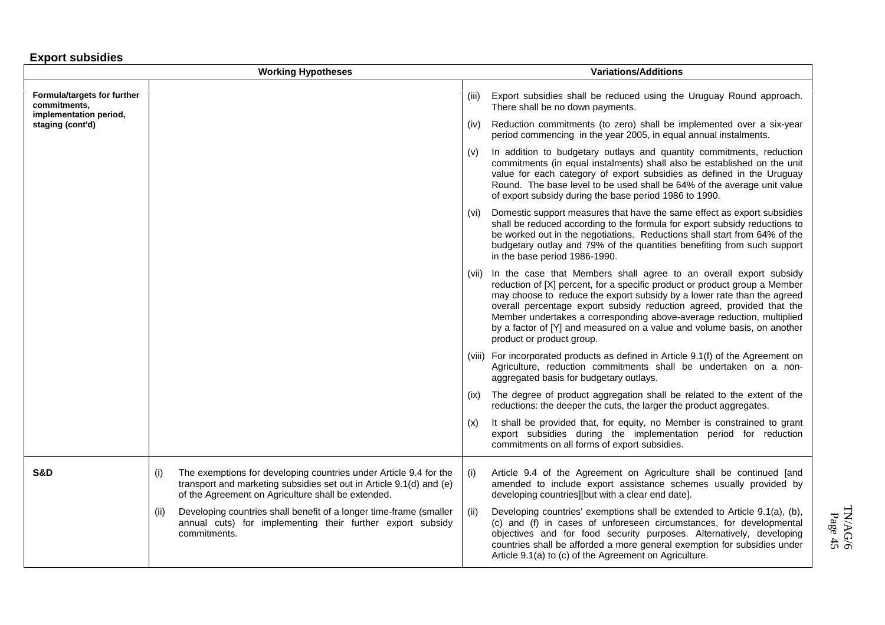## **Export subsidies**

|                                                                       |      | <b>Working Hypotheses</b>                                                                                                                                                                      |       | <b>Variations/Additions</b>                                                                                                                                                                                                                                                                                                                                                                                                                                                          |
|-----------------------------------------------------------------------|------|------------------------------------------------------------------------------------------------------------------------------------------------------------------------------------------------|-------|--------------------------------------------------------------------------------------------------------------------------------------------------------------------------------------------------------------------------------------------------------------------------------------------------------------------------------------------------------------------------------------------------------------------------------------------------------------------------------------|
| Formula/targets for further<br>commitments,<br>implementation period, |      |                                                                                                                                                                                                | (iii) | Export subsidies shall be reduced using the Uruguay Round approach.<br>There shall be no down payments.                                                                                                                                                                                                                                                                                                                                                                              |
| staging (cont'd)                                                      |      |                                                                                                                                                                                                | (iv)  | Reduction commitments (to zero) shall be implemented over a six-year<br>period commencing in the year 2005, in equal annual instalments.                                                                                                                                                                                                                                                                                                                                             |
|                                                                       |      |                                                                                                                                                                                                | (v)   | In addition to budgetary outlays and quantity commitments, reduction<br>commitments (in equal instalments) shall also be established on the unit<br>value for each category of export subsidies as defined in the Uruguay<br>Round. The base level to be used shall be 64% of the average unit value<br>of export subsidy during the base period 1986 to 1990.                                                                                                                       |
|                                                                       |      |                                                                                                                                                                                                | (vi)  | Domestic support measures that have the same effect as export subsidies<br>shall be reduced according to the formula for export subsidy reductions to<br>be worked out in the negotiations. Reductions shall start from 64% of the<br>budgetary outlay and 79% of the quantities benefiting from such support<br>in the base period 1986-1990.                                                                                                                                       |
|                                                                       |      |                                                                                                                                                                                                | (vii) | In the case that Members shall agree to an overall export subsidy<br>reduction of [X] percent, for a specific product or product group a Member<br>may choose to reduce the export subsidy by a lower rate than the agreed<br>overall percentage export subsidy reduction agreed, provided that the<br>Member undertakes a corresponding above-average reduction, multiplied<br>by a factor of [Y] and measured on a value and volume basis, on another<br>product or product group. |
|                                                                       |      |                                                                                                                                                                                                |       | (viii) For incorporated products as defined in Article 9.1(f) of the Agreement on<br>Agriculture, reduction commitments shall be undertaken on a non-<br>aggregated basis for budgetary outlays.                                                                                                                                                                                                                                                                                     |
|                                                                       |      |                                                                                                                                                                                                | (ix)  | The degree of product aggregation shall be related to the extent of the<br>reductions: the deeper the cuts, the larger the product aggregates.                                                                                                                                                                                                                                                                                                                                       |
|                                                                       |      |                                                                                                                                                                                                | (x)   | It shall be provided that, for equity, no Member is constrained to grant<br>export subsidies during the implementation period for reduction<br>commitments on all forms of export subsidies.                                                                                                                                                                                                                                                                                         |
| S&D                                                                   | (i)  | The exemptions for developing countries under Article 9.4 for the<br>transport and marketing subsidies set out in Article 9.1(d) and (e)<br>of the Agreement on Agriculture shall be extended. | (i)   | Article 9.4 of the Agreement on Agriculture shall be continued [and<br>amended to include export assistance schemes usually provided by<br>developing countries][but with a clear end date].                                                                                                                                                                                                                                                                                         |
|                                                                       | (ii) | Developing countries shall benefit of a longer time-frame (smaller<br>annual cuts) for implementing their further export subsidy<br>commitments.                                               | (ii)  | Developing countries' exemptions shall be extended to Article 9.1(a), (b),<br>(c) and (f) in cases of unforeseen circumstances, for developmental<br>objectives and for food security purposes. Alternatively, developing<br>countries shall be afforded a more general exemption for subsidies under<br>Article 9.1(a) to (c) of the Agreement on Agriculture.                                                                                                                      |

TN/AG/6  $\begin{array}{lcl} \text{TN} / \text{AG} / 6 \\ \text{Page 45} \end{array}$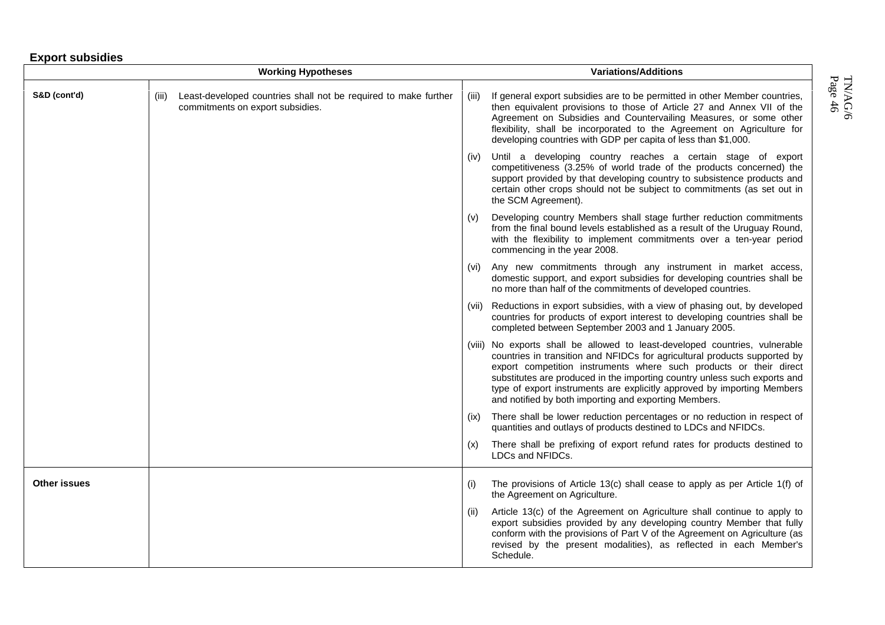### **Export subsidies**

|                     | <b>Working Hypotheses</b>                                                                                    | <b>Variations/Additions</b>                                                                                                                                                                                                                                                                                                                                                                                                                     |
|---------------------|--------------------------------------------------------------------------------------------------------------|-------------------------------------------------------------------------------------------------------------------------------------------------------------------------------------------------------------------------------------------------------------------------------------------------------------------------------------------------------------------------------------------------------------------------------------------------|
| S&D (cont'd)        | Least-developed countries shall not be required to make further<br>(iii)<br>commitments on export subsidies. | If general export subsidies are to be permitted in other Member countries,<br>(iii)<br>then equivalent provisions to those of Article 27 and Annex VII of the<br>Agreement on Subsidies and Countervailing Measures, or some other<br>flexibility, shall be incorporated to the Agreement on Agriculture for<br>developing countries with GDP per capita of less than \$1,000.                                                                  |
|                     |                                                                                                              | Until a developing country reaches a certain stage of export<br>(iv)<br>competitiveness (3.25% of world trade of the products concerned) the<br>support provided by that developing country to subsistence products and<br>certain other crops should not be subject to commitments (as set out in<br>the SCM Agreement).                                                                                                                       |
|                     |                                                                                                              | Developing country Members shall stage further reduction commitments<br>(v)<br>from the final bound levels established as a result of the Uruguay Round,<br>with the flexibility to implement commitments over a ten-year period<br>commencing in the year 2008.                                                                                                                                                                                |
|                     |                                                                                                              | Any new commitments through any instrument in market access,<br>(vi)<br>domestic support, and export subsidies for developing countries shall be<br>no more than half of the commitments of developed countries.                                                                                                                                                                                                                                |
|                     |                                                                                                              | (vii) Reductions in export subsidies, with a view of phasing out, by developed<br>countries for products of export interest to developing countries shall be<br>completed between September 2003 and 1 January 2005.                                                                                                                                                                                                                            |
|                     |                                                                                                              | (viii) No exports shall be allowed to least-developed countries, vulnerable<br>countries in transition and NFIDCs for agricultural products supported by<br>export competition instruments where such products or their direct<br>substitutes are produced in the importing country unless such exports and<br>type of export instruments are explicitly approved by importing Members<br>and notified by both importing and exporting Members. |
|                     |                                                                                                              | There shall be lower reduction percentages or no reduction in respect of<br>(ix)<br>quantities and outlays of products destined to LDCs and NFIDCs.                                                                                                                                                                                                                                                                                             |
|                     |                                                                                                              | There shall be prefixing of export refund rates for products destined to<br>(x)<br>LDCs and NFIDCs.                                                                                                                                                                                                                                                                                                                                             |
| <b>Other issues</b> |                                                                                                              | (i)<br>The provisions of Article 13(c) shall cease to apply as per Article 1(f) of<br>the Agreement on Agriculture.                                                                                                                                                                                                                                                                                                                             |
|                     |                                                                                                              | (ii)<br>Article 13(c) of the Agreement on Agriculture shall continue to apply to<br>export subsidies provided by any developing country Member that fully<br>conform with the provisions of Part V of the Agreement on Agriculture (as<br>revised by the present modalities), as reflected in each Member's<br>Schedule.                                                                                                                        |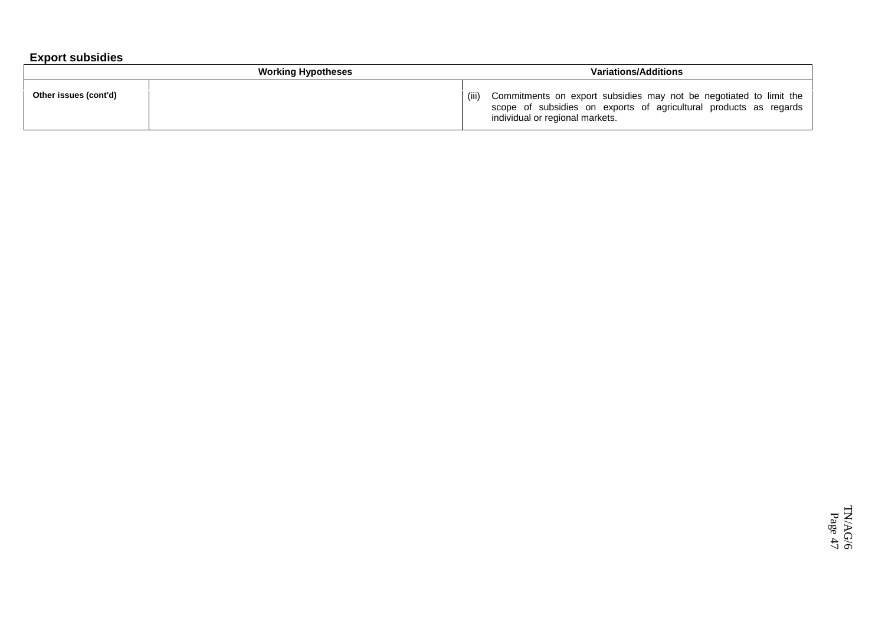## **Export subsidies**

|                       | <b>Working Hypotheses</b> | <b>Variations/Additions</b>                                                                                                                                                         |  |
|-----------------------|---------------------------|-------------------------------------------------------------------------------------------------------------------------------------------------------------------------------------|--|
| Other issues (cont'd) |                           | (iii)<br>Commitments on export subsidies may not be negotiated to limit the<br>scope of subsidies on exports of agricultural products as regards<br>individual or regional markets. |  |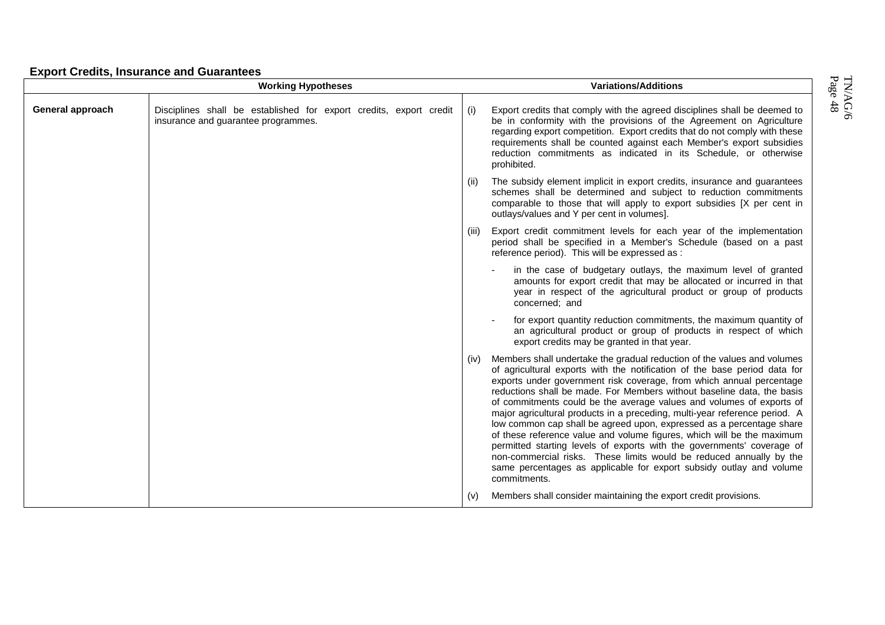|                  | <b>Working Hypotheses</b>                                                                                 |       | <b>Variations/Additions</b>                                                                                                                                                                                                                                                                                                                                                                                                                                                                                                                                                                                                                                                                                                                                                                                                                            | Page             |
|------------------|-----------------------------------------------------------------------------------------------------------|-------|--------------------------------------------------------------------------------------------------------------------------------------------------------------------------------------------------------------------------------------------------------------------------------------------------------------------------------------------------------------------------------------------------------------------------------------------------------------------------------------------------------------------------------------------------------------------------------------------------------------------------------------------------------------------------------------------------------------------------------------------------------------------------------------------------------------------------------------------------------|------------------|
| General approach | Disciplines shall be established for export credits, export credit<br>insurance and guarantee programmes. | (i)   | Export credits that comply with the agreed disciplines shall be deemed to<br>be in conformity with the provisions of the Agreement on Agriculture<br>regarding export competition. Export credits that do not comply with these<br>requirements shall be counted against each Member's export subsidies<br>reduction commitments as indicated in its Schedule, or otherwise<br>prohibited.                                                                                                                                                                                                                                                                                                                                                                                                                                                             | INAGO<br>Page 48 |
|                  |                                                                                                           | (ii)  | The subsidy element implicit in export credits, insurance and guarantees<br>schemes shall be determined and subject to reduction commitments<br>comparable to those that will apply to export subsidies [X per cent in<br>outlays/values and Y per cent in volumes].                                                                                                                                                                                                                                                                                                                                                                                                                                                                                                                                                                                   |                  |
|                  |                                                                                                           | (III) | Export credit commitment levels for each year of the implementation<br>period shall be specified in a Member's Schedule (based on a past<br>reference period). This will be expressed as :                                                                                                                                                                                                                                                                                                                                                                                                                                                                                                                                                                                                                                                             |                  |
|                  |                                                                                                           |       | in the case of budgetary outlays, the maximum level of granted<br>amounts for export credit that may be allocated or incurred in that<br>year in respect of the agricultural product or group of products<br>concerned; and                                                                                                                                                                                                                                                                                                                                                                                                                                                                                                                                                                                                                            |                  |
|                  |                                                                                                           |       | for export quantity reduction commitments, the maximum quantity of<br>an agricultural product or group of products in respect of which<br>export credits may be granted in that year.                                                                                                                                                                                                                                                                                                                                                                                                                                                                                                                                                                                                                                                                  |                  |
|                  |                                                                                                           | (iv)  | Members shall undertake the gradual reduction of the values and volumes<br>of agricultural exports with the notification of the base period data for<br>exports under government risk coverage, from which annual percentage<br>reductions shall be made. For Members without baseline data, the basis<br>of commitments could be the average values and volumes of exports of<br>major agricultural products in a preceding, multi-year reference period. A<br>low common cap shall be agreed upon, expressed as a percentage share<br>of these reference value and volume figures, which will be the maximum<br>permitted starting levels of exports with the governments' coverage of<br>non-commercial risks. These limits would be reduced annually by the<br>same percentages as applicable for export subsidy outlay and volume<br>commitments. |                  |
|                  |                                                                                                           | (v)   | Members shall consider maintaining the export credit provisions.                                                                                                                                                                                                                                                                                                                                                                                                                                                                                                                                                                                                                                                                                                                                                                                       |                  |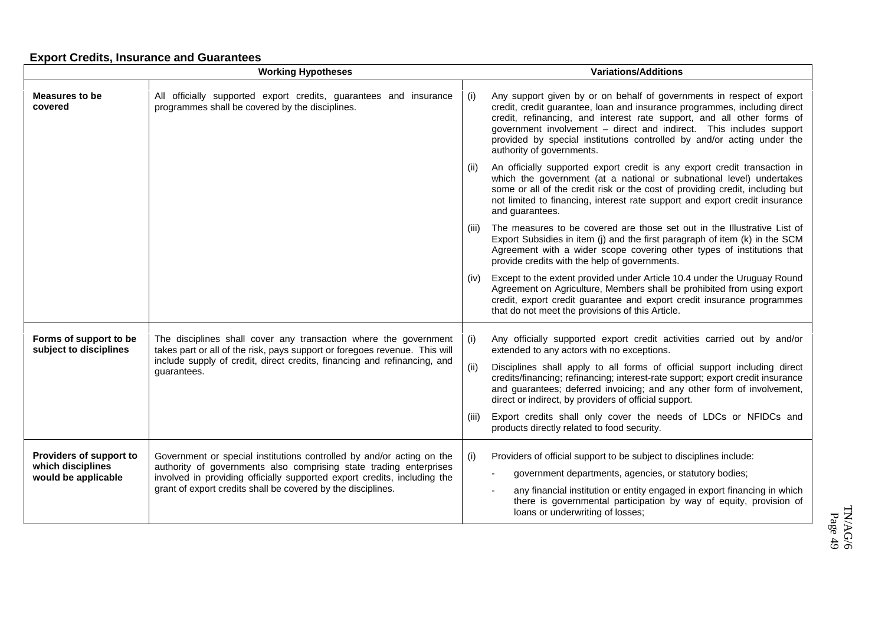|                                                                                                                                                                                                    | <b>Working Hypotheses</b>                                                                                                                                                                                                                                                               |                                                                                                                       | <b>Variations/Additions</b>                                                                                                                                                                                                                                                                                                                                                                                |
|----------------------------------------------------------------------------------------------------------------------------------------------------------------------------------------------------|-----------------------------------------------------------------------------------------------------------------------------------------------------------------------------------------------------------------------------------------------------------------------------------------|-----------------------------------------------------------------------------------------------------------------------|------------------------------------------------------------------------------------------------------------------------------------------------------------------------------------------------------------------------------------------------------------------------------------------------------------------------------------------------------------------------------------------------------------|
| Measures to be<br>covered                                                                                                                                                                          | All officially supported export credits, guarantees and insurance<br>programmes shall be covered by the disciplines.                                                                                                                                                                    | (i)                                                                                                                   | Any support given by or on behalf of governments in respect of export<br>credit, credit guarantee, loan and insurance programmes, including direct<br>credit, refinancing, and interest rate support, and all other forms of<br>government involvement - direct and indirect. This includes support<br>provided by special institutions controlled by and/or acting under the<br>authority of governments. |
|                                                                                                                                                                                                    |                                                                                                                                                                                                                                                                                         | (ii)                                                                                                                  | An officially supported export credit is any export credit transaction in<br>which the government (at a national or subnational level) undertakes<br>some or all of the credit risk or the cost of providing credit, including but<br>not limited to financing, interest rate support and export credit insurance<br>and guarantees.                                                                       |
|                                                                                                                                                                                                    |                                                                                                                                                                                                                                                                                         | (iii)                                                                                                                 | The measures to be covered are those set out in the Illustrative List of<br>Export Subsidies in item (j) and the first paragraph of item (k) in the SCM<br>Agreement with a wider scope covering other types of institutions that<br>provide credits with the help of governments.                                                                                                                         |
|                                                                                                                                                                                                    |                                                                                                                                                                                                                                                                                         | (iv)                                                                                                                  | Except to the extent provided under Article 10.4 under the Uruguay Round<br>Agreement on Agriculture, Members shall be prohibited from using export<br>credit, export credit guarantee and export credit insurance programmes<br>that do not meet the provisions of this Article.                                                                                                                          |
| Forms of support to be<br>The disciplines shall cover any transaction where the government<br>subject to disciplines<br>takes part or all of the risk, pays support or foregoes revenue. This will | (i)                                                                                                                                                                                                                                                                                     | Any officially supported export credit activities carried out by and/or<br>extended to any actors with no exceptions. |                                                                                                                                                                                                                                                                                                                                                                                                            |
|                                                                                                                                                                                                    | include supply of credit, direct credits, financing and refinancing, and<br>quarantees.                                                                                                                                                                                                 | (ii)                                                                                                                  | Disciplines shall apply to all forms of official support including direct<br>credits/financing; refinancing; interest-rate support; export credit insurance<br>and guarantees; deferred invoicing; and any other form of involvement,<br>direct or indirect, by providers of official support.                                                                                                             |
|                                                                                                                                                                                                    |                                                                                                                                                                                                                                                                                         | (iii)                                                                                                                 | Export credits shall only cover the needs of LDCs or NFIDCs and<br>products directly related to food security.                                                                                                                                                                                                                                                                                             |
| Providers of support to<br>which disciplines<br>would be applicable                                                                                                                                | Government or special institutions controlled by and/or acting on the<br>authority of governments also comprising state trading enterprises<br>involved in providing officially supported export credits, including the<br>grant of export credits shall be covered by the disciplines. | (i)                                                                                                                   | Providers of official support to be subject to disciplines include:<br>government departments, agencies, or statutory bodies;<br>any financial institution or entity engaged in export financing in which<br>$\blacksquare$<br>there is governmental participation by way of equity, provision of<br>loans or underwriting of losses;                                                                      |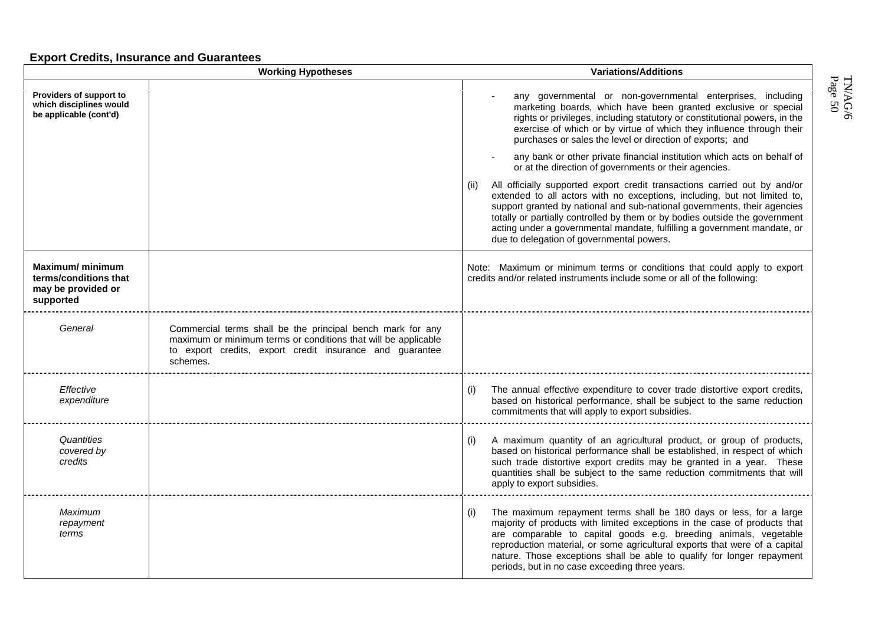|                                                                              | <b>Working Hypotheses</b>                                                                                                                                                                            |      | <b>Variations/Additions</b>                                                                                                                                                                                                                                                                                                                                                                                                                |
|------------------------------------------------------------------------------|------------------------------------------------------------------------------------------------------------------------------------------------------------------------------------------------------|------|--------------------------------------------------------------------------------------------------------------------------------------------------------------------------------------------------------------------------------------------------------------------------------------------------------------------------------------------------------------------------------------------------------------------------------------------|
| Providers of support to<br>which disciplines would<br>be applicable (cont'd) |                                                                                                                                                                                                      |      | any governmental or non-governmental enterprises, including<br>marketing boards, which have been granted exclusive or special<br>rights or privileges, including statutory or constitutional powers, in the<br>exercise of which or by virtue of which they influence through their<br>purchases or sales the level or direction of exports; and                                                                                           |
|                                                                              |                                                                                                                                                                                                      |      | any bank or other private financial institution which acts on behalf of<br>or at the direction of governments or their agencies.                                                                                                                                                                                                                                                                                                           |
|                                                                              |                                                                                                                                                                                                      | (ii) | All officially supported export credit transactions carried out by and/or<br>extended to all actors with no exceptions, including, but not limited to,<br>support granted by national and sub-national governments, their agencies<br>totally or partially controlled by them or by bodies outside the government<br>acting under a governmental mandate, fulfilling a government mandate, or<br>due to delegation of governmental powers. |
| Maximum/ minimum<br>terms/conditions that<br>may be provided or<br>supported |                                                                                                                                                                                                      |      | Note: Maximum or minimum terms or conditions that could apply to export<br>credits and/or related instruments include some or all of the following:                                                                                                                                                                                                                                                                                        |
| General                                                                      | Commercial terms shall be the principal bench mark for any<br>maximum or minimum terms or conditions that will be applicable<br>to export credits, export credit insurance and guarantee<br>schemes. |      |                                                                                                                                                                                                                                                                                                                                                                                                                                            |
| Effective<br>expenditure                                                     |                                                                                                                                                                                                      | (i)  | The annual effective expenditure to cover trade distortive export credits,<br>based on historical performance, shall be subject to the same reduction<br>commitments that will apply to export subsidies.                                                                                                                                                                                                                                  |
| Quantities<br>covered by<br>credits                                          |                                                                                                                                                                                                      | (i)  | A maximum quantity of an agricultural product, or group of products,<br>based on historical performance shall be established, in respect of which<br>such trade distortive export credits may be granted in a year. These<br>quantities shall be subject to the same reduction commitments that will<br>apply to export subsidies.                                                                                                         |
| Maximum<br>repayment<br>terms                                                |                                                                                                                                                                                                      | (i)  | The maximum repayment terms shall be 180 days or less, for a large<br>majority of products with limited exceptions in the case of products that<br>are comparable to capital goods e.g. breeding animals, vegetable<br>reproduction material, or some agricultural exports that were of a capital<br>nature. Those exceptions shall be able to qualify for longer repayment<br>periods, but in no case exceeding three years.              |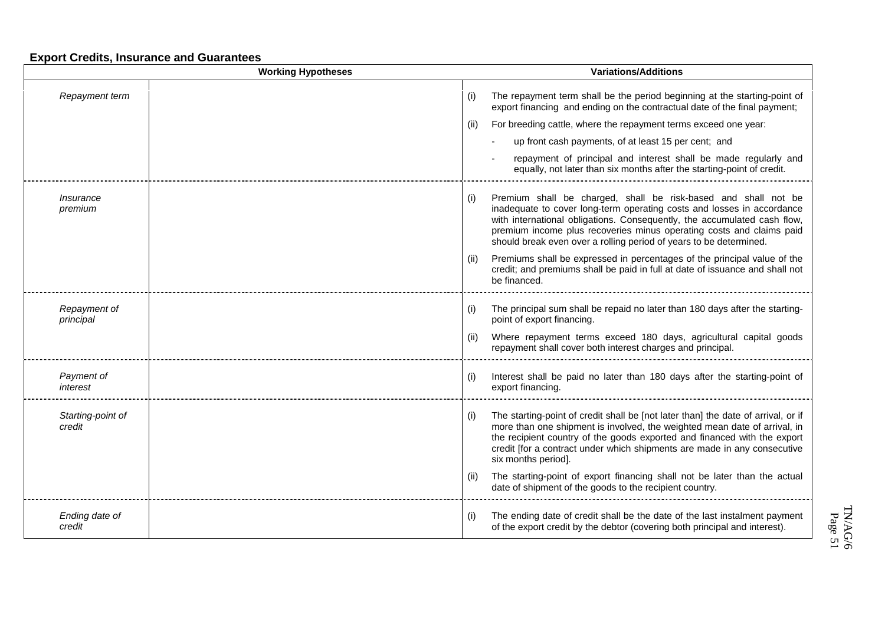|                             | <b>Working Hypotheses</b> |      | <b>Variations/Additions</b>                                                                                                                                                                                                                                                                                                                                        |
|-----------------------------|---------------------------|------|--------------------------------------------------------------------------------------------------------------------------------------------------------------------------------------------------------------------------------------------------------------------------------------------------------------------------------------------------------------------|
| Repayment term              |                           | (i)  | The repayment term shall be the period beginning at the starting-point of<br>export financing and ending on the contractual date of the final payment;                                                                                                                                                                                                             |
|                             |                           | (ii) | For breeding cattle, where the repayment terms exceed one year:                                                                                                                                                                                                                                                                                                    |
|                             |                           |      | up front cash payments, of at least 15 per cent; and                                                                                                                                                                                                                                                                                                               |
|                             |                           |      | repayment of principal and interest shall be made regularly and<br>equally, not later than six months after the starting-point of credit.                                                                                                                                                                                                                          |
| Insurance<br>premium        |                           | (i)  | Premium shall be charged, shall be risk-based and shall not be<br>inadequate to cover long-term operating costs and losses in accordance<br>with international obligations. Consequently, the accumulated cash flow,<br>premium income plus recoveries minus operating costs and claims paid<br>should break even over a rolling period of years to be determined. |
|                             |                           | (ii) | Premiums shall be expressed in percentages of the principal value of the<br>credit; and premiums shall be paid in full at date of issuance and shall not<br>be financed.                                                                                                                                                                                           |
| Repayment of<br>principal   |                           | (i)  | The principal sum shall be repaid no later than 180 days after the starting-<br>point of export financing.                                                                                                                                                                                                                                                         |
|                             |                           | (ii) | Where repayment terms exceed 180 days, agricultural capital goods<br>repayment shall cover both interest charges and principal.                                                                                                                                                                                                                                    |
| Payment of<br>interest      |                           | (i)  | Interest shall be paid no later than 180 days after the starting-point of<br>export financing.                                                                                                                                                                                                                                                                     |
| Starting-point of<br>credit |                           | (i)  | The starting-point of credit shall be [not later than] the date of arrival, or if<br>more than one shipment is involved, the weighted mean date of arrival, in<br>the recipient country of the goods exported and financed with the export<br>credit [for a contract under which shipments are made in any consecutive<br>six months period].                      |
|                             |                           | (II) | The starting-point of export financing shall not be later than the actual<br>date of shipment of the goods to the recipient country.                                                                                                                                                                                                                               |
| Ending date of<br>credit    |                           | (i)  | The ending date of credit shall be the date of the last instalment payment<br>of the export credit by the debtor (covering both principal and interest).                                                                                                                                                                                                           |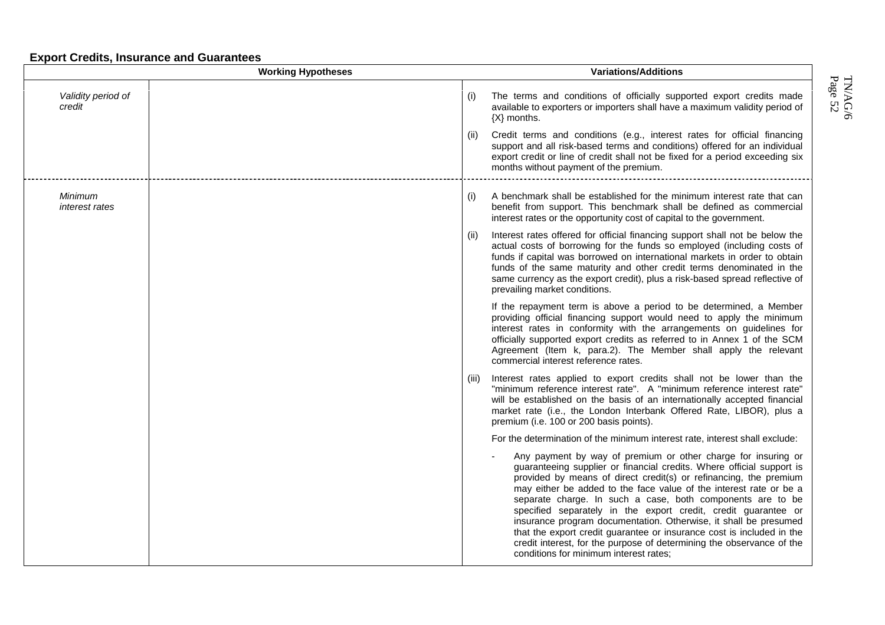|                              | <b>Working Hypotheses</b> |       | <b>Variations/Additions</b>                                                                                                                                                                                                                                                                                                                                                                                                                                                                                                                                                                                                                                                       |
|------------------------------|---------------------------|-------|-----------------------------------------------------------------------------------------------------------------------------------------------------------------------------------------------------------------------------------------------------------------------------------------------------------------------------------------------------------------------------------------------------------------------------------------------------------------------------------------------------------------------------------------------------------------------------------------------------------------------------------------------------------------------------------|
| Validity period of<br>credit |                           | (i)   | The terms and conditions of officially supported export credits made<br>available to exporters or importers shall have a maximum validity period of<br>${X}$ months.                                                                                                                                                                                                                                                                                                                                                                                                                                                                                                              |
|                              |                           | (ii)  | Credit terms and conditions (e.g., interest rates for official financing<br>support and all risk-based terms and conditions) offered for an individual<br>export credit or line of credit shall not be fixed for a period exceeding six<br>months without payment of the premium.                                                                                                                                                                                                                                                                                                                                                                                                 |
| Minimum<br>interest rates    |                           | (i)   | A benchmark shall be established for the minimum interest rate that can<br>benefit from support. This benchmark shall be defined as commercial<br>interest rates or the opportunity cost of capital to the government.                                                                                                                                                                                                                                                                                                                                                                                                                                                            |
|                              |                           | (ii)  | Interest rates offered for official financing support shall not be below the<br>actual costs of borrowing for the funds so employed (including costs of<br>funds if capital was borrowed on international markets in order to obtain<br>funds of the same maturity and other credit terms denominated in the<br>same currency as the export credit), plus a risk-based spread reflective of<br>prevailing market conditions.                                                                                                                                                                                                                                                      |
|                              |                           |       | If the repayment term is above a period to be determined, a Member<br>providing official financing support would need to apply the minimum<br>interest rates in conformity with the arrangements on guidelines for<br>officially supported export credits as referred to in Annex 1 of the SCM<br>Agreement (Item k, para.2). The Member shall apply the relevant<br>commercial interest reference rates.                                                                                                                                                                                                                                                                         |
|                              |                           | (III) | Interest rates applied to export credits shall not be lower than the<br>"minimum reference interest rate". A "minimum reference interest rate"<br>will be established on the basis of an internationally accepted financial<br>market rate (i.e., the London Interbank Offered Rate, LIBOR), plus a<br>premium (i.e. 100 or 200 basis points).                                                                                                                                                                                                                                                                                                                                    |
|                              |                           |       | For the determination of the minimum interest rate, interest shall exclude:                                                                                                                                                                                                                                                                                                                                                                                                                                                                                                                                                                                                       |
|                              |                           |       | Any payment by way of premium or other charge for insuring or<br>guaranteeing supplier or financial credits. Where official support is<br>provided by means of direct credit(s) or refinancing, the premium<br>may either be added to the face value of the interest rate or be a<br>separate charge. In such a case, both components are to be<br>specified separately in the export credit, credit guarantee or<br>insurance program documentation. Otherwise, it shall be presumed<br>that the export credit guarantee or insurance cost is included in the<br>credit interest, for the purpose of determining the observance of the<br>conditions for minimum interest rates; |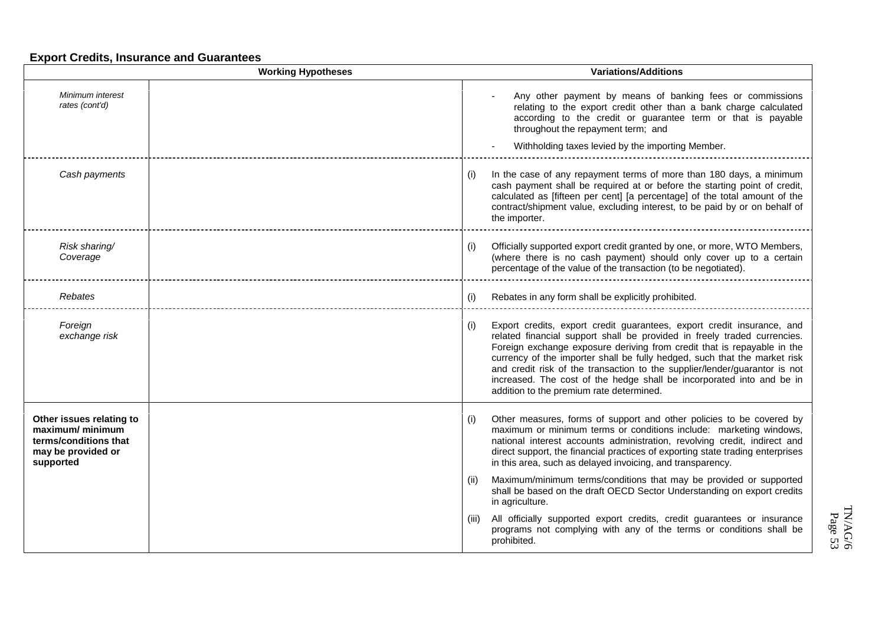|                                                                                                          | <b>Working Hypotheses</b> | <b>Variations/Additions</b>                                                                                                                                                                                                                                                                                                                                                                                                                                                                                   |
|----------------------------------------------------------------------------------------------------------|---------------------------|---------------------------------------------------------------------------------------------------------------------------------------------------------------------------------------------------------------------------------------------------------------------------------------------------------------------------------------------------------------------------------------------------------------------------------------------------------------------------------------------------------------|
| Minimum interest<br>rates (cont'd)                                                                       |                           | Any other payment by means of banking fees or commissions<br>relating to the export credit other than a bank charge calculated<br>according to the credit or guarantee term or that is payable<br>throughout the repayment term; and                                                                                                                                                                                                                                                                          |
|                                                                                                          |                           | Withholding taxes levied by the importing Member.                                                                                                                                                                                                                                                                                                                                                                                                                                                             |
| Cash payments                                                                                            | (i)                       | In the case of any repayment terms of more than 180 days, a minimum<br>cash payment shall be required at or before the starting point of credit,<br>calculated as [fifteen per cent] [a percentage] of the total amount of the<br>contract/shipment value, excluding interest, to be paid by or on behalf of<br>the importer.                                                                                                                                                                                 |
| Risk sharing/<br>Coverage                                                                                | (i)                       | Officially supported export credit granted by one, or more, WTO Members,<br>(where there is no cash payment) should only cover up to a certain<br>percentage of the value of the transaction (to be negotiated).                                                                                                                                                                                                                                                                                              |
| Rebates                                                                                                  | (i)                       | Rebates in any form shall be explicitly prohibited.                                                                                                                                                                                                                                                                                                                                                                                                                                                           |
| Foreign<br>exchange risk                                                                                 | (i)                       | Export credits, export credit guarantees, export credit insurance, and<br>related financial support shall be provided in freely traded currencies.<br>Foreign exchange exposure deriving from credit that is repayable in the<br>currency of the importer shall be fully hedged, such that the market risk<br>and credit risk of the transaction to the supplier/lender/guarantor is not<br>increased. The cost of the hedge shall be incorporated into and be in<br>addition to the premium rate determined. |
| Other issues relating to<br>maximum/ minimum<br>terms/conditions that<br>may be provided or<br>supported | (i)                       | Other measures, forms of support and other policies to be covered by<br>maximum or minimum terms or conditions include: marketing windows,<br>national interest accounts administration, revolving credit, indirect and<br>direct support, the financial practices of exporting state trading enterprises<br>in this area, such as delayed invoicing, and transparency.                                                                                                                                       |
|                                                                                                          | (ii)                      | Maximum/minimum terms/conditions that may be provided or supported<br>shall be based on the draft OECD Sector Understanding on export credits<br>in agriculture.                                                                                                                                                                                                                                                                                                                                              |
|                                                                                                          | (iii)                     | All officially supported export credits, credit guarantees or insurance<br>programs not complying with any of the terms or conditions shall be<br>prohibited.                                                                                                                                                                                                                                                                                                                                                 |

TN/AG/6  $\frac{\rm TNAG/6}{\rm Page} \, 53$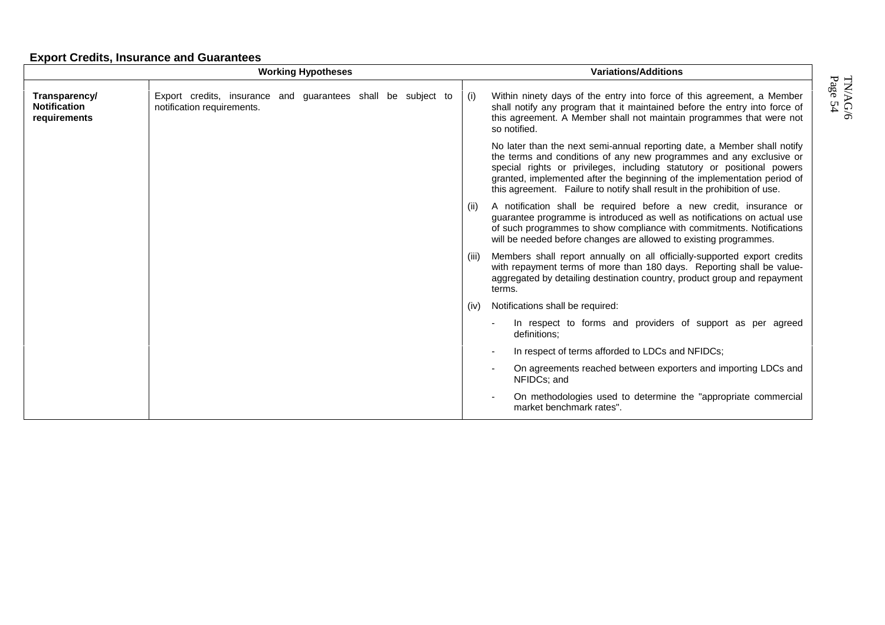|                                                      | <b>Working Hypotheses</b>                                                                  |       | <b>Variations/Additions</b>                                                                                                                                                                                                                                                                                                                                                        |
|------------------------------------------------------|--------------------------------------------------------------------------------------------|-------|------------------------------------------------------------------------------------------------------------------------------------------------------------------------------------------------------------------------------------------------------------------------------------------------------------------------------------------------------------------------------------|
| Transparency/<br><b>Notification</b><br>requirements | Export credits, insurance and guarantees shall be subject to<br>notification requirements. | (i)   | Within ninety days of the entry into force of this agreement, a Member<br>shall notify any program that it maintained before the entry into force of<br>this agreement. A Member shall not maintain programmes that were not<br>so notified.                                                                                                                                       |
|                                                      |                                                                                            |       | No later than the next semi-annual reporting date, a Member shall notify<br>the terms and conditions of any new programmes and any exclusive or<br>special rights or privileges, including statutory or positional powers<br>granted, implemented after the beginning of the implementation period of<br>this agreement. Failure to notify shall result in the prohibition of use. |
|                                                      |                                                                                            | (ii)  | A notification shall be required before a new credit, insurance or<br>guarantee programme is introduced as well as notifications on actual use<br>of such programmes to show compliance with commitments. Notifications<br>will be needed before changes are allowed to existing programmes.                                                                                       |
|                                                      |                                                                                            | (iii) | Members shall report annually on all officially-supported export credits<br>with repayment terms of more than 180 days. Reporting shall be value-<br>aggregated by detailing destination country, product group and repayment<br>terms.                                                                                                                                            |
|                                                      |                                                                                            | (iv)  | Notifications shall be required:                                                                                                                                                                                                                                                                                                                                                   |
|                                                      |                                                                                            |       | In respect to forms and providers of support as per agreed<br>definitions:                                                                                                                                                                                                                                                                                                         |
|                                                      |                                                                                            |       | In respect of terms afforded to LDCs and NFIDCs;                                                                                                                                                                                                                                                                                                                                   |
|                                                      |                                                                                            |       | On agreements reached between exporters and importing LDCs and<br>NFIDCs; and                                                                                                                                                                                                                                                                                                      |
|                                                      |                                                                                            |       | On methodologies used to determine the "appropriate commercial<br>market benchmark rates".                                                                                                                                                                                                                                                                                         |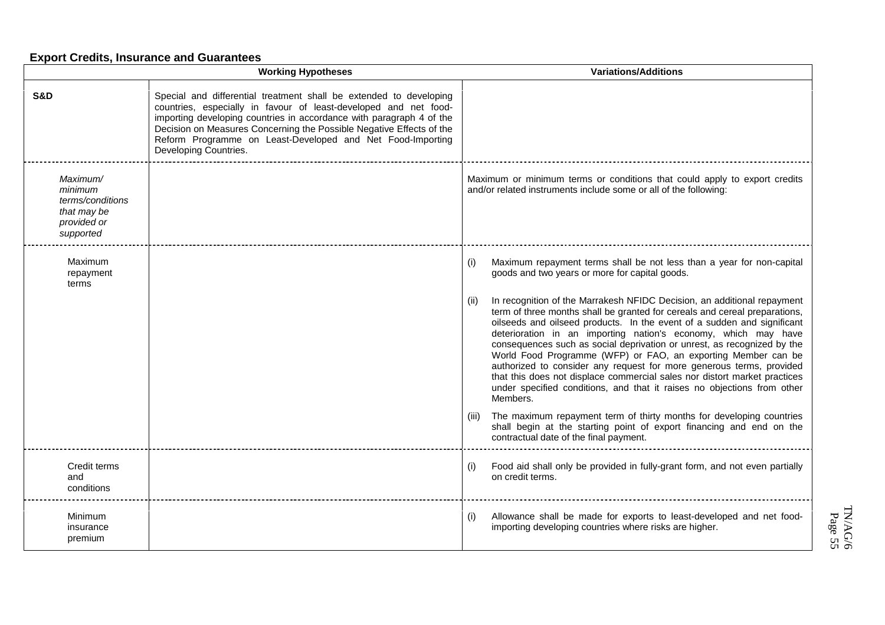|                                                                                    | <b>Working Hypotheses</b>                                                                                                                                                                                                                                                                                                                                                     | <b>Variations/Additions</b>                                                                                                                                                                                                                                                                                                                                                                                                                                                                                                                                                                                                                                                                        |  |
|------------------------------------------------------------------------------------|-------------------------------------------------------------------------------------------------------------------------------------------------------------------------------------------------------------------------------------------------------------------------------------------------------------------------------------------------------------------------------|----------------------------------------------------------------------------------------------------------------------------------------------------------------------------------------------------------------------------------------------------------------------------------------------------------------------------------------------------------------------------------------------------------------------------------------------------------------------------------------------------------------------------------------------------------------------------------------------------------------------------------------------------------------------------------------------------|--|
| S&D                                                                                | Special and differential treatment shall be extended to developing<br>countries, especially in favour of least-developed and net food-<br>importing developing countries in accordance with paragraph 4 of the<br>Decision on Measures Concerning the Possible Negative Effects of the<br>Reform Programme on Least-Developed and Net Food-Importing<br>Developing Countries. |                                                                                                                                                                                                                                                                                                                                                                                                                                                                                                                                                                                                                                                                                                    |  |
| Maximum/<br>minimum<br>terms/conditions<br>that may be<br>provided or<br>supported |                                                                                                                                                                                                                                                                                                                                                                               | Maximum or minimum terms or conditions that could apply to export credits<br>and/or related instruments include some or all of the following:                                                                                                                                                                                                                                                                                                                                                                                                                                                                                                                                                      |  |
| Maximum<br>repayment<br>terms                                                      |                                                                                                                                                                                                                                                                                                                                                                               | Maximum repayment terms shall be not less than a year for non-capital<br>(i)<br>goods and two years or more for capital goods.                                                                                                                                                                                                                                                                                                                                                                                                                                                                                                                                                                     |  |
|                                                                                    |                                                                                                                                                                                                                                                                                                                                                                               | In recognition of the Marrakesh NFIDC Decision, an additional repayment<br>(ii)<br>term of three months shall be granted for cereals and cereal preparations,<br>oilseeds and oilseed products. In the event of a sudden and significant<br>deterioration in an importing nation's economy, which may have<br>consequences such as social deprivation or unrest, as recognized by the<br>World Food Programme (WFP) or FAO, an exporting Member can be<br>authorized to consider any request for more generous terms, provided<br>that this does not displace commercial sales nor distort market practices<br>under specified conditions, and that it raises no objections from other<br>Members. |  |
|                                                                                    |                                                                                                                                                                                                                                                                                                                                                                               | The maximum repayment term of thirty months for developing countries<br>shall begin at the starting point of export financing and end on the<br>contractual date of the final payment.                                                                                                                                                                                                                                                                                                                                                                                                                                                                                                             |  |
| Credit terms<br>and<br>conditions                                                  |                                                                                                                                                                                                                                                                                                                                                                               | Food aid shall only be provided in fully-grant form, and not even partially<br>(i)<br>on credit terms.                                                                                                                                                                                                                                                                                                                                                                                                                                                                                                                                                                                             |  |
| Minimum<br>insurance<br>premium                                                    |                                                                                                                                                                                                                                                                                                                                                                               | Allowance shall be made for exports to least-developed and net food-<br>(i)<br>importing developing countries where risks are higher.                                                                                                                                                                                                                                                                                                                                                                                                                                                                                                                                                              |  |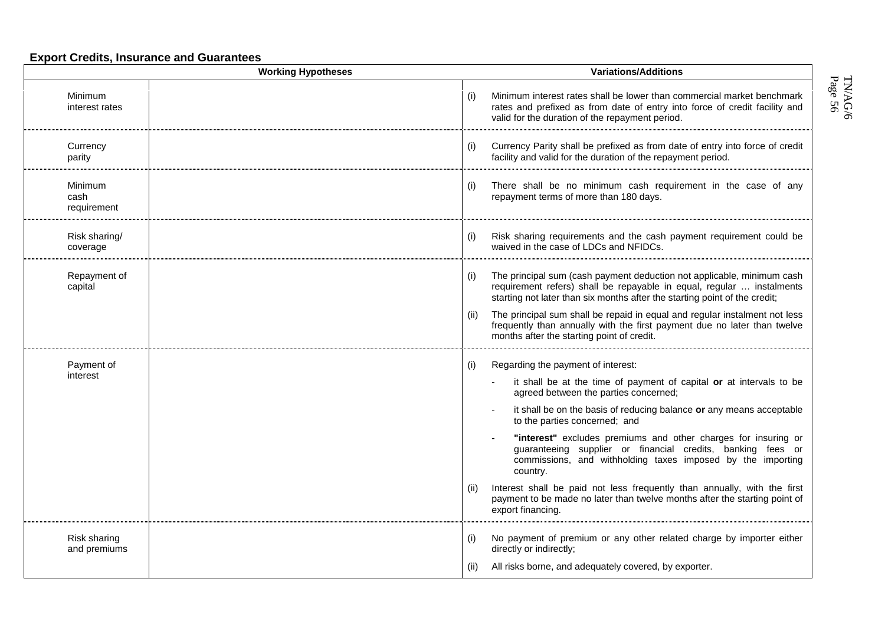|                                     | <b>Working Hypotheses</b> | <b>Variations/Additions</b>                                                                                                                                                                                                   |
|-------------------------------------|---------------------------|-------------------------------------------------------------------------------------------------------------------------------------------------------------------------------------------------------------------------------|
| Minimum<br>interest rates           | (i)                       | Minimum interest rates shall be lower than commercial market benchmark<br>rates and prefixed as from date of entry into force of credit facility and<br>valid for the duration of the repayment period.                       |
| Currency<br>parity                  | (i)                       | Currency Parity shall be prefixed as from date of entry into force of credit<br>facility and valid for the duration of the repayment period.                                                                                  |
| Minimum<br>cash<br>requirement      | (i)                       | There shall be no minimum cash requirement in the case of any<br>repayment terms of more than 180 days.                                                                                                                       |
| Risk sharing/<br>coverage           | (i)                       | Risk sharing requirements and the cash payment requirement could be<br>waived in the case of LDCs and NFIDCs.                                                                                                                 |
| Repayment of<br>capital             | (i)                       | The principal sum (cash payment deduction not applicable, minimum cash<br>requirement refers) shall be repayable in equal, regular  instalments<br>starting not later than six months after the starting point of the credit; |
|                                     | (ii)                      | The principal sum shall be repaid in equal and regular instalment not less<br>frequently than annually with the first payment due no later than twelve<br>months after the starting point of credit.                          |
| Payment of                          | (i)                       | Regarding the payment of interest:                                                                                                                                                                                            |
| interest                            |                           | it shall be at the time of payment of capital or at intervals to be<br>agreed between the parties concerned;                                                                                                                  |
|                                     |                           | it shall be on the basis of reducing balance or any means acceptable<br>to the parties concerned; and                                                                                                                         |
|                                     |                           | "interest" excludes premiums and other charges for insuring or<br>guaranteeing supplier or financial credits, banking fees or<br>commissions, and withholding taxes imposed by the importing<br>country.                      |
|                                     | (ii)                      | Interest shall be paid not less frequently than annually, with the first<br>payment to be made no later than twelve months after the starting point of<br>export financing.                                                   |
| <b>Risk sharing</b><br>and premiums | (i)                       | No payment of premium or any other related charge by importer either<br>directly or indirectly;                                                                                                                               |
|                                     | (ii)                      | All risks borne, and adequately covered, by exporter.                                                                                                                                                                         |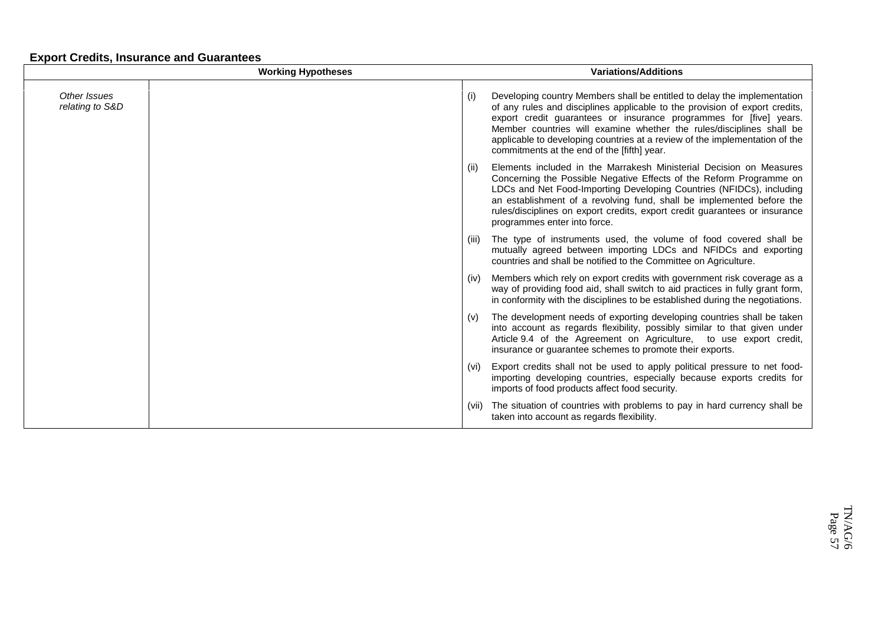|                                 | <b>Working Hypotheses</b> |       | <b>Variations/Additions</b>                                                                                                                                                                                                                                                                                                                                                                                                         |
|---------------------------------|---------------------------|-------|-------------------------------------------------------------------------------------------------------------------------------------------------------------------------------------------------------------------------------------------------------------------------------------------------------------------------------------------------------------------------------------------------------------------------------------|
| Other Issues<br>relating to S&D |                           | (i)   | Developing country Members shall be entitled to delay the implementation<br>of any rules and disciplines applicable to the provision of export credits,<br>export credit guarantees or insurance programmes for [five] years.<br>Member countries will examine whether the rules/disciplines shall be<br>applicable to developing countries at a review of the implementation of the<br>commitments at the end of the [fifth] year. |
|                                 |                           | (ii)  | Elements included in the Marrakesh Ministerial Decision on Measures<br>Concerning the Possible Negative Effects of the Reform Programme on<br>LDCs and Net Food-Importing Developing Countries (NFIDCs), including<br>an establishment of a revolving fund, shall be implemented before the<br>rules/disciplines on export credits, export credit guarantees or insurance<br>programmes enter into force.                           |
|                                 |                           | (iii) | The type of instruments used, the volume of food covered shall be<br>mutually agreed between importing LDCs and NFIDCs and exporting<br>countries and shall be notified to the Committee on Agriculture.                                                                                                                                                                                                                            |
|                                 |                           | (iv)  | Members which rely on export credits with government risk coverage as a<br>way of providing food aid, shall switch to aid practices in fully grant form,<br>in conformity with the disciplines to be established during the negotiations.                                                                                                                                                                                           |
|                                 |                           | (v)   | The development needs of exporting developing countries shall be taken<br>into account as regards flexibility, possibly similar to that given under<br>Article 9.4 of the Agreement on Agriculture, to use export credit,<br>insurance or guarantee schemes to promote their exports.                                                                                                                                               |
|                                 |                           | (vi)  | Export credits shall not be used to apply political pressure to net food-<br>importing developing countries, especially because exports credits for<br>imports of food products affect food security.                                                                                                                                                                                                                               |
|                                 |                           |       | (vii) The situation of countries with problems to pay in hard currency shall be<br>taken into account as regards flexibility.                                                                                                                                                                                                                                                                                                       |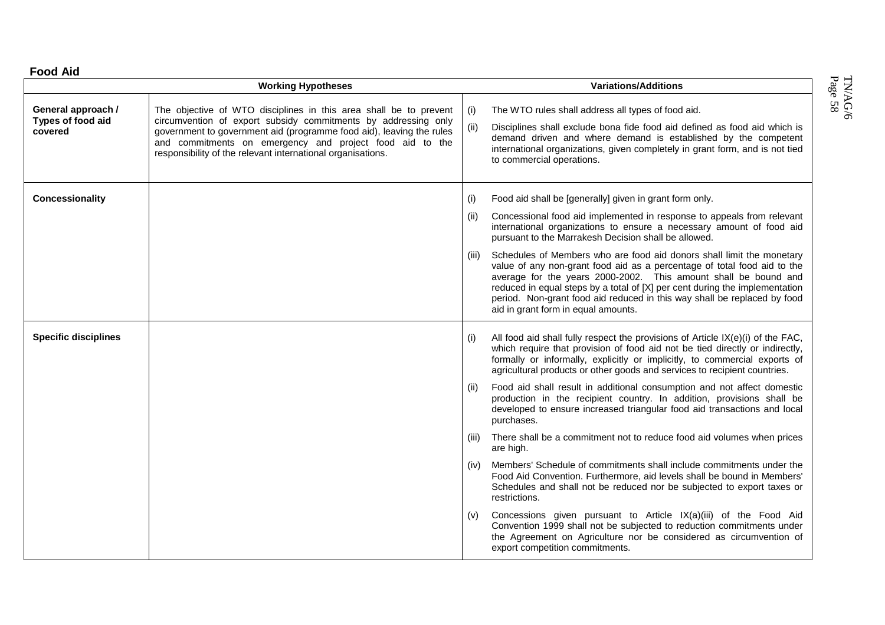| Food Aid |  |
|----------|--|
|          |  |

|                                                    | <b>Working Hypotheses</b>                                                                                                                                                                                                                                                                                                              |             | <b>Variations/Additions</b>                                                                                                                                                                                                                                                                                                                                                                                            |
|----------------------------------------------------|----------------------------------------------------------------------------------------------------------------------------------------------------------------------------------------------------------------------------------------------------------------------------------------------------------------------------------------|-------------|------------------------------------------------------------------------------------------------------------------------------------------------------------------------------------------------------------------------------------------------------------------------------------------------------------------------------------------------------------------------------------------------------------------------|
| General approach /<br>Types of food aid<br>covered | The objective of WTO disciplines in this area shall be to prevent<br>circumvention of export subsidy commitments by addressing only<br>government to government aid (programme food aid), leaving the rules<br>and commitments on emergency and project food aid to the<br>responsibility of the relevant international organisations. | (i)<br>(ii) | The WTO rules shall address all types of food aid.<br>Disciplines shall exclude bona fide food aid defined as food aid which is<br>demand driven and where demand is established by the competent<br>international organizations, given completely in grant form, and is not tied<br>to commercial operations.                                                                                                         |
| <b>Concessionality</b>                             |                                                                                                                                                                                                                                                                                                                                        | (i)         | Food aid shall be [generally] given in grant form only.                                                                                                                                                                                                                                                                                                                                                                |
|                                                    |                                                                                                                                                                                                                                                                                                                                        | (ii)        | Concessional food aid implemented in response to appeals from relevant<br>international organizations to ensure a necessary amount of food aid<br>pursuant to the Marrakesh Decision shall be allowed.                                                                                                                                                                                                                 |
|                                                    |                                                                                                                                                                                                                                                                                                                                        | (iii)       | Schedules of Members who are food aid donors shall limit the monetary<br>value of any non-grant food aid as a percentage of total food aid to the<br>average for the years 2000-2002. This amount shall be bound and<br>reduced in equal steps by a total of [X] per cent during the implementation<br>period. Non-grant food aid reduced in this way shall be replaced by food<br>aid in grant form in equal amounts. |
| <b>Specific disciplines</b>                        |                                                                                                                                                                                                                                                                                                                                        | (i)         | All food aid shall fully respect the provisions of Article IX(e)(i) of the FAC,<br>which require that provision of food aid not be tied directly or indirectly,<br>formally or informally, explicitly or implicitly, to commercial exports of<br>agricultural products or other goods and services to recipient countries.                                                                                             |
|                                                    |                                                                                                                                                                                                                                                                                                                                        | (II)        | Food aid shall result in additional consumption and not affect domestic<br>production in the recipient country. In addition, provisions shall be<br>developed to ensure increased triangular food aid transactions and local<br>purchases.                                                                                                                                                                             |
|                                                    |                                                                                                                                                                                                                                                                                                                                        | (iii)       | There shall be a commitment not to reduce food aid volumes when prices<br>are high.                                                                                                                                                                                                                                                                                                                                    |
|                                                    |                                                                                                                                                                                                                                                                                                                                        | (iv)        | Members' Schedule of commitments shall include commitments under the<br>Food Aid Convention. Furthermore, aid levels shall be bound in Members'<br>Schedules and shall not be reduced nor be subjected to export taxes or<br>restrictions.                                                                                                                                                                             |
|                                                    |                                                                                                                                                                                                                                                                                                                                        | (v)         | Concessions given pursuant to Article IX(a)(iii) of the Food Aid<br>Convention 1999 shall not be subjected to reduction commitments under<br>the Agreement on Agriculture nor be considered as circumvention of<br>export competition commitments.                                                                                                                                                                     |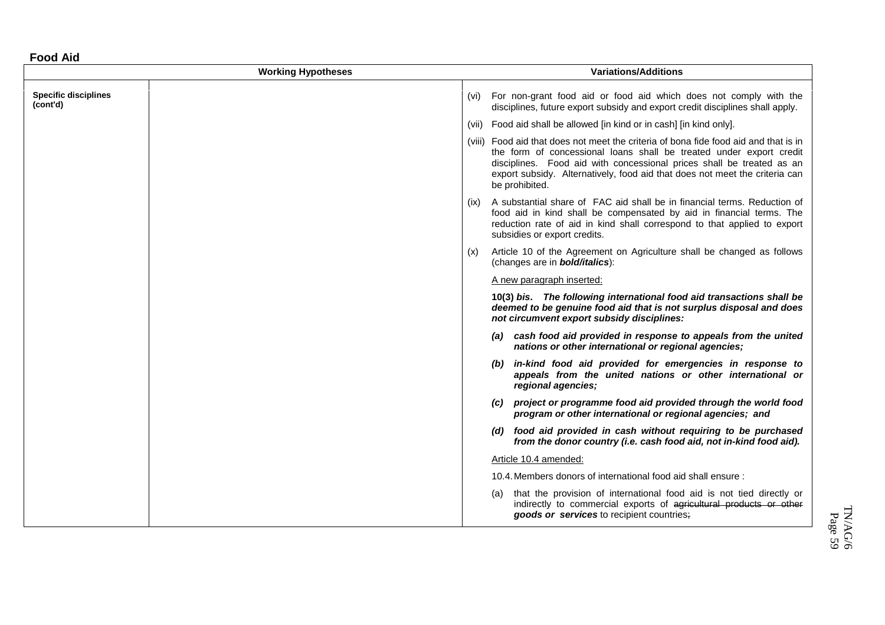#### **Food Aid**

|                                         | <b>Working Hypotheses</b> | <b>Variations/Additions</b>                                                                                                                                                                                                                                                                                                           |
|-----------------------------------------|---------------------------|---------------------------------------------------------------------------------------------------------------------------------------------------------------------------------------------------------------------------------------------------------------------------------------------------------------------------------------|
| <b>Specific disciplines</b><br>(cont'd) |                           | For non-grant food aid or food aid which does not comply with the<br>(vi)<br>disciplines, future export subsidy and export credit disciplines shall apply.                                                                                                                                                                            |
|                                         |                           | (vii) Food aid shall be allowed [in kind or in cash] [in kind only].                                                                                                                                                                                                                                                                  |
|                                         |                           | (viii) Food aid that does not meet the criteria of bona fide food aid and that is in<br>the form of concessional loans shall be treated under export credit<br>disciplines. Food aid with concessional prices shall be treated as an<br>export subsidy. Alternatively, food aid that does not meet the criteria can<br>be prohibited. |
|                                         |                           | A substantial share of FAC aid shall be in financial terms. Reduction of<br>(ix)<br>food aid in kind shall be compensated by aid in financial terms. The<br>reduction rate of aid in kind shall correspond to that applied to export<br>subsidies or export credits.                                                                  |
|                                         |                           | Article 10 of the Agreement on Agriculture shall be changed as follows<br>(x)<br>(changes are in <b>bold/italics</b> ):                                                                                                                                                                                                               |
|                                         |                           | A new paragraph inserted:                                                                                                                                                                                                                                                                                                             |
|                                         |                           | 10(3) bis. The following international food aid transactions shall be<br>deemed to be genuine food aid that is not surplus disposal and does<br>not circumvent export subsidy disciplines:                                                                                                                                            |
|                                         |                           | (a) cash food aid provided in response to appeals from the united<br>nations or other international or regional agencies;                                                                                                                                                                                                             |
|                                         |                           | (b) in-kind food aid provided for emergencies in response to<br>appeals from the united nations or other international or<br>regional agencies;                                                                                                                                                                                       |
|                                         |                           | (c) project or programme food aid provided through the world food<br>program or other international or regional agencies; and                                                                                                                                                                                                         |
|                                         |                           | (d) food aid provided in cash without requiring to be purchased<br>from the donor country (i.e. cash food aid, not in-kind food aid).                                                                                                                                                                                                 |
|                                         |                           | Article 10.4 amended:                                                                                                                                                                                                                                                                                                                 |
|                                         |                           | 10.4. Members donors of international food aid shall ensure :                                                                                                                                                                                                                                                                         |
|                                         |                           | (a) that the provision of international food aid is not tied directly or<br>indirectly to commercial exports of agricultural products or other<br>goods or services to recipient countries;                                                                                                                                           |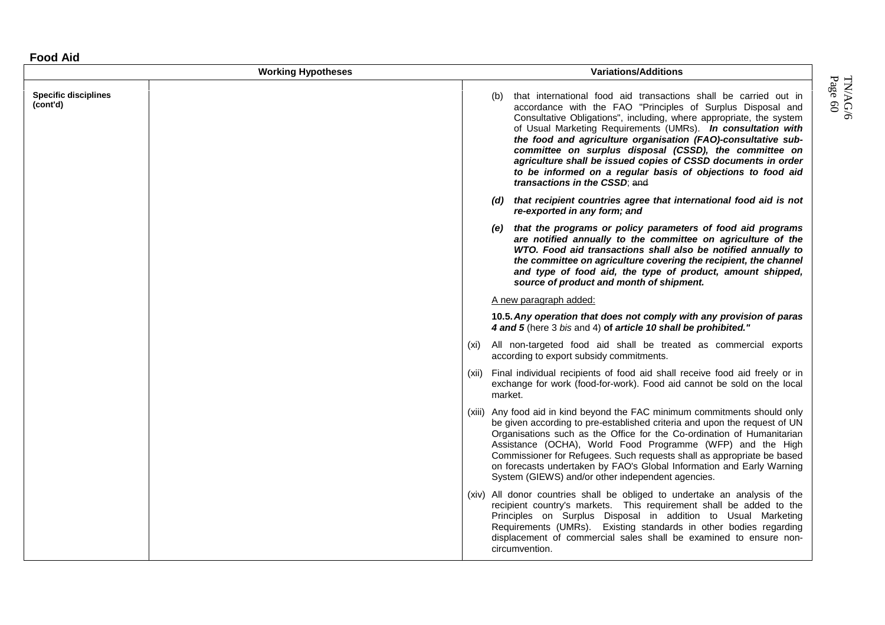# **Food Aid**

|                                         | <b>Working Hypotheses</b> |         | <b>Variations/Additions</b>                                                                                                                                                                                                                                                                                                                                                                                                                                                                                                                                        |
|-----------------------------------------|---------------------------|---------|--------------------------------------------------------------------------------------------------------------------------------------------------------------------------------------------------------------------------------------------------------------------------------------------------------------------------------------------------------------------------------------------------------------------------------------------------------------------------------------------------------------------------------------------------------------------|
| <b>Specific disciplines</b><br>(cont'd) |                           | (b)     | that international food aid transactions shall be carried out in<br>accordance with the FAO "Principles of Surplus Disposal and<br>Consultative Obligations", including, where appropriate, the system<br>of Usual Marketing Requirements (UMRs). In consultation with<br>the food and agriculture organisation (FAO)-consultative sub-<br>committee on surplus disposal (CSSD), the committee on<br>agriculture shall be issued copies of CSSD documents in order<br>to be informed on a regular basis of objections to food aid<br>transactions in the CSSD: and |
|                                         |                           |         | (d) that recipient countries agree that international food aid is not<br>re-exported in any form; and                                                                                                                                                                                                                                                                                                                                                                                                                                                              |
|                                         |                           |         | (e) that the programs or policy parameters of food aid programs<br>are notified annually to the committee on agriculture of the<br>WTO. Food aid transactions shall also be notified annually to<br>the committee on agriculture covering the recipient, the channel<br>and type of food aid, the type of product, amount shipped,<br>source of product and month of shipment.                                                                                                                                                                                     |
|                                         |                           |         | A new paragraph added:                                                                                                                                                                                                                                                                                                                                                                                                                                                                                                                                             |
|                                         |                           |         | 10.5. Any operation that does not comply with any provision of paras<br>4 and 5 (here 3 bis and 4) of article 10 shall be prohibited."                                                                                                                                                                                                                                                                                                                                                                                                                             |
|                                         | (xi)                      |         | All non-targeted food aid shall be treated as commercial exports<br>according to export subsidy commitments.                                                                                                                                                                                                                                                                                                                                                                                                                                                       |
|                                         |                           | market. | (xii) Final individual recipients of food aid shall receive food aid freely or in<br>exchange for work (food-for-work). Food aid cannot be sold on the local                                                                                                                                                                                                                                                                                                                                                                                                       |
|                                         |                           |         | (xiii) Any food aid in kind beyond the FAC minimum commitments should only<br>be given according to pre-established criteria and upon the request of UN<br>Organisations such as the Office for the Co-ordination of Humanitarian<br>Assistance (OCHA), World Food Programme (WFP) and the High<br>Commissioner for Refugees. Such requests shall as appropriate be based<br>on forecasts undertaken by FAO's Global Information and Early Warning<br>System (GIEWS) and/or other independent agencies.                                                            |
|                                         |                           |         | (xiv) All donor countries shall be obliged to undertake an analysis of the<br>recipient country's markets. This requirement shall be added to the<br>Principles on Surplus Disposal in addition to Usual Marketing<br>Requirements (UMRs). Existing standards in other bodies regarding<br>displacement of commercial sales shall be examined to ensure non-<br>circumvention.                                                                                                                                                                                     |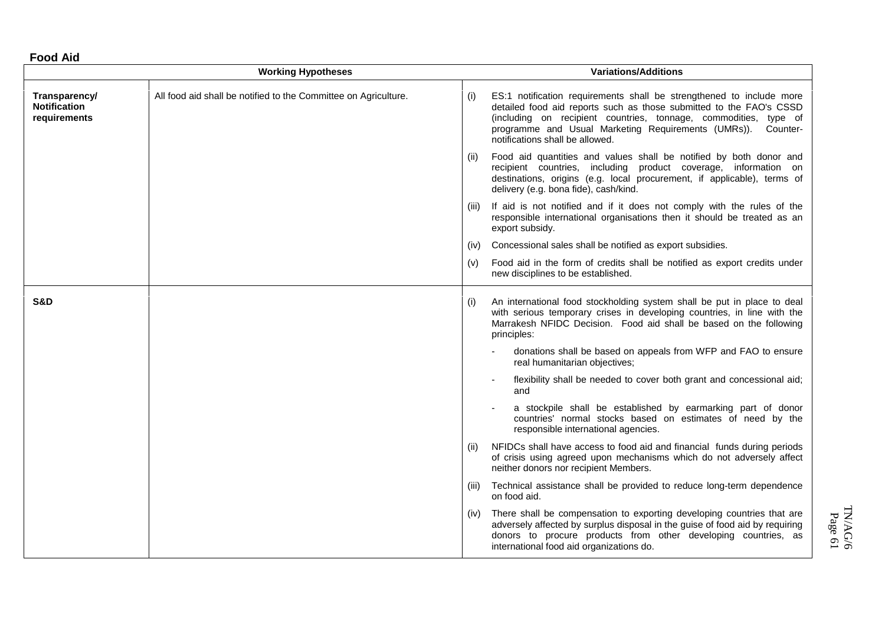### **Food Aid**

|                                                      | <b>Working Hypotheses</b>                                       |       | <b>Variations/Additions</b>                                                                                                                                                                                                                                                                                        |
|------------------------------------------------------|-----------------------------------------------------------------|-------|--------------------------------------------------------------------------------------------------------------------------------------------------------------------------------------------------------------------------------------------------------------------------------------------------------------------|
| Transparency/<br><b>Notification</b><br>requirements | All food aid shall be notified to the Committee on Agriculture. | (i)   | ES:1 notification requirements shall be strengthened to include more<br>detailed food aid reports such as those submitted to the FAO's CSSD<br>(including on recipient countries, tonnage, commodities, type of<br>programme and Usual Marketing Requirements (UMRs)). Counter-<br>notifications shall be allowed. |
|                                                      |                                                                 | (iii) | Food aid quantities and values shall be notified by both donor and<br>recipient countries, including product coverage, information on<br>destinations, origins (e.g. local procurement, if applicable), terms of<br>delivery (e.g. bona fide), cash/kind.                                                          |
|                                                      |                                                                 | (III) | If aid is not notified and if it does not comply with the rules of the<br>responsible international organisations then it should be treated as an<br>export subsidy.                                                                                                                                               |
|                                                      |                                                                 | (iv)  | Concessional sales shall be notified as export subsidies.                                                                                                                                                                                                                                                          |
|                                                      |                                                                 | (v)   | Food aid in the form of credits shall be notified as export credits under<br>new disciplines to be established.                                                                                                                                                                                                    |
| S&D                                                  |                                                                 | (i)   | An international food stockholding system shall be put in place to deal<br>with serious temporary crises in developing countries, in line with the<br>Marrakesh NFIDC Decision. Food aid shall be based on the following<br>principles:                                                                            |
|                                                      |                                                                 |       | donations shall be based on appeals from WFP and FAO to ensure<br>real humanitarian objectives;                                                                                                                                                                                                                    |
|                                                      |                                                                 |       | flexibility shall be needed to cover both grant and concessional aid;<br>and                                                                                                                                                                                                                                       |
|                                                      |                                                                 |       | a stockpile shall be established by earmarking part of donor<br>countries' normal stocks based on estimates of need by the<br>responsible international agencies.                                                                                                                                                  |
|                                                      |                                                                 | (ii)  | NFIDCs shall have access to food aid and financial funds during periods<br>of crisis using agreed upon mechanisms which do not adversely affect<br>neither donors nor recipient Members.                                                                                                                           |
|                                                      |                                                                 | (III) | Technical assistance shall be provided to reduce long-term dependence<br>on food aid.                                                                                                                                                                                                                              |
|                                                      |                                                                 | (iv)  | There shall be compensation to exporting developing countries that are<br>adversely affected by surplus disposal in the guise of food aid by requiring<br>donors to procure products from other developing countries, as<br>international food aid organizations do.                                               |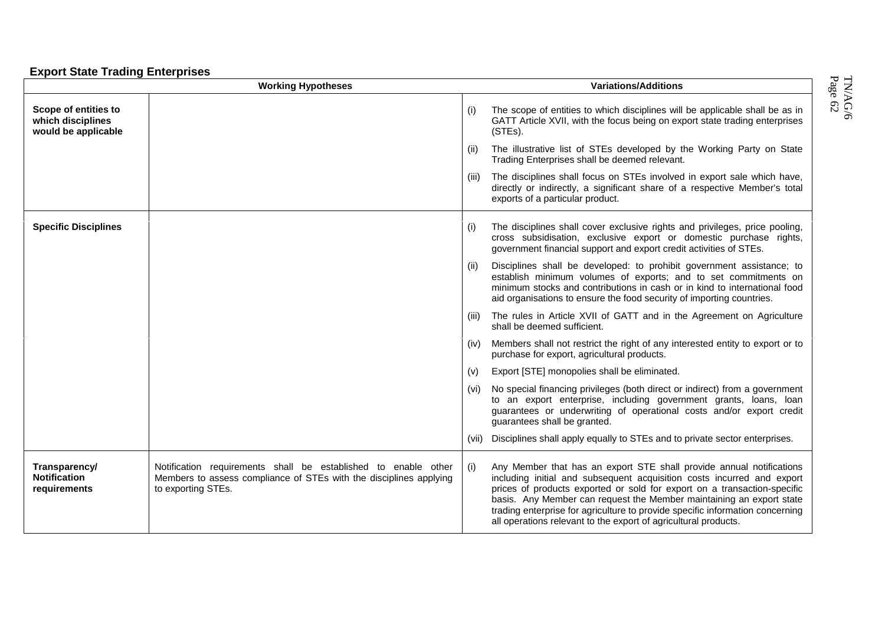## **Export State Trading Enterprises**

|                                                                  | <b>Working Hypotheses</b>                                                                                                                                  | <b>Variations/Additions</b>                                                                                                                                                                                                                                                                                                                                                                                                                                   |  |  |
|------------------------------------------------------------------|------------------------------------------------------------------------------------------------------------------------------------------------------------|---------------------------------------------------------------------------------------------------------------------------------------------------------------------------------------------------------------------------------------------------------------------------------------------------------------------------------------------------------------------------------------------------------------------------------------------------------------|--|--|
| Scope of entities to<br>which disciplines<br>would be applicable |                                                                                                                                                            | (i)<br>The scope of entities to which disciplines will be applicable shall be as in<br>GATT Article XVII, with the focus being on export state trading enterprises<br>(STEs).                                                                                                                                                                                                                                                                                 |  |  |
|                                                                  |                                                                                                                                                            | The illustrative list of STEs developed by the Working Party on State<br>(ii)<br>Trading Enterprises shall be deemed relevant.                                                                                                                                                                                                                                                                                                                                |  |  |
|                                                                  |                                                                                                                                                            | The disciplines shall focus on STEs involved in export sale which have,<br>(iii)<br>directly or indirectly, a significant share of a respective Member's total<br>exports of a particular product.                                                                                                                                                                                                                                                            |  |  |
| <b>Specific Disciplines</b>                                      |                                                                                                                                                            | The disciplines shall cover exclusive rights and privileges, price pooling,<br>(i)<br>cross subsidisation, exclusive export or domestic purchase rights,<br>government financial support and export credit activities of STEs.                                                                                                                                                                                                                                |  |  |
|                                                                  |                                                                                                                                                            | Disciplines shall be developed: to prohibit government assistance; to<br>(ii)<br>establish minimum volumes of exports; and to set commitments on<br>minimum stocks and contributions in cash or in kind to international food<br>aid organisations to ensure the food security of importing countries.                                                                                                                                                        |  |  |
|                                                                  |                                                                                                                                                            | The rules in Article XVII of GATT and in the Agreement on Agriculture<br>(iii)<br>shall be deemed sufficient.                                                                                                                                                                                                                                                                                                                                                 |  |  |
|                                                                  |                                                                                                                                                            | Members shall not restrict the right of any interested entity to export or to<br>(iv)<br>purchase for export, agricultural products.                                                                                                                                                                                                                                                                                                                          |  |  |
|                                                                  |                                                                                                                                                            | Export [STE] monopolies shall be eliminated.<br>(v)                                                                                                                                                                                                                                                                                                                                                                                                           |  |  |
|                                                                  |                                                                                                                                                            | No special financing privileges (both direct or indirect) from a government<br>(vi)<br>to an export enterprise, including government grants, loans, loan<br>guarantees or underwriting of operational costs and/or export credit<br>guarantees shall be granted.                                                                                                                                                                                              |  |  |
|                                                                  |                                                                                                                                                            | Disciplines shall apply equally to STEs and to private sector enterprises.<br>(vii)                                                                                                                                                                                                                                                                                                                                                                           |  |  |
| Transparency/<br><b>Notification</b><br>requirements             | Notification requirements shall be established to enable other<br>Members to assess compliance of STEs with the disciplines applying<br>to exporting STEs. | (i)<br>Any Member that has an export STE shall provide annual notifications<br>including initial and subsequent acquisition costs incurred and export<br>prices of products exported or sold for export on a transaction-specific<br>basis. Any Member can request the Member maintaining an export state<br>trading enterprise for agriculture to provide specific information concerning<br>all operations relevant to the export of agricultural products. |  |  |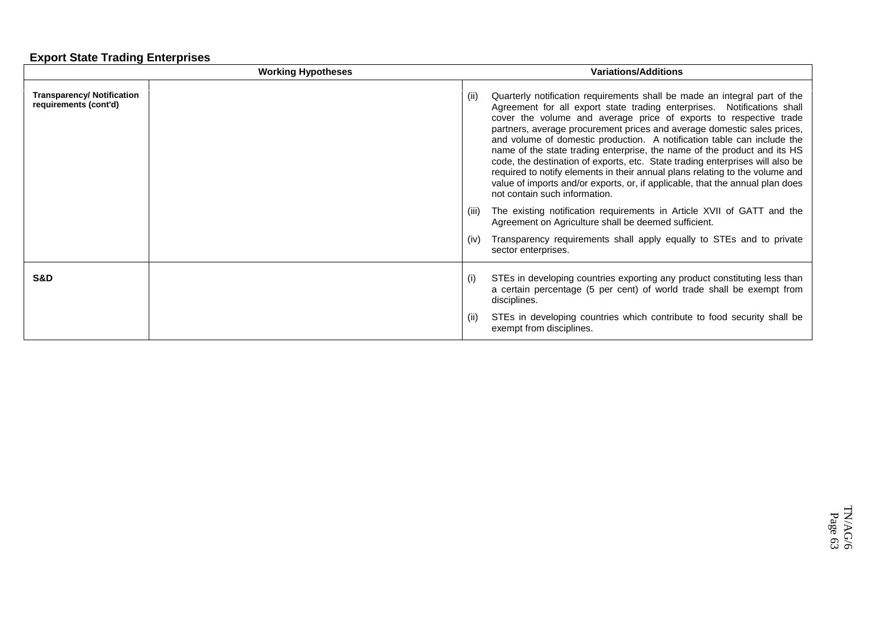# **Export State Trading Enterprises**

|                                                            | <b>Working Hypotheses</b> | <b>Variations/Additions</b>                                                                                                                                                                                                                                                                                                                                                                                                                                                                                                                                                                                                                                                                                                                    |
|------------------------------------------------------------|---------------------------|------------------------------------------------------------------------------------------------------------------------------------------------------------------------------------------------------------------------------------------------------------------------------------------------------------------------------------------------------------------------------------------------------------------------------------------------------------------------------------------------------------------------------------------------------------------------------------------------------------------------------------------------------------------------------------------------------------------------------------------------|
| <b>Transparency/ Notification</b><br>requirements (cont'd) | (ii)                      | Quarterly notification requirements shall be made an integral part of the<br>Agreement for all export state trading enterprises. Notifications shall<br>cover the volume and average price of exports to respective trade<br>partners, average procurement prices and average domestic sales prices,<br>and volume of domestic production. A notification table can include the<br>name of the state trading enterprise, the name of the product and its HS<br>code, the destination of exports, etc. State trading enterprises will also be<br>required to notify elements in their annual plans relating to the volume and<br>value of imports and/or exports, or, if applicable, that the annual plan does<br>not contain such information. |
|                                                            | (iii)                     | The existing notification requirements in Article XVII of GATT and the<br>Agreement on Agriculture shall be deemed sufficient.                                                                                                                                                                                                                                                                                                                                                                                                                                                                                                                                                                                                                 |
|                                                            | (iv)                      | Transparency requirements shall apply equally to STEs and to private<br>sector enterprises.                                                                                                                                                                                                                                                                                                                                                                                                                                                                                                                                                                                                                                                    |
| S&D                                                        | (i)                       | STEs in developing countries exporting any product constituting less than<br>a certain percentage (5 per cent) of world trade shall be exempt from<br>disciplines.                                                                                                                                                                                                                                                                                                                                                                                                                                                                                                                                                                             |
|                                                            | (ii)                      | STEs in developing countries which contribute to food security shall be<br>exempt from disciplines.                                                                                                                                                                                                                                                                                                                                                                                                                                                                                                                                                                                                                                            |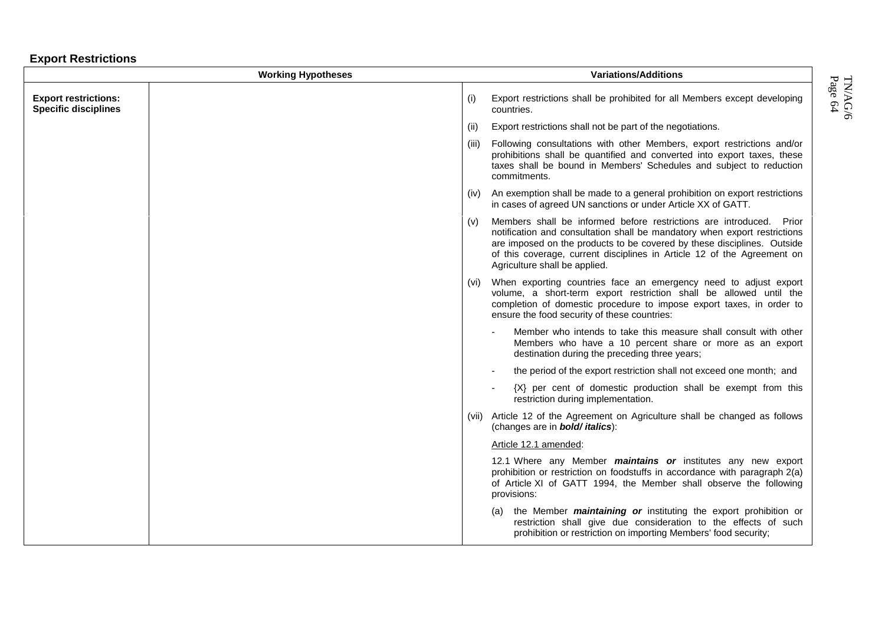## **Export Restrictions**

|                                                            | <b>Working Hypotheses</b> |       | <b>Variations/Additions</b>                                                                                                                                                                                                                                                                                                             |
|------------------------------------------------------------|---------------------------|-------|-----------------------------------------------------------------------------------------------------------------------------------------------------------------------------------------------------------------------------------------------------------------------------------------------------------------------------------------|
| <b>Export restrictions:</b><br><b>Specific disciplines</b> |                           | (i)   | Export restrictions shall be prohibited for all Members except developing<br>countries.                                                                                                                                                                                                                                                 |
|                                                            |                           | (ii)  | Export restrictions shall not be part of the negotiations.                                                                                                                                                                                                                                                                              |
|                                                            |                           | (iii) | Following consultations with other Members, export restrictions and/or<br>prohibitions shall be quantified and converted into export taxes, these<br>taxes shall be bound in Members' Schedules and subject to reduction<br>commitments.                                                                                                |
|                                                            |                           | (IV)  | An exemption shall be made to a general prohibition on export restrictions<br>in cases of agreed UN sanctions or under Article XX of GATT.                                                                                                                                                                                              |
|                                                            |                           | (v)   | Members shall be informed before restrictions are introduced. Prior<br>notification and consultation shall be mandatory when export restrictions<br>are imposed on the products to be covered by these disciplines. Outside<br>of this coverage, current disciplines in Article 12 of the Agreement on<br>Agriculture shall be applied. |
|                                                            |                           | (VI)  | When exporting countries face an emergency need to adjust export<br>volume, a short-term export restriction shall be allowed until the<br>completion of domestic procedure to impose export taxes, in order to<br>ensure the food security of these countries:                                                                          |
|                                                            |                           |       | Member who intends to take this measure shall consult with other<br>Members who have a 10 percent share or more as an export<br>destination during the preceding three years;                                                                                                                                                           |
|                                                            |                           |       | the period of the export restriction shall not exceed one month; and                                                                                                                                                                                                                                                                    |
|                                                            |                           |       | $\{X\}$ per cent of domestic production shall be exempt from this<br>restriction during implementation.                                                                                                                                                                                                                                 |
|                                                            |                           |       | (vii) Article 12 of the Agreement on Agriculture shall be changed as follows<br>(changes are in <b>bold/ italics</b> ):                                                                                                                                                                                                                 |
|                                                            |                           |       | Article 12.1 amended:                                                                                                                                                                                                                                                                                                                   |
|                                                            |                           |       | 12.1 Where any Member <i>maintains</i> or institutes any new export<br>prohibition or restriction on foodstuffs in accordance with paragraph 2(a)<br>of Article XI of GATT 1994, the Member shall observe the following<br>provisions:                                                                                                  |
|                                                            |                           |       | the Member <i>maintaining</i> or instituting the export prohibition or<br>(a)<br>restriction shall give due consideration to the effects of such<br>prohibition or restriction on importing Members' food security;                                                                                                                     |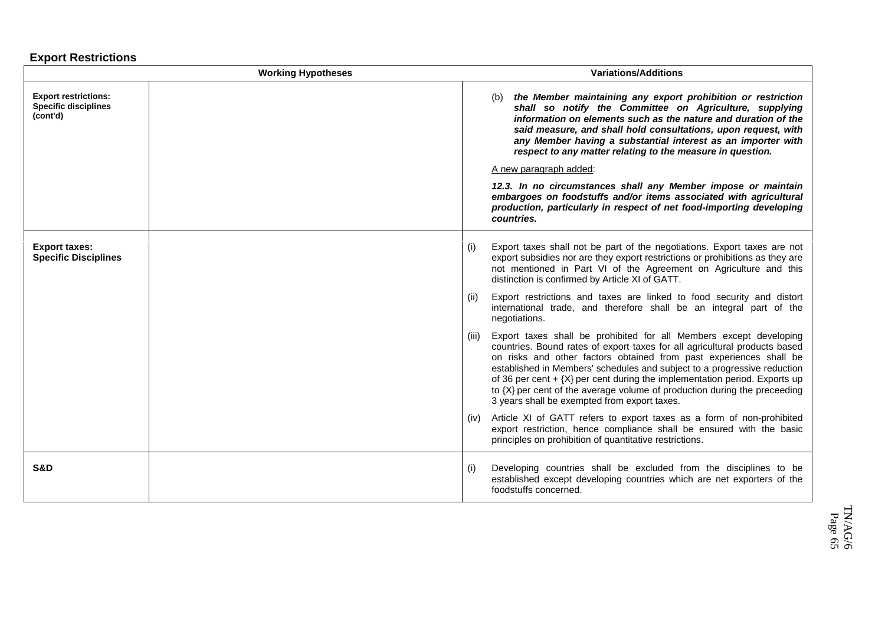# **Export Restrictions**

|                                                                        | <b>Working Hypotheses</b> |       | <b>Variations/Additions</b>                                                                                                                                                                                                                                                                                                                                                                                                                                                                                       |
|------------------------------------------------------------------------|---------------------------|-------|-------------------------------------------------------------------------------------------------------------------------------------------------------------------------------------------------------------------------------------------------------------------------------------------------------------------------------------------------------------------------------------------------------------------------------------------------------------------------------------------------------------------|
| <b>Export restrictions:</b><br><b>Specific disciplines</b><br>(cont'd) |                           |       | the Member maintaining any export prohibition or restriction<br>(b)<br>shall so notify the Committee on Agriculture, supplying<br>information on elements such as the nature and duration of the<br>said measure, and shall hold consultations, upon request, with<br>any Member having a substantial interest as an importer with<br>respect to any matter relating to the measure in question.                                                                                                                  |
|                                                                        |                           |       | A new paragraph added:                                                                                                                                                                                                                                                                                                                                                                                                                                                                                            |
|                                                                        |                           |       | 12.3. In no circumstances shall any Member impose or maintain<br>embargoes on foodstuffs and/or items associated with agricultural<br>production, particularly in respect of net food-importing developing<br>countries.                                                                                                                                                                                                                                                                                          |
| <b>Export taxes:</b><br><b>Specific Disciplines</b>                    |                           | (i)   | Export taxes shall not be part of the negotiations. Export taxes are not<br>export subsidies nor are they export restrictions or prohibitions as they are<br>not mentioned in Part VI of the Agreement on Agriculture and this<br>distinction is confirmed by Article XI of GATT.                                                                                                                                                                                                                                 |
|                                                                        |                           | (ii)  | Export restrictions and taxes are linked to food security and distort<br>international trade, and therefore shall be an integral part of the<br>negotiations.                                                                                                                                                                                                                                                                                                                                                     |
|                                                                        |                           | (iii) | Export taxes shall be prohibited for all Members except developing<br>countries. Bound rates of export taxes for all agricultural products based<br>on risks and other factors obtained from past experiences shall be<br>established in Members' schedules and subject to a progressive reduction<br>of 36 per cent + $\{X\}$ per cent during the implementation period. Exports up<br>to {X} per cent of the average volume of production during the preceeding<br>3 years shall be exempted from export taxes. |
|                                                                        |                           | (iv)  | Article XI of GATT refers to export taxes as a form of non-prohibited<br>export restriction, hence compliance shall be ensured with the basic<br>principles on prohibition of quantitative restrictions.                                                                                                                                                                                                                                                                                                          |
| S&D                                                                    |                           | (i)   | Developing countries shall be excluded from the disciplines to be<br>established except developing countries which are net exporters of the<br>foodstuffs concerned.                                                                                                                                                                                                                                                                                                                                              |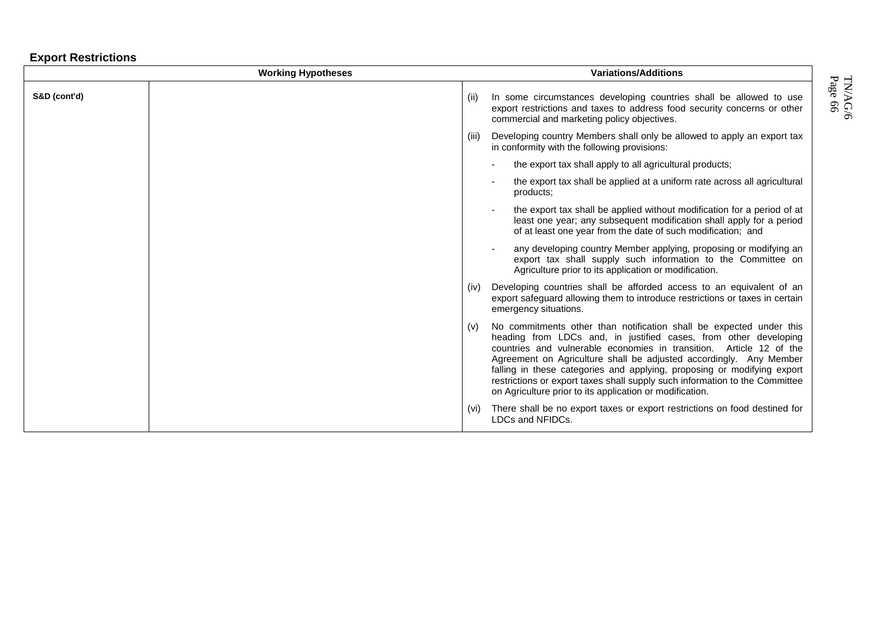### **Export Restrictions**

|              | <b>Working Hypotheses</b> | <b>Variations/Additions</b>                                                                                                                                                                                                                                                                                                                                                                                                                                                                                |
|--------------|---------------------------|------------------------------------------------------------------------------------------------------------------------------------------------------------------------------------------------------------------------------------------------------------------------------------------------------------------------------------------------------------------------------------------------------------------------------------------------------------------------------------------------------------|
| S&D (cont'd) | (ii)                      | In some circumstances developing countries shall be allowed to use<br>export restrictions and taxes to address food security concerns or other<br>commercial and marketing policy objectives.                                                                                                                                                                                                                                                                                                              |
|              | (iii)                     | Developing country Members shall only be allowed to apply an export tax<br>in conformity with the following provisions:                                                                                                                                                                                                                                                                                                                                                                                    |
|              |                           | the export tax shall apply to all agricultural products;                                                                                                                                                                                                                                                                                                                                                                                                                                                   |
|              |                           | the export tax shall be applied at a uniform rate across all agricultural<br>products;                                                                                                                                                                                                                                                                                                                                                                                                                     |
|              |                           | the export tax shall be applied without modification for a period of at<br>least one year; any subsequent modification shall apply for a period<br>of at least one year from the date of such modification; and                                                                                                                                                                                                                                                                                            |
|              |                           | any developing country Member applying, proposing or modifying an<br>export tax shall supply such information to the Committee on<br>Agriculture prior to its application or modification.                                                                                                                                                                                                                                                                                                                 |
|              | (iv)                      | Developing countries shall be afforded access to an equivalent of an<br>export safeguard allowing them to introduce restrictions or taxes in certain<br>emergency situations.                                                                                                                                                                                                                                                                                                                              |
|              | (v)                       | No commitments other than notification shall be expected under this<br>heading from LDCs and, in justified cases, from other developing<br>countries and vulnerable economies in transition. Article 12 of the<br>Agreement on Agriculture shall be adjusted accordingly. Any Member<br>falling in these categories and applying, proposing or modifying export<br>restrictions or export taxes shall supply such information to the Committee<br>on Agriculture prior to its application or modification. |
|              | (vi)                      | There shall be no export taxes or export restrictions on food destined for<br>LDCs and NFIDCs.                                                                                                                                                                                                                                                                                                                                                                                                             |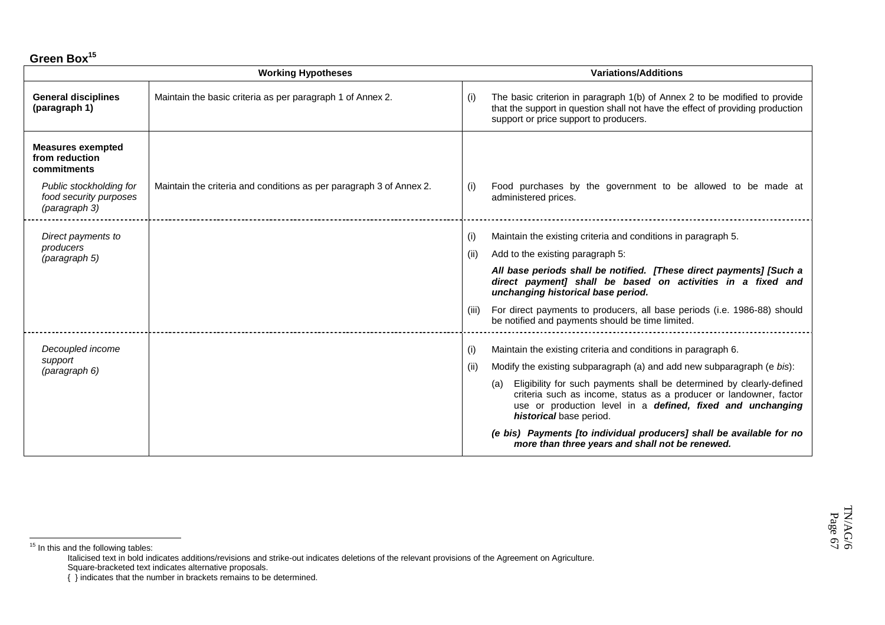## **Green Box<sup>15</sup>**

|                                                                    | <b>Working Hypotheses</b>                                           |       | <b>Variations/Additions</b>                                                                                                                                                                                                             |
|--------------------------------------------------------------------|---------------------------------------------------------------------|-------|-----------------------------------------------------------------------------------------------------------------------------------------------------------------------------------------------------------------------------------------|
| <b>General disciplines</b><br>(paragraph 1)                        | Maintain the basic criteria as per paragraph 1 of Annex 2.          | (i)   | The basic criterion in paragraph 1(b) of Annex 2 to be modified to provide<br>that the support in question shall not have the effect of providing production<br>support or price support to producers.                                  |
| <b>Measures exempted</b><br>from reduction<br>commitments          |                                                                     |       |                                                                                                                                                                                                                                         |
| Public stockholding for<br>food security purposes<br>(paragraph 3) | Maintain the criteria and conditions as per paragraph 3 of Annex 2. | (i)   | Food purchases by the government to be allowed to be made at<br>administered prices.                                                                                                                                                    |
| Direct payments to                                                 |                                                                     | (i)   | Maintain the existing criteria and conditions in paragraph 5.                                                                                                                                                                           |
| producers<br>(paragraph 5)                                         |                                                                     | (ii)  | Add to the existing paragraph 5:                                                                                                                                                                                                        |
|                                                                    |                                                                     |       | All base periods shall be notified. [These direct payments] [Such a<br>direct payment] shall be based on activities in a fixed and<br>unchanging historical base period.                                                                |
|                                                                    |                                                                     | (iii) | For direct payments to producers, all base periods (i.e. 1986-88) should<br>be notified and payments should be time limited.                                                                                                            |
| Decoupled income                                                   |                                                                     | (i)   | Maintain the existing criteria and conditions in paragraph 6.                                                                                                                                                                           |
| support<br>(paragraph 6)                                           |                                                                     | (ii)  | Modify the existing subparagraph (a) and add new subparagraph (e bis):                                                                                                                                                                  |
|                                                                    |                                                                     |       | (a) Eligibility for such payments shall be determined by clearly-defined<br>criteria such as income, status as a producer or landowner, factor<br>use or production level in a defined, fixed and unchanging<br>historical base period. |
|                                                                    |                                                                     |       | (e bis) Payments [to individual producers] shall be available for no<br>more than three years and shall not be renewed.                                                                                                                 |

<sup>&</sup>lt;sup>15</sup> In this and the following tables:

Italicised text in bold indicates additions/revisions and strike-out indicates deletions of the relevant provisions of the Agreement on Agriculture. Square-bracketed text indicates alternative proposals.

<sup>{ }</sup> indicates that the number in brackets remains to be determined.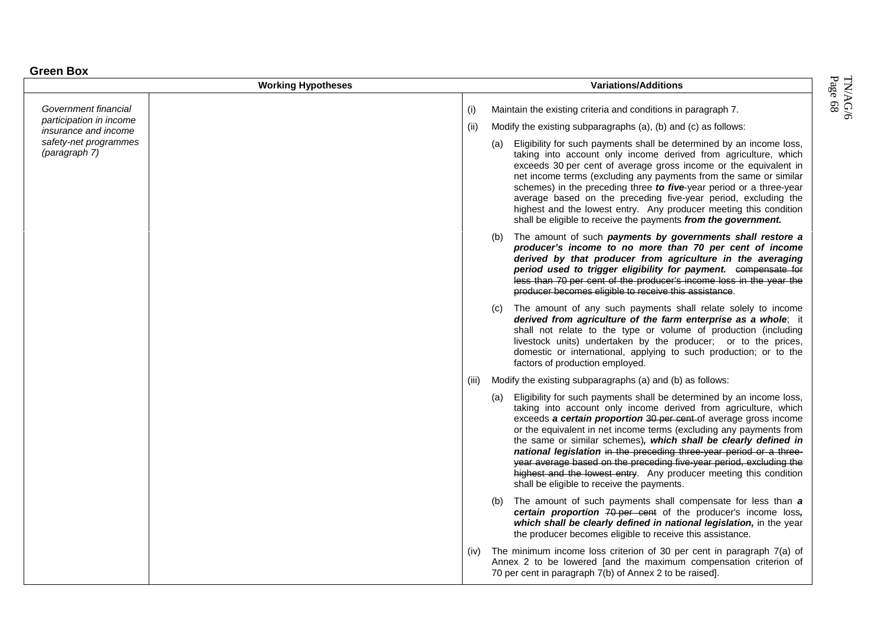| <b>Green Box</b> |  |
|------------------|--|

|                                                        | <b>Working Hypotheses</b> |       | <b>Variations/Additions</b>                                                                                                                                                                                                                                                                                                                                                                                                                                                                                                                                                                                               |  |
|--------------------------------------------------------|---------------------------|-------|---------------------------------------------------------------------------------------------------------------------------------------------------------------------------------------------------------------------------------------------------------------------------------------------------------------------------------------------------------------------------------------------------------------------------------------------------------------------------------------------------------------------------------------------------------------------------------------------------------------------------|--|
| Government financial                                   |                           | (i)   | Maintain the existing criteria and conditions in paragraph 7.                                                                                                                                                                                                                                                                                                                                                                                                                                                                                                                                                             |  |
| participation in income<br><i>insurance and income</i> |                           | (ii)  | Modify the existing subparagraphs (a), (b) and (c) as follows:                                                                                                                                                                                                                                                                                                                                                                                                                                                                                                                                                            |  |
| safety-net programmes<br>(paragraph 7)                 |                           |       | (a) Eligibility for such payments shall be determined by an income loss,<br>taking into account only income derived from agriculture, which<br>exceeds 30 per cent of average gross income or the equivalent in<br>net income terms (excluding any payments from the same or similar<br>schemes) in the preceding three to five-year period or a three-year<br>average based on the preceding five-year period, excluding the<br>highest and the lowest entry. Any producer meeting this condition<br>shall be eligible to receive the payments from the government.                                                      |  |
|                                                        |                           |       | (b) The amount of such payments by governments shall restore a<br>producer's income to no more than 70 per cent of income<br>derived by that producer from agriculture in the averaging<br>period used to trigger eligibility for payment. compensate for<br>less than 70 per cent of the producer's income loss in the year the<br>producer becomes eligible to receive this assistance.                                                                                                                                                                                                                                 |  |
|                                                        |                           |       | (c) The amount of any such payments shall relate solely to income<br>derived from agriculture of the farm enterprise as a whole; it<br>shall not relate to the type or volume of production (including<br>livestock units) undertaken by the producer; or to the prices,<br>domestic or international, applying to such production; or to the<br>factors of production employed.                                                                                                                                                                                                                                          |  |
|                                                        |                           | (iii) | Modify the existing subparagraphs (a) and (b) as follows:                                                                                                                                                                                                                                                                                                                                                                                                                                                                                                                                                                 |  |
|                                                        |                           |       | (a) Eligibility for such payments shall be determined by an income loss,<br>taking into account only income derived from agriculture, which<br>exceeds a certain proportion 30 per cent-of average gross income<br>or the equivalent in net income terms (excluding any payments from<br>the same or similar schemes), which shall be clearly defined in<br>national legislation in the preceding three-year period or a three-<br>year average based on the preceding five-year period, excluding the<br>highest and the lowest entry. Any producer meeting this condition<br>shall be eligible to receive the payments. |  |
|                                                        |                           |       | The amount of such payments shall compensate for less than a<br>(b)<br>certain proportion 70-per-cent of the producer's income loss,<br>which shall be clearly defined in national legislation, in the year<br>the producer becomes eligible to receive this assistance.                                                                                                                                                                                                                                                                                                                                                  |  |
|                                                        |                           |       | The minimum income loss criterion of 30 per cent in paragraph 7(a) of<br>Annex 2 to be lowered [and the maximum compensation criterion of<br>70 per cent in paragraph 7(b) of Annex 2 to be raised].                                                                                                                                                                                                                                                                                                                                                                                                                      |  |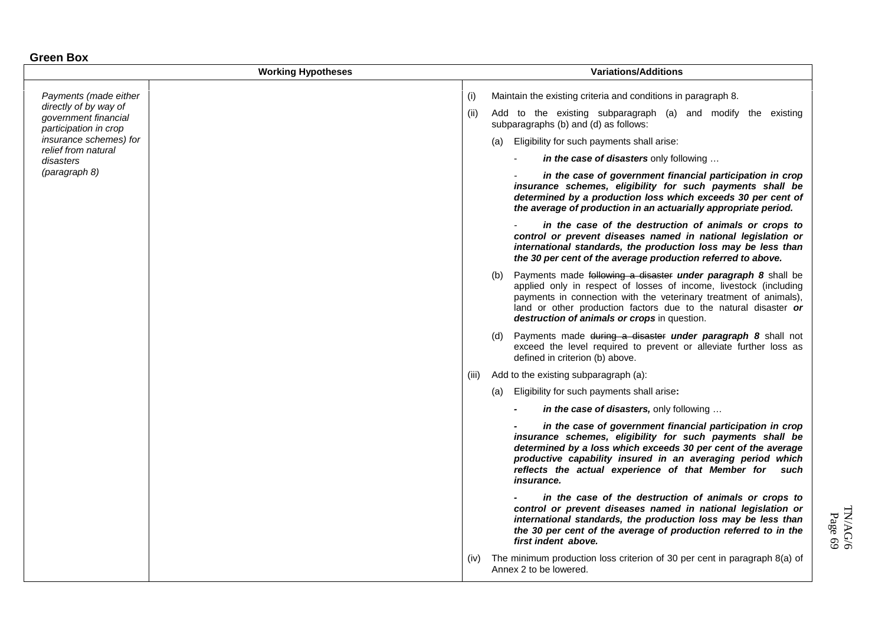# **Green Box**

|                                                      | <b>Working Hypotheses</b> |       | <b>Variations/Additions</b>                                                                                                                                                                                                                                                                                                             |
|------------------------------------------------------|---------------------------|-------|-----------------------------------------------------------------------------------------------------------------------------------------------------------------------------------------------------------------------------------------------------------------------------------------------------------------------------------------|
| Payments (made either<br>directly of by way of       |                           | (i)   | Maintain the existing criteria and conditions in paragraph 8.                                                                                                                                                                                                                                                                           |
| government financial<br>participation in crop        |                           | (ii)  | Add to the existing subparagraph (a) and modify the existing<br>subparagraphs (b) and (d) as follows:                                                                                                                                                                                                                                   |
| <i>insurance schemes)</i> for<br>relief from natural |                           |       | (a) Eligibility for such payments shall arise:                                                                                                                                                                                                                                                                                          |
| disasters                                            |                           |       | <i>in the case of disasters</i> only following                                                                                                                                                                                                                                                                                          |
| (paragraph 8)                                        |                           |       | in the case of government financial participation in crop<br>insurance schemes, eligibility for such payments shall be<br>determined by a production loss which exceeds 30 per cent of<br>the average of production in an actuarially appropriate period.                                                                               |
|                                                      |                           |       | in the case of the destruction of animals or crops to<br>control or prevent diseases named in national legislation or<br>international standards, the production loss may be less than<br>the 30 per cent of the average production referred to above.                                                                                  |
|                                                      |                           |       | Payments made following a disaster under paragraph 8 shall be<br>(b)<br>applied only in respect of losses of income, livestock (including<br>payments in connection with the veterinary treatment of animals),<br>land or other production factors due to the natural disaster or<br>destruction of animals or crops in question.       |
|                                                      |                           |       | (d) Payments made during a disaster under paragraph 8 shall not<br>exceed the level required to prevent or alleviate further loss as<br>defined in criterion (b) above.                                                                                                                                                                 |
|                                                      |                           | (III) | Add to the existing subparagraph (a):                                                                                                                                                                                                                                                                                                   |
|                                                      |                           |       | (a) Eligibility for such payments shall arise:                                                                                                                                                                                                                                                                                          |
|                                                      |                           |       | <i>in the case of disasters, only following </i>                                                                                                                                                                                                                                                                                        |
|                                                      |                           |       | in the case of government financial participation in crop<br>insurance schemes, eligibility for such payments shall be<br>determined by a loss which exceeds 30 per cent of the average<br>productive capability insured in an averaging period which<br>reflects the actual experience of that Member for<br>such<br><i>insurance.</i> |
|                                                      |                           |       | in the case of the destruction of animals or crops to<br>control or prevent diseases named in national legislation or<br>international standards, the production loss may be less than<br>the 30 per cent of the average of production referred to in the<br>first indent above.                                                        |
|                                                      |                           | (iv)  | The minimum production loss criterion of 30 per cent in paragraph 8(a) of<br>Annex 2 to be lowered.                                                                                                                                                                                                                                     |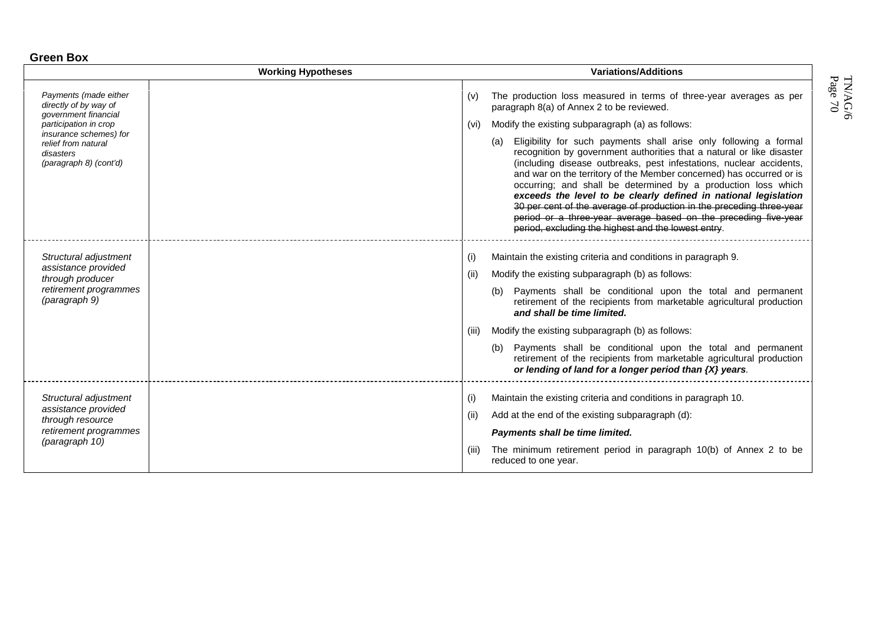| Green Box |  |
|-----------|--|
|-----------|--|

|                                                                                      | <b>Working Hypotheses</b> | <b>Variations/Additions</b>                                                                                                                                                                                                                                                                                                                                                                                                                                                                                                                                                                                                            |
|--------------------------------------------------------------------------------------|---------------------------|----------------------------------------------------------------------------------------------------------------------------------------------------------------------------------------------------------------------------------------------------------------------------------------------------------------------------------------------------------------------------------------------------------------------------------------------------------------------------------------------------------------------------------------------------------------------------------------------------------------------------------------|
| Payments (made either<br>directly of by way of<br>government financial               | (v)                       | The production loss measured in terms of three-year averages as per<br>paragraph 8(a) of Annex 2 to be reviewed.                                                                                                                                                                                                                                                                                                                                                                                                                                                                                                                       |
| participation in crop                                                                | (vi)                      | Modify the existing subparagraph (a) as follows:                                                                                                                                                                                                                                                                                                                                                                                                                                                                                                                                                                                       |
| insurance schemes) for<br>relief from natural<br>disasters<br>(paragraph 8) (cont'd) |                           | Eligibility for such payments shall arise only following a formal<br>(a)<br>recognition by government authorities that a natural or like disaster<br>(including disease outbreaks, pest infestations, nuclear accidents,<br>and war on the territory of the Member concerned) has occurred or is<br>occurring; and shall be determined by a production loss which<br>exceeds the level to be clearly defined in national legislation<br>30 per cent of the average of production in the preceding three-year<br>period or a three-year average based on the preceding five-year<br>period, excluding the highest and the lowest entry. |
| Structural adjustment                                                                | (i)                       | Maintain the existing criteria and conditions in paragraph 9.                                                                                                                                                                                                                                                                                                                                                                                                                                                                                                                                                                          |
| assistance provided<br>through producer                                              | (ii)                      | Modify the existing subparagraph (b) as follows:                                                                                                                                                                                                                                                                                                                                                                                                                                                                                                                                                                                       |
| retirement programmes<br>(paragraph 9)                                               |                           | (b) Payments shall be conditional upon the total and permanent<br>retirement of the recipients from marketable agricultural production<br>and shall be time limited.                                                                                                                                                                                                                                                                                                                                                                                                                                                                   |
|                                                                                      | (iii)                     | Modify the existing subparagraph (b) as follows:                                                                                                                                                                                                                                                                                                                                                                                                                                                                                                                                                                                       |
|                                                                                      |                           | (b) Payments shall be conditional upon the total and permanent<br>retirement of the recipients from marketable agricultural production<br>or lending of land for a longer period than {X} years.                                                                                                                                                                                                                                                                                                                                                                                                                                       |
| Structural adjustment                                                                | (i)                       | Maintain the existing criteria and conditions in paragraph 10.                                                                                                                                                                                                                                                                                                                                                                                                                                                                                                                                                                         |
| assistance provided<br>through resource                                              | (ii)                      | Add at the end of the existing subparagraph (d):                                                                                                                                                                                                                                                                                                                                                                                                                                                                                                                                                                                       |
| retirement programmes                                                                |                           | Payments shall be time limited.                                                                                                                                                                                                                                                                                                                                                                                                                                                                                                                                                                                                        |
| (paragraph 10)                                                                       | (iii)                     | The minimum retirement period in paragraph 10(b) of Annex 2 to be<br>reduced to one year.                                                                                                                                                                                                                                                                                                                                                                                                                                                                                                                                              |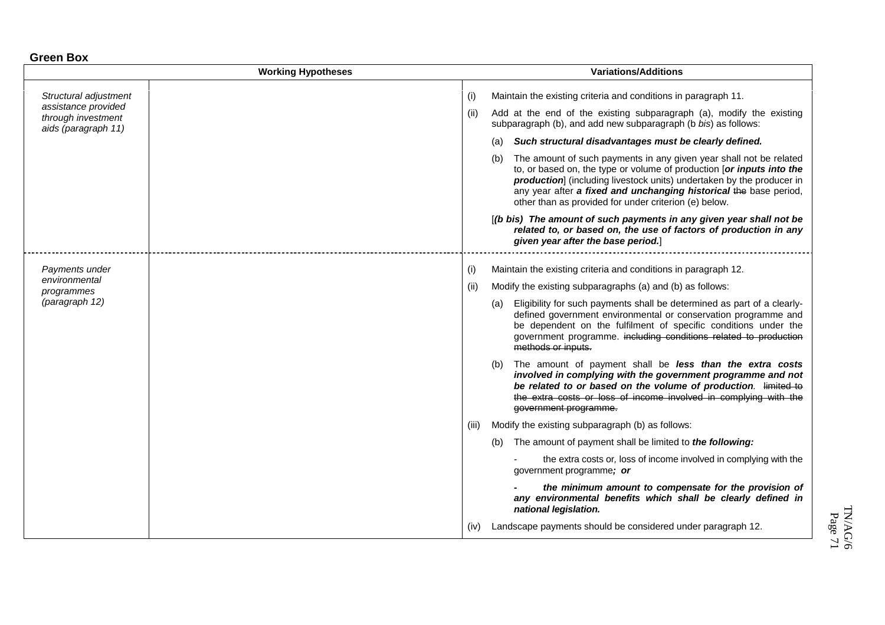# **Green Box**

|                                                                 | <b>Working Hypotheses</b> |       | <b>Variations/Additions</b>                                                                                                                                                                                                                                                                                                                               |
|-----------------------------------------------------------------|---------------------------|-------|-----------------------------------------------------------------------------------------------------------------------------------------------------------------------------------------------------------------------------------------------------------------------------------------------------------------------------------------------------------|
| Structural adjustment<br>assistance provided                    |                           | (i)   | Maintain the existing criteria and conditions in paragraph 11.                                                                                                                                                                                                                                                                                            |
| through investment<br>aids (paragraph 11)                       |                           | (ii)  | Add at the end of the existing subparagraph (a), modify the existing<br>subparagraph (b), and add new subparagraph (b bis) as follows:                                                                                                                                                                                                                    |
|                                                                 |                           |       | Such structural disadvantages must be clearly defined.<br>(a)                                                                                                                                                                                                                                                                                             |
|                                                                 |                           |       | The amount of such payments in any given year shall not be related<br>(b)<br>to, or based on, the type or volume of production [or inputs into the<br>production] (including livestock units) undertaken by the producer in<br>any year after a fixed and unchanging historical the base period,<br>other than as provided for under criterion (e) below. |
|                                                                 |                           |       | [(b bis) The amount of such payments in any given year shall not be<br>related to, or based on, the use of factors of production in any<br>given year after the base period.]                                                                                                                                                                             |
| Payments under<br>environmental<br>programmes<br>(paragraph 12) |                           | (i)   | Maintain the existing criteria and conditions in paragraph 12.                                                                                                                                                                                                                                                                                            |
|                                                                 |                           | (ii)  | Modify the existing subparagraphs (a) and (b) as follows:                                                                                                                                                                                                                                                                                                 |
|                                                                 |                           |       | (a) Eligibility for such payments shall be determined as part of a clearly-<br>defined government environmental or conservation programme and<br>be dependent on the fulfilment of specific conditions under the<br>government programme. including conditions related to production<br>methods or inputs.                                                |
|                                                                 |                           |       | (b) The amount of payment shall be less than the extra costs<br>involved in complying with the government programme and not<br>be related to or based on the volume of production. limited to<br>the extra costs or loss of income involved in complying with the<br>government programme.                                                                |
|                                                                 |                           | (III) | Modify the existing subparagraph (b) as follows:                                                                                                                                                                                                                                                                                                          |
|                                                                 |                           |       | (b) The amount of payment shall be limited to the following:                                                                                                                                                                                                                                                                                              |
|                                                                 |                           |       | the extra costs or, loss of income involved in complying with the<br>government programme; or                                                                                                                                                                                                                                                             |
|                                                                 |                           |       | the minimum amount to compensate for the provision of<br>any environmental benefits which shall be clearly defined in<br>national legislation.                                                                                                                                                                                                            |
|                                                                 |                           | (IV)  | Landscape payments should be considered under paragraph 12.                                                                                                                                                                                                                                                                                               |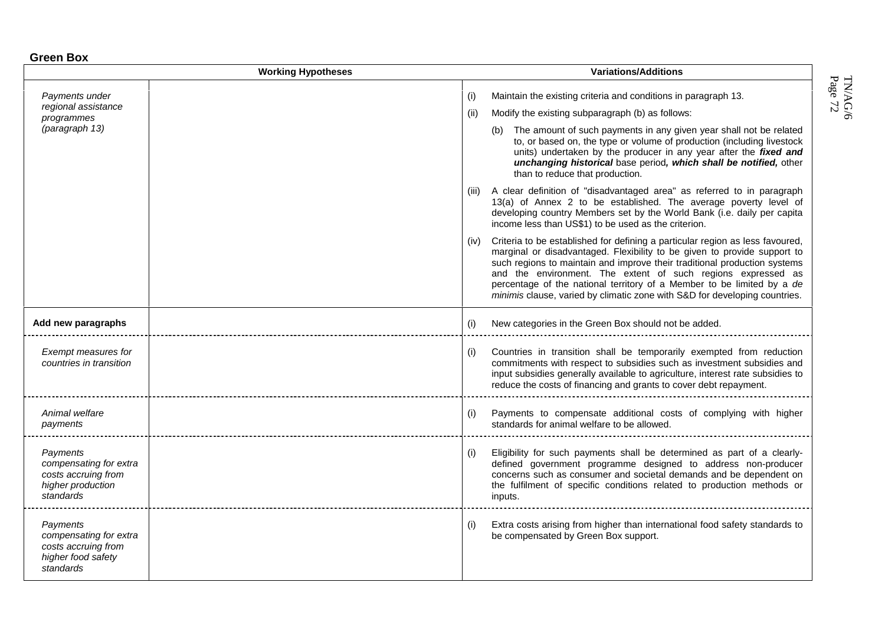| <b>Working Hypotheses</b>                                                                    |  | <b>Variations/Additions</b> |                                                                                                                                                                                                                                                                                                                                                                                                                                                                |  |
|----------------------------------------------------------------------------------------------|--|-----------------------------|----------------------------------------------------------------------------------------------------------------------------------------------------------------------------------------------------------------------------------------------------------------------------------------------------------------------------------------------------------------------------------------------------------------------------------------------------------------|--|
| Payments under<br>regional assistance<br>programmes<br>(paragraph 13)                        |  | (i)<br>(ii)                 | Maintain the existing criteria and conditions in paragraph 13.<br>Modify the existing subparagraph (b) as follows:                                                                                                                                                                                                                                                                                                                                             |  |
|                                                                                              |  |                             | (b) The amount of such payments in any given year shall not be related<br>to, or based on, the type or volume of production (including livestock<br>units) undertaken by the producer in any year after the fixed and<br>unchanging historical base period, which shall be notified, other<br>than to reduce that production.                                                                                                                                  |  |
|                                                                                              |  |                             | (iii) A clear definition of "disadvantaged area" as referred to in paragraph<br>13(a) of Annex 2 to be established. The average poverty level of<br>developing country Members set by the World Bank (i.e. daily per capita<br>income less than US\$1) to be used as the criterion.                                                                                                                                                                            |  |
|                                                                                              |  | (iv)                        | Criteria to be established for defining a particular region as less favoured,<br>marginal or disadvantaged. Flexibility to be given to provide support to<br>such regions to maintain and improve their traditional production systems<br>and the environment. The extent of such regions expressed as<br>percentage of the national territory of a Member to be limited by a de<br>minimis clause, varied by climatic zone with S&D for developing countries. |  |
| Add new paragraphs                                                                           |  | (i)                         | New categories in the Green Box should not be added.                                                                                                                                                                                                                                                                                                                                                                                                           |  |
| Exempt measures for<br>countries in transition                                               |  | (i)                         | Countries in transition shall be temporarily exempted from reduction<br>commitments with respect to subsidies such as investment subsidies and<br>input subsidies generally available to agriculture, interest rate subsidies to<br>reduce the costs of financing and grants to cover debt repayment.                                                                                                                                                          |  |
| Animal welfare<br>payments                                                                   |  | (i)                         | Payments to compensate additional costs of complying with higher<br>standards for animal welfare to be allowed.                                                                                                                                                                                                                                                                                                                                                |  |
| Payments<br>compensating for extra<br>costs accruing from<br>higher production<br>standards  |  | (i)                         | Eligibility for such payments shall be determined as part of a clearly-<br>defined government programme designed to address non-producer<br>concerns such as consumer and societal demands and be dependent on<br>the fulfilment of specific conditions related to production methods or<br>inputs.                                                                                                                                                            |  |
| Payments<br>compensating for extra<br>costs accruing from<br>higher food safety<br>standards |  | (i)                         | Extra costs arising from higher than international food safety standards to<br>be compensated by Green Box support.                                                                                                                                                                                                                                                                                                                                            |  |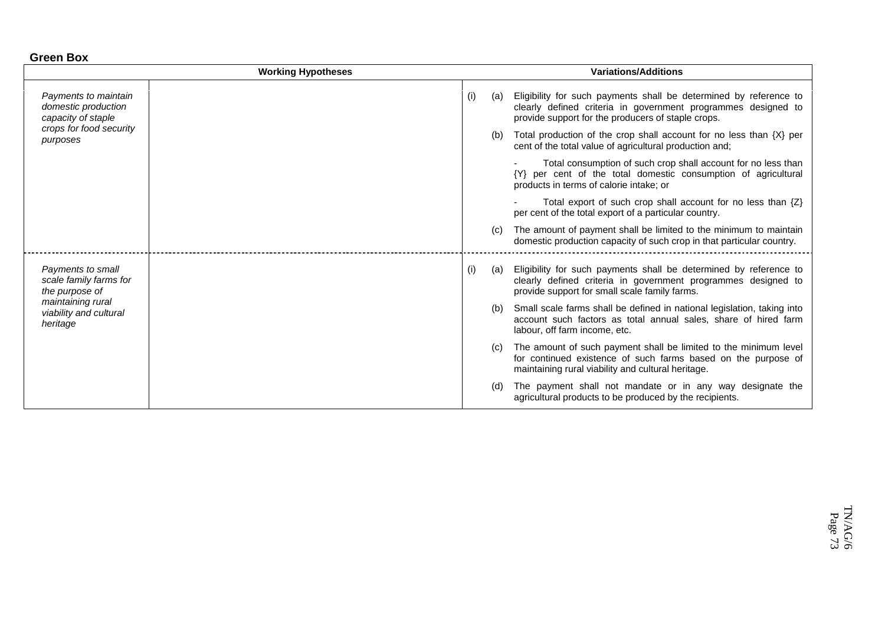|                                                                   | <b>Working Hypotheses</b> |     | <b>Variations/Additions</b>                                                                                                                                                              |
|-------------------------------------------------------------------|---------------------------|-----|------------------------------------------------------------------------------------------------------------------------------------------------------------------------------------------|
| Payments to maintain<br>domestic production<br>capacity of staple | (i)                       | (a) | Eligibility for such payments shall be determined by reference to<br>clearly defined criteria in government programmes designed to<br>provide support for the producers of staple crops. |
| crops for food security<br>purposes                               |                           | (b) | Total production of the crop shall account for no less than $\{X\}$ per<br>cent of the total value of agricultural production and;                                                       |
|                                                                   |                           |     | Total consumption of such crop shall account for no less than<br>{Y} per cent of the total domestic consumption of agricultural<br>products in terms of calorie intake; or               |
|                                                                   |                           |     | Total export of such crop shall account for no less than $\{Z\}$<br>per cent of the total export of a particular country.                                                                |
|                                                                   |                           | (C) | The amount of payment shall be limited to the minimum to maintain<br>domestic production capacity of such crop in that particular country.                                               |
| Payments to small<br>scale family farms for<br>the purpose of     | (i)                       | (a) | Eligibility for such payments shall be determined by reference to<br>clearly defined criteria in government programmes designed to<br>provide support for small scale family farms.      |
| maintaining rural<br>viability and cultural<br>heritage           |                           | (b) | Small scale farms shall be defined in national legislation, taking into<br>account such factors as total annual sales, share of hired farm<br>labour, off farm income, etc.              |
|                                                                   |                           | (C) | The amount of such payment shall be limited to the minimum level<br>for continued existence of such farms based on the purpose of<br>maintaining rural viability and cultural heritage.  |
|                                                                   |                           | (d) | The payment shall not mandate or in any way designate the<br>agricultural products to be produced by the recipients.                                                                     |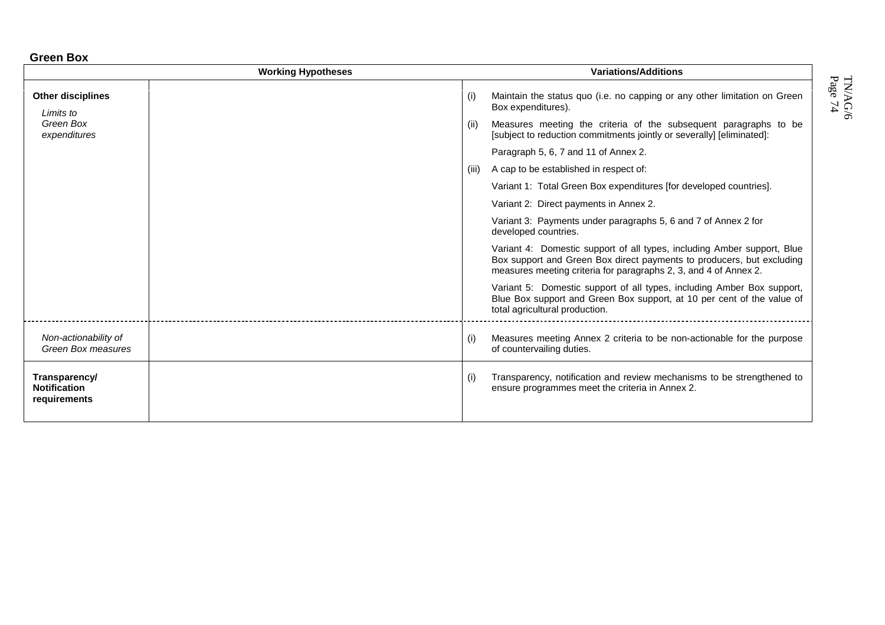| <b>Working Hypotheses</b>                            |       | <b>Variations/Additions</b>                                                                                                                                                                                          |
|------------------------------------------------------|-------|----------------------------------------------------------------------------------------------------------------------------------------------------------------------------------------------------------------------|
| <b>Other disciplines</b><br>Limits to                | (i)   | Maintain the status quo (i.e. no capping or any other limitation on Green<br>Box expenditures).                                                                                                                      |
| Green Box<br>expenditures                            | (ii)  | Measures meeting the criteria of the subsequent paragraphs to be<br>[subject to reduction commitments jointly or severally] [eliminated]:                                                                            |
|                                                      |       | Paragraph 5, 6, 7 and 11 of Annex 2.                                                                                                                                                                                 |
|                                                      | (iii) | A cap to be established in respect of:                                                                                                                                                                               |
|                                                      |       | Variant 1: Total Green Box expenditures [for developed countries].                                                                                                                                                   |
|                                                      |       | Variant 2: Direct payments in Annex 2.                                                                                                                                                                               |
|                                                      |       | Variant 3: Payments under paragraphs 5, 6 and 7 of Annex 2 for<br>developed countries.                                                                                                                               |
|                                                      |       | Variant 4: Domestic support of all types, including Amber support, Blue<br>Box support and Green Box direct payments to producers, but excluding<br>measures meeting criteria for paragraphs 2, 3, and 4 of Annex 2. |
|                                                      |       | Variant 5: Domestic support of all types, including Amber Box support,<br>Blue Box support and Green Box support, at 10 per cent of the value of<br>total agricultural production.                                   |
| Non-actionability of<br>Green Box measures           | (i)   | Measures meeting Annex 2 criteria to be non-actionable for the purpose<br>of countervailing duties.                                                                                                                  |
| Transparency/<br><b>Notification</b><br>requirements | (i)   | Transparency, notification and review mechanisms to be strengthened to<br>ensure programmes meet the criteria in Annex 2.                                                                                            |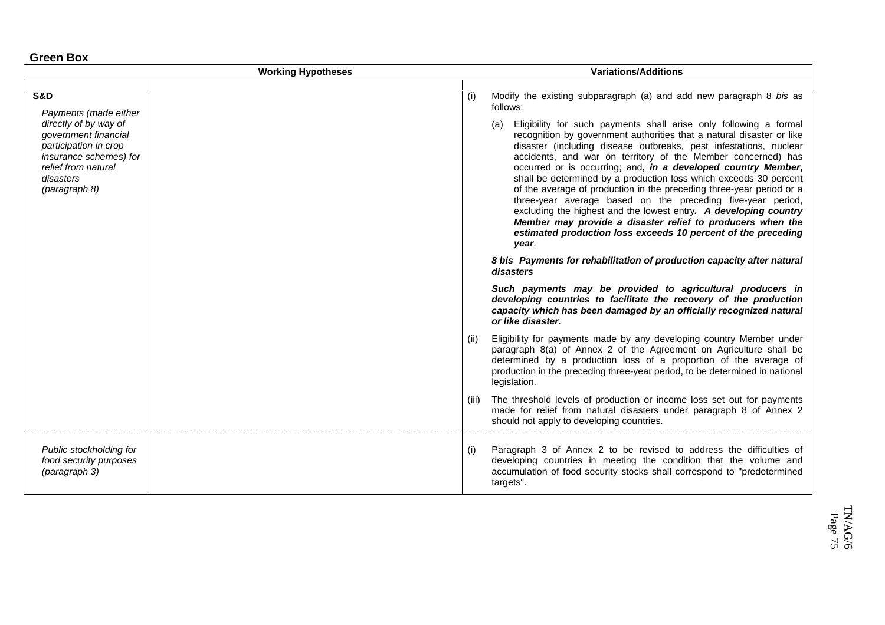|                                                                                                                                                                                       | <b>Working Hypotheses</b> |             | <b>Variations/Additions</b>                                                                                                                                                                                                                                                                                                                                                                                                                                                                                                                                                                                                                                                                                                                                                                                                                                                                                                                                                                                                                                                                                                                                                                                                                                                                                                                                                                                                                                                                |
|---------------------------------------------------------------------------------------------------------------------------------------------------------------------------------------|---------------------------|-------------|--------------------------------------------------------------------------------------------------------------------------------------------------------------------------------------------------------------------------------------------------------------------------------------------------------------------------------------------------------------------------------------------------------------------------------------------------------------------------------------------------------------------------------------------------------------------------------------------------------------------------------------------------------------------------------------------------------------------------------------------------------------------------------------------------------------------------------------------------------------------------------------------------------------------------------------------------------------------------------------------------------------------------------------------------------------------------------------------------------------------------------------------------------------------------------------------------------------------------------------------------------------------------------------------------------------------------------------------------------------------------------------------------------------------------------------------------------------------------------------------|
| S&D<br>Payments (made either<br>directly of by way of<br>government financial<br>participation in crop<br>insurance schemes) for<br>relief from natural<br>disasters<br>(paragraph 8) |                           | (i)<br>(ii) | Modify the existing subparagraph (a) and add new paragraph 8 bis as<br>follows:<br>Eligibility for such payments shall arise only following a formal<br>(a)<br>recognition by government authorities that a natural disaster or like<br>disaster (including disease outbreaks, pest infestations, nuclear<br>accidents, and war on territory of the Member concerned) has<br>occurred or is occurring; and, in a developed country Member,<br>shall be determined by a production loss which exceeds 30 percent<br>of the average of production in the preceding three-year period or a<br>three-year average based on the preceding five-year period,<br>excluding the highest and the lowest entry. A developing country<br>Member may provide a disaster relief to producers when the<br>estimated production loss exceeds 10 percent of the preceding<br>year.<br>8 bis Payments for rehabilitation of production capacity after natural<br>disasters<br>Such payments may be provided to agricultural producers in<br>developing countries to facilitate the recovery of the production<br>capacity which has been damaged by an officially recognized natural<br>or like disaster.<br>Eligibility for payments made by any developing country Member under<br>paragraph 8(a) of Annex 2 of the Agreement on Agriculture shall be<br>determined by a production loss of a proportion of the average of<br>production in the preceding three-year period, to be determined in national |
|                                                                                                                                                                                       |                           | (iii)       | legislation.<br>The threshold levels of production or income loss set out for payments<br>made for relief from natural disasters under paragraph 8 of Annex 2<br>should not apply to developing countries.                                                                                                                                                                                                                                                                                                                                                                                                                                                                                                                                                                                                                                                                                                                                                                                                                                                                                                                                                                                                                                                                                                                                                                                                                                                                                 |
| Public stockholding for<br>food security purposes<br>(paragraph 3)                                                                                                                    |                           | (i)         | Paragraph 3 of Annex 2 to be revised to address the difficulties of<br>developing countries in meeting the condition that the volume and<br>accumulation of food security stocks shall correspond to "predetermined<br>targets".                                                                                                                                                                                                                                                                                                                                                                                                                                                                                                                                                                                                                                                                                                                                                                                                                                                                                                                                                                                                                                                                                                                                                                                                                                                           |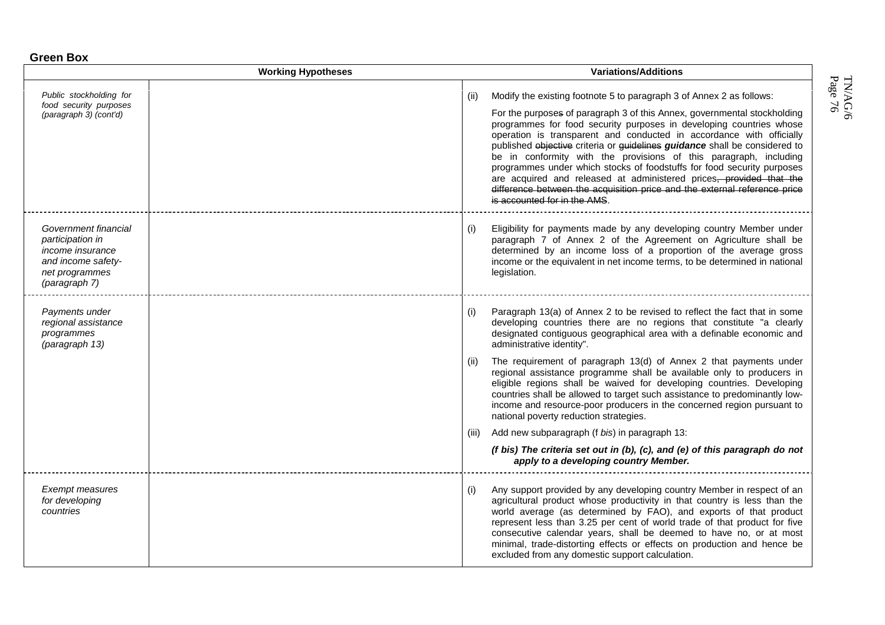| <b>Working Hypotheses</b>                                                                                                    | <b>Variations/Additions</b>                                                                                                                                                                                                                                                                                                                                                                                                                                                                                                                                                                                                                                                                                              |
|------------------------------------------------------------------------------------------------------------------------------|--------------------------------------------------------------------------------------------------------------------------------------------------------------------------------------------------------------------------------------------------------------------------------------------------------------------------------------------------------------------------------------------------------------------------------------------------------------------------------------------------------------------------------------------------------------------------------------------------------------------------------------------------------------------------------------------------------------------------|
| Public stockholding for<br>food security purposes<br>(paragraph 3) (cont'd)                                                  | Modify the existing footnote 5 to paragraph 3 of Annex 2 as follows:<br>(ii)<br>For the purposes of paragraph 3 of this Annex, governmental stockholding<br>programmes for food security purposes in developing countries whose<br>operation is transparent and conducted in accordance with officially<br>published objective criteria or guidelines guidance shall be considered to<br>be in conformity with the provisions of this paragraph, including<br>programmes under which stocks of foodstuffs for food security purposes<br>are acquired and released at administered prices, provided that the<br>difference between the acquisition price and the external reference price<br>is accounted for in the AMS. |
| Government financial<br>participation in<br><i>income insurance</i><br>and income safety-<br>net programmes<br>(paragraph 7) | Eligibility for payments made by any developing country Member under<br>(i)<br>paragraph 7 of Annex 2 of the Agreement on Agriculture shall be<br>determined by an income loss of a proportion of the average gross<br>income or the equivalent in net income terms, to be determined in national<br>legislation.                                                                                                                                                                                                                                                                                                                                                                                                        |
| Payments under<br>regional assistance<br>programmes<br>(paragraph 13)                                                        | Paragraph 13(a) of Annex 2 to be revised to reflect the fact that in some<br>(i)<br>developing countries there are no regions that constitute "a clearly<br>designated contiguous geographical area with a definable economic and<br>administrative identity".<br>The requirement of paragraph 13(d) of Annex 2 that payments under<br>(ii)                                                                                                                                                                                                                                                                                                                                                                              |
|                                                                                                                              | regional assistance programme shall be available only to producers in<br>eligible regions shall be waived for developing countries. Developing<br>countries shall be allowed to target such assistance to predominantly low-<br>income and resource-poor producers in the concerned region pursuant to<br>national poverty reduction strategies.                                                                                                                                                                                                                                                                                                                                                                         |
|                                                                                                                              | Add new subparagraph (f bis) in paragraph 13:<br>(iii)                                                                                                                                                                                                                                                                                                                                                                                                                                                                                                                                                                                                                                                                   |
|                                                                                                                              | (f bis) The criteria set out in (b), (c), and (e) of this paragraph do not<br>apply to a developing country Member.                                                                                                                                                                                                                                                                                                                                                                                                                                                                                                                                                                                                      |
| <b>Exempt measures</b><br>for developing<br>countries                                                                        | Any support provided by any developing country Member in respect of an<br>(i)<br>agricultural product whose productivity in that country is less than the<br>world average (as determined by FAO), and exports of that product<br>represent less than 3.25 per cent of world trade of that product for five<br>consecutive calendar years, shall be deemed to have no, or at most<br>minimal, trade-distorting effects or effects on production and hence be<br>excluded from any domestic support calculation.                                                                                                                                                                                                          |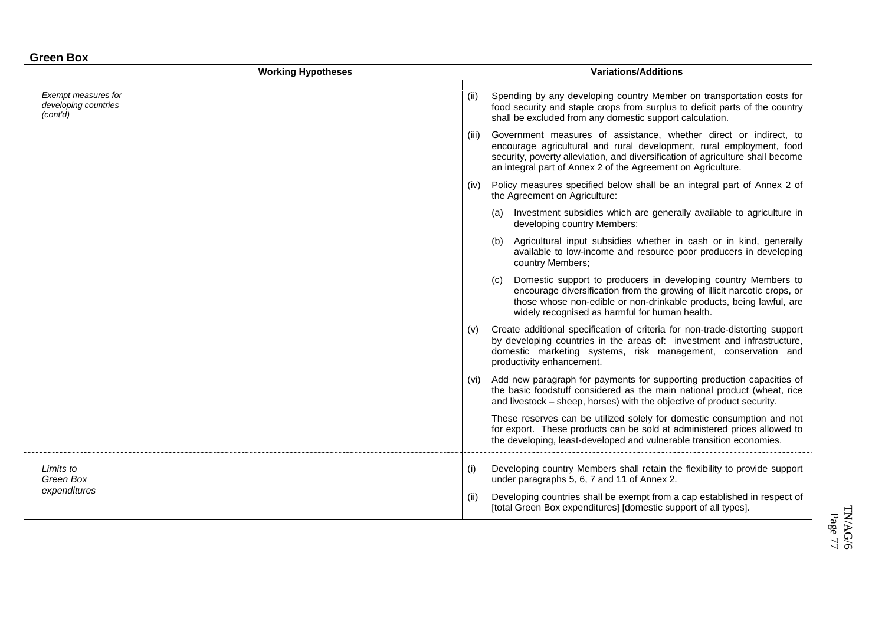|                                                                | <b>Working Hypotheses</b> | <b>Variations/Additions</b>                                                                                                                                                                                                                                                                 |
|----------------------------------------------------------------|---------------------------|---------------------------------------------------------------------------------------------------------------------------------------------------------------------------------------------------------------------------------------------------------------------------------------------|
| <b>Exempt measures for</b><br>developing countries<br>(cont'd) | (ii)                      | Spending by any developing country Member on transportation costs for<br>food security and staple crops from surplus to deficit parts of the country<br>shall be excluded from any domestic support calculation.                                                                            |
|                                                                | (iii)                     | Government measures of assistance, whether direct or indirect, to<br>encourage agricultural and rural development, rural employment, food<br>security, poverty alleviation, and diversification of agriculture shall become<br>an integral part of Annex 2 of the Agreement on Agriculture. |
|                                                                | (iv)                      | Policy measures specified below shall be an integral part of Annex 2 of<br>the Agreement on Agriculture:                                                                                                                                                                                    |
|                                                                |                           | Investment subsidies which are generally available to agriculture in<br>(a)<br>developing country Members;                                                                                                                                                                                  |
|                                                                |                           | Agricultural input subsidies whether in cash or in kind, generally<br>(b)<br>available to low-income and resource poor producers in developing<br>country Members;                                                                                                                          |
|                                                                |                           | Domestic support to producers in developing country Members to<br>(c)<br>encourage diversification from the growing of illicit narcotic crops, or<br>those whose non-edible or non-drinkable products, being lawful, are<br>widely recognised as harmful for human health.                  |
|                                                                | (v)                       | Create additional specification of criteria for non-trade-distorting support<br>by developing countries in the areas of: investment and infrastructure,<br>domestic marketing systems, risk management, conservation and<br>productivity enhancement.                                       |
|                                                                | (vi)                      | Add new paragraph for payments for supporting production capacities of<br>the basic foodstuff considered as the main national product (wheat, rice<br>and livestock - sheep, horses) with the objective of product security.                                                                |
|                                                                |                           | These reserves can be utilized solely for domestic consumption and not<br>for export. These products can be sold at administered prices allowed to<br>the developing, least-developed and vulnerable transition economies.                                                                  |
| Limits to<br>Green Box                                         | (i)                       | Developing country Members shall retain the flexibility to provide support<br>under paragraphs 5, 6, 7 and 11 of Annex 2.                                                                                                                                                                   |
| expenditures                                                   | (ii)                      | Developing countries shall be exempt from a cap established in respect of<br>[total Green Box expenditures] [domestic support of all types].                                                                                                                                                |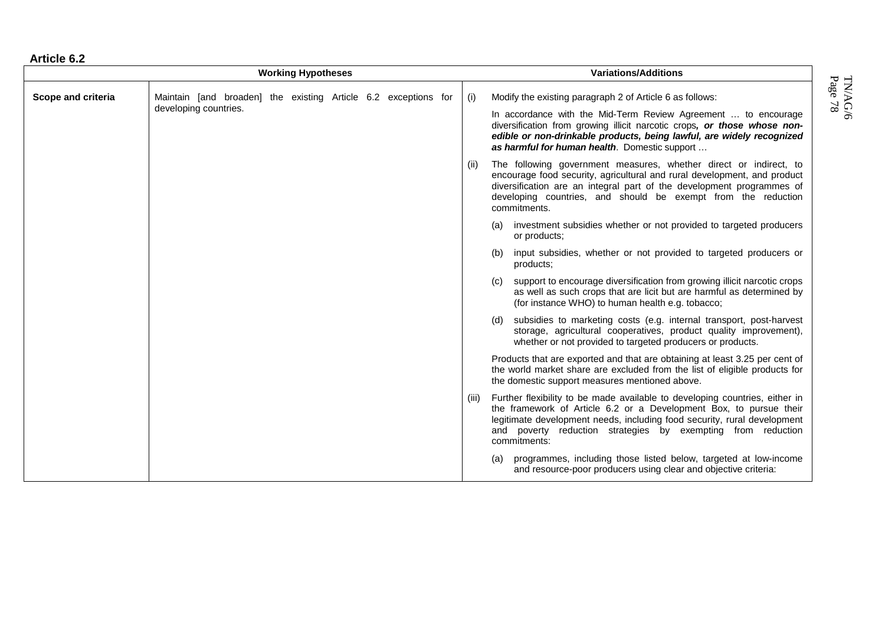|                    | <b>Working Hypotheses</b> |  |                       |  |  |  |  |                                                                |  |       | <b>Variations/Additions</b>                                                                                                                                                                                                                                                                                   |
|--------------------|---------------------------|--|-----------------------|--|--|--|--|----------------------------------------------------------------|--|-------|---------------------------------------------------------------------------------------------------------------------------------------------------------------------------------------------------------------------------------------------------------------------------------------------------------------|
| Scope and criteria |                           |  |                       |  |  |  |  | Maintain [and broaden] the existing Article 6.2 exceptions for |  | (i)   | Modify the existing paragraph 2 of Article 6 as follows:                                                                                                                                                                                                                                                      |
|                    |                           |  | developing countries. |  |  |  |  |                                                                |  |       | In accordance with the Mid-Term Review Agreement  to encourage<br>diversification from growing illicit narcotic crops, or those whose non-<br>edible or non-drinkable products, being lawful, are widely recognized<br>as harmful for human health. Domestic support                                          |
|                    |                           |  |                       |  |  |  |  |                                                                |  | (ii)  | The following government measures, whether direct or indirect, to<br>encourage food security, agricultural and rural development, and product<br>diversification are an integral part of the development programmes of<br>developing countries, and should be exempt from the reduction<br>commitments.       |
|                    |                           |  |                       |  |  |  |  |                                                                |  |       | investment subsidies whether or not provided to targeted producers<br>(a)<br>or products;                                                                                                                                                                                                                     |
|                    |                           |  |                       |  |  |  |  |                                                                |  |       | input subsidies, whether or not provided to targeted producers or<br>(b)<br>products;                                                                                                                                                                                                                         |
|                    |                           |  |                       |  |  |  |  |                                                                |  |       | (c) support to encourage diversification from growing illicit narcotic crops<br>as well as such crops that are licit but are harmful as determined by<br>(for instance WHO) to human health e.g. tobacco;                                                                                                     |
|                    |                           |  |                       |  |  |  |  |                                                                |  |       | (d) subsidies to marketing costs (e.g. internal transport, post-harvest<br>storage, agricultural cooperatives, product quality improvement),<br>whether or not provided to targeted producers or products.                                                                                                    |
|                    |                           |  |                       |  |  |  |  |                                                                |  |       | Products that are exported and that are obtaining at least 3.25 per cent of<br>the world market share are excluded from the list of eligible products for<br>the domestic support measures mentioned above.                                                                                                   |
|                    |                           |  |                       |  |  |  |  |                                                                |  | (iii) | Further flexibility to be made available to developing countries, either in<br>the framework of Article 6.2 or a Development Box, to pursue their<br>legitimate development needs, including food security, rural development<br>and poverty reduction strategies by exempting from reduction<br>commitments: |
|                    |                           |  |                       |  |  |  |  |                                                                |  |       | programmes, including those listed below, targeted at low-income<br>(a)<br>and resource-poor producers using clear and objective criteria:                                                                                                                                                                    |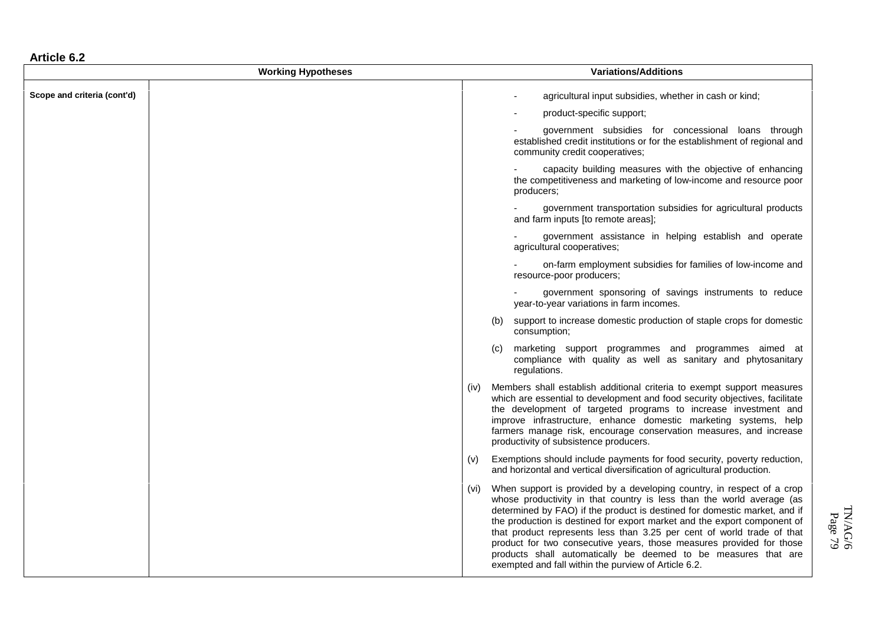# **Article 6.2**

|                             | <b>Working Hypotheses</b> |      | <b>Variations/Additions</b>                                                                                                                                                                                                                                                                                                                                                                                                                                                                                                                                                          |
|-----------------------------|---------------------------|------|--------------------------------------------------------------------------------------------------------------------------------------------------------------------------------------------------------------------------------------------------------------------------------------------------------------------------------------------------------------------------------------------------------------------------------------------------------------------------------------------------------------------------------------------------------------------------------------|
| Scope and criteria (cont'd) |                           |      | agricultural input subsidies, whether in cash or kind;                                                                                                                                                                                                                                                                                                                                                                                                                                                                                                                               |
|                             |                           |      | product-specific support;                                                                                                                                                                                                                                                                                                                                                                                                                                                                                                                                                            |
|                             |                           |      | government subsidies for concessional loans through<br>established credit institutions or for the establishment of regional and<br>community credit cooperatives;                                                                                                                                                                                                                                                                                                                                                                                                                    |
|                             |                           |      | capacity building measures with the objective of enhancing<br>the competitiveness and marketing of low-income and resource poor<br>producers;                                                                                                                                                                                                                                                                                                                                                                                                                                        |
|                             |                           |      | government transportation subsidies for agricultural products<br>and farm inputs [to remote areas];                                                                                                                                                                                                                                                                                                                                                                                                                                                                                  |
|                             |                           |      | government assistance in helping establish and operate<br>agricultural cooperatives;                                                                                                                                                                                                                                                                                                                                                                                                                                                                                                 |
|                             |                           |      | on-farm employment subsidies for families of low-income and<br>resource-poor producers;                                                                                                                                                                                                                                                                                                                                                                                                                                                                                              |
|                             |                           |      | government sponsoring of savings instruments to reduce<br>year-to-year variations in farm incomes.                                                                                                                                                                                                                                                                                                                                                                                                                                                                                   |
|                             |                           |      | support to increase domestic production of staple crops for domestic<br>(b)<br>consumption;                                                                                                                                                                                                                                                                                                                                                                                                                                                                                          |
|                             |                           |      | marketing support programmes and programmes aimed at<br>compliance with quality as well as sanitary and phytosanitary<br>regulations.                                                                                                                                                                                                                                                                                                                                                                                                                                                |
|                             |                           | (iv) | Members shall establish additional criteria to exempt support measures<br>which are essential to development and food security objectives, facilitate<br>the development of targeted programs to increase investment and<br>improve infrastructure, enhance domestic marketing systems, help<br>farmers manage risk, encourage conservation measures, and increase<br>productivity of subsistence producers.                                                                                                                                                                         |
|                             |                           | (v)  | Exemptions should include payments for food security, poverty reduction,<br>and horizontal and vertical diversification of agricultural production.                                                                                                                                                                                                                                                                                                                                                                                                                                  |
|                             |                           | (vi) | When support is provided by a developing country, in respect of a crop<br>whose productivity in that country is less than the world average (as<br>determined by FAO) if the product is destined for domestic market, and if<br>the production is destined for export market and the export component of<br>that product represents less than 3.25 per cent of world trade of that<br>product for two consecutive years, those measures provided for those<br>products shall automatically be deemed to be measures that are<br>exempted and fall within the purview of Article 6.2. |

TN/AG/6  $\frac{\rm TNAG/6}{\rm Page}\,79$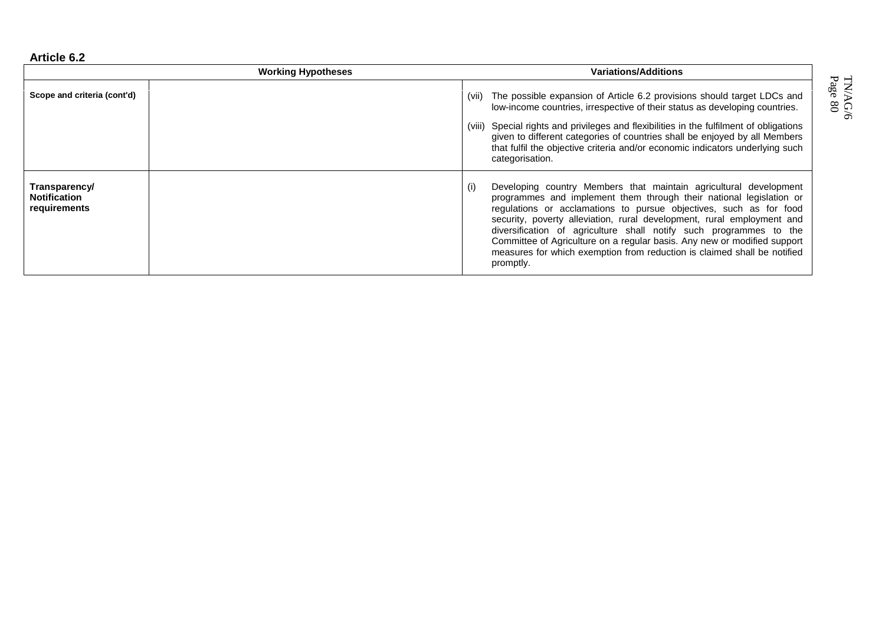## **Article 6.2**

|                                                      | <b>Working Hypotheses</b> | <b>Variations/Additions</b>                                                                                                                                                                                                                                                                                                                                                                                                                                                                                                                |
|------------------------------------------------------|---------------------------|--------------------------------------------------------------------------------------------------------------------------------------------------------------------------------------------------------------------------------------------------------------------------------------------------------------------------------------------------------------------------------------------------------------------------------------------------------------------------------------------------------------------------------------------|
| Scope and criteria (cont'd)                          |                           | The possible expansion of Article 6.2 provisions should target LDCs and<br>(vii)<br>low-income countries, irrespective of their status as developing countries.<br>Special rights and privileges and flexibilities in the fulfilment of obligations<br>(viii)<br>given to different categories of countries shall be enjoyed by all Members<br>that fulfil the objective criteria and/or economic indicators underlying such<br>categorisation.                                                                                            |
| Transparency/<br><b>Notification</b><br>requirements |                           | Developing country Members that maintain agricultural development<br>(i)<br>programmes and implement them through their national legislation or<br>regulations or acclamations to pursue objectives, such as for food<br>security, poverty alleviation, rural development, rural employment and<br>diversification of agriculture shall notify such programmes to the<br>Committee of Agriculture on a regular basis. Any new or modified support<br>measures for which exemption from reduction is claimed shall be notified<br>promptly. |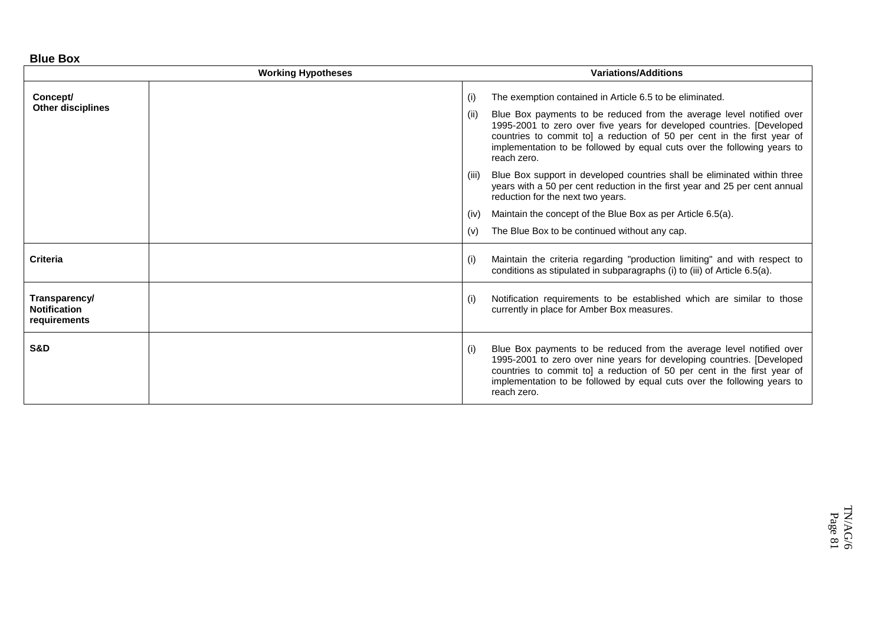# **Blue Box**

| <b>Working Hypotheses</b>                            |       | <b>Variations/Additions</b>                                                                                                                                                                                                                                                                                         |
|------------------------------------------------------|-------|---------------------------------------------------------------------------------------------------------------------------------------------------------------------------------------------------------------------------------------------------------------------------------------------------------------------|
| Concept/<br><b>Other disciplines</b>                 | (i)   | The exemption contained in Article 6.5 to be eliminated.                                                                                                                                                                                                                                                            |
|                                                      | (ii)  | Blue Box payments to be reduced from the average level notified over<br>1995-2001 to zero over five years for developed countries. [Developed<br>countries to commit to] a reduction of 50 per cent in the first year of<br>implementation to be followed by equal cuts over the following years to<br>reach zero.  |
|                                                      | (iii) | Blue Box support in developed countries shall be eliminated within three<br>years with a 50 per cent reduction in the first year and 25 per cent annual<br>reduction for the next two years.                                                                                                                        |
|                                                      | (iv)  | Maintain the concept of the Blue Box as per Article 6.5(a).                                                                                                                                                                                                                                                         |
|                                                      | (v)   | The Blue Box to be continued without any cap.                                                                                                                                                                                                                                                                       |
| Criteria                                             | (i)   | Maintain the criteria regarding "production limiting" and with respect to<br>conditions as stipulated in subparagraphs (i) to (iii) of Article 6.5(a).                                                                                                                                                              |
| Transparency/<br><b>Notification</b><br>requirements | (i)   | Notification requirements to be established which are similar to those<br>currently in place for Amber Box measures.                                                                                                                                                                                                |
| S&D                                                  | (i)   | Blue Box payments to be reduced from the average level notified over<br>1995-2001 to zero over nine years for developing countries. [Developed<br>countries to commit to] a reduction of 50 per cent in the first year of<br>implementation to be followed by equal cuts over the following years to<br>reach zero. |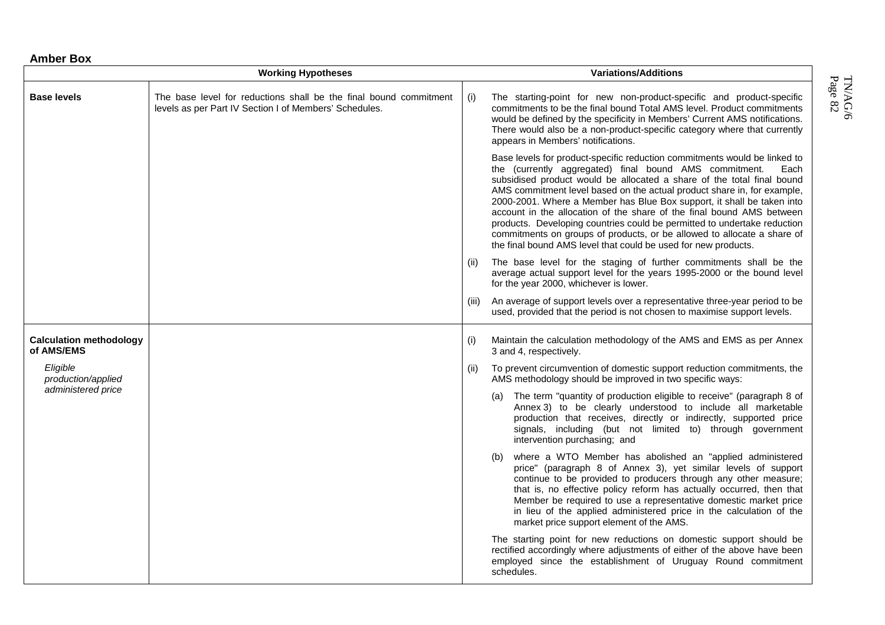|                                              | <b>Working Hypotheses</b>                                                                                                   |       | Variations/Additions                                                                                                                                                                                                                                                                                                                                                                                                                                                                                                                                                                                                                                                         |
|----------------------------------------------|-----------------------------------------------------------------------------------------------------------------------------|-------|------------------------------------------------------------------------------------------------------------------------------------------------------------------------------------------------------------------------------------------------------------------------------------------------------------------------------------------------------------------------------------------------------------------------------------------------------------------------------------------------------------------------------------------------------------------------------------------------------------------------------------------------------------------------------|
| <b>Base levels</b>                           | The base level for reductions shall be the final bound commitment<br>levels as per Part IV Section I of Members' Schedules. | (i)   | The starting-point for new non-product-specific and product-specific<br>commitments to be the final bound Total AMS level. Product commitments<br>would be defined by the specificity in Members' Current AMS notifications.<br>There would also be a non-product-specific category where that currently<br>appears in Members' notifications.                                                                                                                                                                                                                                                                                                                               |
|                                              |                                                                                                                             |       | Base levels for product-specific reduction commitments would be linked to<br>the (currently aggregated) final bound AMS commitment.<br>Each<br>subsidised product would be allocated a share of the total final bound<br>AMS commitment level based on the actual product share in, for example,<br>2000-2001. Where a Member has Blue Box support, it shall be taken into<br>account in the allocation of the share of the final bound AMS between<br>products. Developing countries could be permitted to undertake reduction<br>commitments on groups of products, or be allowed to allocate a share of<br>the final bound AMS level that could be used for new products. |
|                                              |                                                                                                                             | (ii)  | The base level for the staging of further commitments shall be the<br>average actual support level for the years 1995-2000 or the bound level<br>for the year 2000, whichever is lower.                                                                                                                                                                                                                                                                                                                                                                                                                                                                                      |
|                                              |                                                                                                                             | (iii) | An average of support levels over a representative three-year period to be<br>used, provided that the period is not chosen to maximise support levels.                                                                                                                                                                                                                                                                                                                                                                                                                                                                                                                       |
| <b>Calculation methodology</b><br>of AMS/EMS |                                                                                                                             | (i)   | Maintain the calculation methodology of the AMS and EMS as per Annex<br>3 and 4, respectively.                                                                                                                                                                                                                                                                                                                                                                                                                                                                                                                                                                               |
| Eligible<br>production/applied               |                                                                                                                             | (ii)  | To prevent circumvention of domestic support reduction commitments, the<br>AMS methodology should be improved in two specific ways:                                                                                                                                                                                                                                                                                                                                                                                                                                                                                                                                          |
| administered price                           |                                                                                                                             |       | The term "quantity of production eligible to receive" (paragraph 8 of<br>(a)<br>Annex 3) to be clearly understood to include all marketable<br>production that receives, directly or indirectly, supported price<br>signals, including (but not limited to) through government<br>intervention purchasing; and                                                                                                                                                                                                                                                                                                                                                               |
|                                              |                                                                                                                             |       | where a WTO Member has abolished an "applied administered<br>(b)<br>price" (paragraph 8 of Annex 3), yet similar levels of support<br>continue to be provided to producers through any other measure;<br>that is, no effective policy reform has actually occurred, then that<br>Member be required to use a representative domestic market price<br>in lieu of the applied administered price in the calculation of the<br>market price support element of the AMS.                                                                                                                                                                                                         |
|                                              |                                                                                                                             |       | The starting point for new reductions on domestic support should be<br>rectified accordingly where adjustments of either of the above have been<br>employed since the establishment of Uruguay Round commitment<br>schedules.                                                                                                                                                                                                                                                                                                                                                                                                                                                |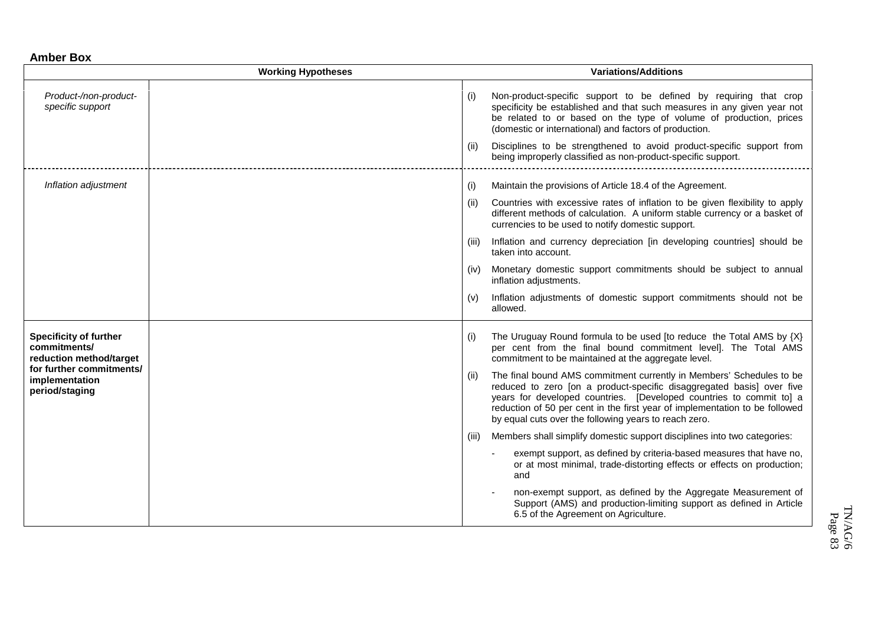|                                                                          | <b>Working Hypotheses</b> |       | <b>Variations/Additions</b>                                                                                                                                                                                                                                                                                                                                  |
|--------------------------------------------------------------------------|---------------------------|-------|--------------------------------------------------------------------------------------------------------------------------------------------------------------------------------------------------------------------------------------------------------------------------------------------------------------------------------------------------------------|
| Product-/non-product-<br>specific support                                |                           | (i)   | Non-product-specific support to be defined by requiring that crop<br>specificity be established and that such measures in any given year not<br>be related to or based on the type of volume of production, prices<br>(domestic or international) and factors of production.                                                                                 |
|                                                                          |                           | (ii)  | Disciplines to be strengthened to avoid product-specific support from<br>being improperly classified as non-product-specific support.                                                                                                                                                                                                                        |
| Inflation adjustment                                                     |                           | (i)   | Maintain the provisions of Article 18.4 of the Agreement.                                                                                                                                                                                                                                                                                                    |
|                                                                          |                           | (ii)  | Countries with excessive rates of inflation to be given flexibility to apply<br>different methods of calculation. A uniform stable currency or a basket of<br>currencies to be used to notify domestic support.                                                                                                                                              |
|                                                                          |                           | (iii) | Inflation and currency depreciation [in developing countries] should be<br>taken into account.                                                                                                                                                                                                                                                               |
|                                                                          |                           | (iv)  | Monetary domestic support commitments should be subject to annual<br>inflation adjustments.                                                                                                                                                                                                                                                                  |
|                                                                          |                           | (v)   | Inflation adjustments of domestic support commitments should not be<br>allowed.                                                                                                                                                                                                                                                                              |
| <b>Specificity of further</b><br>commitments/<br>reduction method/target |                           | (i)   | The Uruguay Round formula to be used [to reduce the Total AMS by {X}<br>per cent from the final bound commitment level]. The Total AMS<br>commitment to be maintained at the aggregate level.                                                                                                                                                                |
| for further commitments/<br>implementation<br>period/staging             |                           | (ii)  | The final bound AMS commitment currently in Members' Schedules to be<br>reduced to zero [on a product-specific disaggregated basis] over five<br>years for developed countries. [Developed countries to commit to] a<br>reduction of 50 per cent in the first year of implementation to be followed<br>by equal cuts over the following years to reach zero. |
|                                                                          |                           | (iii) | Members shall simplify domestic support disciplines into two categories:                                                                                                                                                                                                                                                                                     |
|                                                                          |                           |       | exempt support, as defined by criteria-based measures that have no,<br>or at most minimal, trade-distorting effects or effects on production;<br>and                                                                                                                                                                                                         |
|                                                                          |                           |       | non-exempt support, as defined by the Aggregate Measurement of<br>Support (AMS) and production-limiting support as defined in Article<br>6.5 of the Agreement on Agriculture.                                                                                                                                                                                |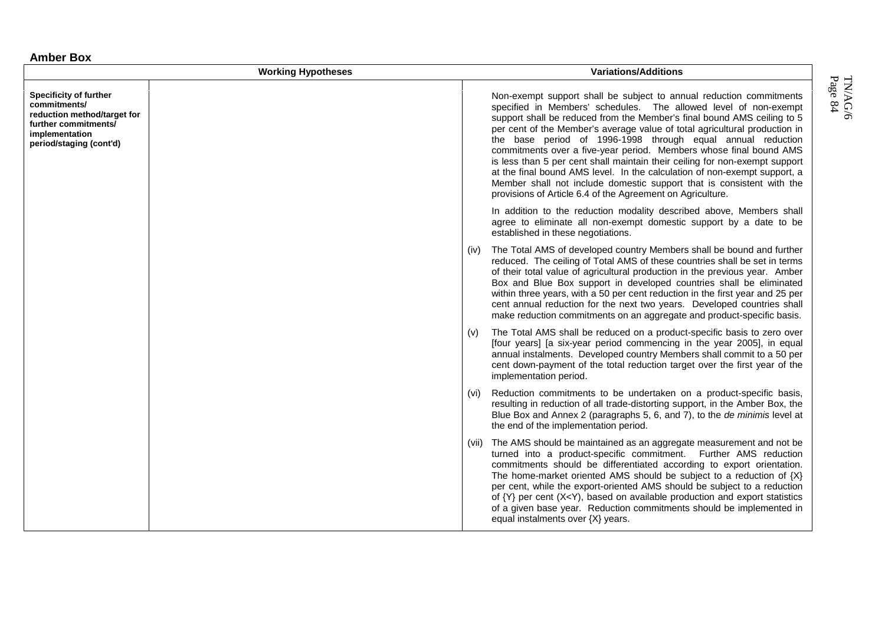|                                                                                                                                                   | <b>Working Hypotheses</b> | <b>Variations/Additions</b>                                                                                                                                                                                                                                                                                                                                                                                                                                                                                                                                                                                                                                                                                                              |
|---------------------------------------------------------------------------------------------------------------------------------------------------|---------------------------|------------------------------------------------------------------------------------------------------------------------------------------------------------------------------------------------------------------------------------------------------------------------------------------------------------------------------------------------------------------------------------------------------------------------------------------------------------------------------------------------------------------------------------------------------------------------------------------------------------------------------------------------------------------------------------------------------------------------------------------|
| <b>Specificity of further</b><br>commitments/<br>reduction method/target for<br>further commitments/<br>implementation<br>period/staging (cont'd) |                           | Non-exempt support shall be subject to annual reduction commitments<br>specified in Members' schedules. The allowed level of non-exempt<br>support shall be reduced from the Member's final bound AMS ceiling to 5<br>per cent of the Member's average value of total agricultural production in<br>the base period of 1996-1998 through equal annual reduction<br>commitments over a five-year period. Members whose final bound AMS<br>is less than 5 per cent shall maintain their ceiling for non-exempt support<br>at the final bound AMS level. In the calculation of non-exempt support, a<br>Member shall not include domestic support that is consistent with the<br>provisions of Article 6.4 of the Agreement on Agriculture. |
|                                                                                                                                                   |                           | In addition to the reduction modality described above, Members shall<br>agree to eliminate all non-exempt domestic support by a date to be<br>established in these negotiations.                                                                                                                                                                                                                                                                                                                                                                                                                                                                                                                                                         |
|                                                                                                                                                   | (iv)                      | The Total AMS of developed country Members shall be bound and further<br>reduced. The ceiling of Total AMS of these countries shall be set in terms<br>of their total value of agricultural production in the previous year. Amber<br>Box and Blue Box support in developed countries shall be eliminated<br>within three years, with a 50 per cent reduction in the first year and 25 per<br>cent annual reduction for the next two years. Developed countries shall<br>make reduction commitments on an aggregate and product-specific basis.                                                                                                                                                                                          |
|                                                                                                                                                   | (v)                       | The Total AMS shall be reduced on a product-specific basis to zero over<br>[four years] [a six-year period commencing in the year 2005], in equal<br>annual instalments. Developed country Members shall commit to a 50 per<br>cent down-payment of the total reduction target over the first year of the<br>implementation period.                                                                                                                                                                                                                                                                                                                                                                                                      |
|                                                                                                                                                   | (vi)                      | Reduction commitments to be undertaken on a product-specific basis,<br>resulting in reduction of all trade-distorting support, in the Amber Box, the<br>Blue Box and Annex 2 (paragraphs 5, 6, and 7), to the de minimis level at<br>the end of the implementation period.                                                                                                                                                                                                                                                                                                                                                                                                                                                               |
|                                                                                                                                                   | (VII)                     | The AMS should be maintained as an aggregate measurement and not be<br>turned into a product-specific commitment. Further AMS reduction<br>commitments should be differentiated according to export orientation.<br>The home-market oriented AMS should be subject to a reduction of $\{X\}$<br>per cent, while the export-oriented AMS should be subject to a reduction<br>of {Y} per cent (X <y), and="" available="" based="" export="" on="" production="" statistics<br="">of a given base year. Reduction commitments should be implemented in<br/>equal instalments over {X} years.</y),>                                                                                                                                         |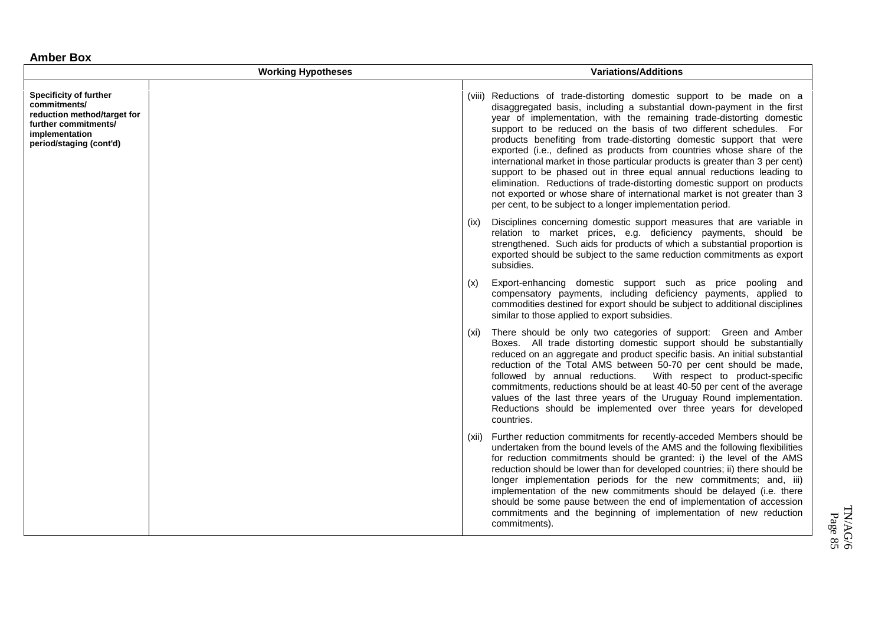|                                                                                                                                                   | <b>Working Hypotheses</b> | <b>Variations/Additions</b>                                                                                                                                                                                                                                                                                                                                                                                                                                                                                                                                                                                                                                                                                                                                                                                                     |
|---------------------------------------------------------------------------------------------------------------------------------------------------|---------------------------|---------------------------------------------------------------------------------------------------------------------------------------------------------------------------------------------------------------------------------------------------------------------------------------------------------------------------------------------------------------------------------------------------------------------------------------------------------------------------------------------------------------------------------------------------------------------------------------------------------------------------------------------------------------------------------------------------------------------------------------------------------------------------------------------------------------------------------|
| <b>Specificity of further</b><br>commitments/<br>reduction method/target for<br>further commitments/<br>implementation<br>period/staging (cont'd) |                           | (viii) Reductions of trade-distorting domestic support to be made on a<br>disaggregated basis, including a substantial down-payment in the first<br>year of implementation, with the remaining trade-distorting domestic<br>support to be reduced on the basis of two different schedules. For<br>products benefiting from trade-distorting domestic support that were<br>exported (i.e., defined as products from countries whose share of the<br>international market in those particular products is greater than 3 per cent)<br>support to be phased out in three equal annual reductions leading to<br>elimination. Reductions of trade-distorting domestic support on products<br>not exported or whose share of international market is not greater than 3<br>per cent, to be subject to a longer implementation period. |
|                                                                                                                                                   |                           | Disciplines concerning domestic support measures that are variable in<br>(ix)<br>relation to market prices, e.g. deficiency payments, should be<br>strengthened. Such aids for products of which a substantial proportion is<br>exported should be subject to the same reduction commitments as export<br>subsidies.                                                                                                                                                                                                                                                                                                                                                                                                                                                                                                            |
|                                                                                                                                                   |                           | Export-enhancing domestic support such as price pooling and<br>(x)<br>compensatory payments, including deficiency payments, applied to<br>commodities destined for export should be subject to additional disciplines<br>similar to those applied to export subsidies.                                                                                                                                                                                                                                                                                                                                                                                                                                                                                                                                                          |
|                                                                                                                                                   |                           | There should be only two categories of support: Green and Amber<br>(xi)<br>Boxes. All trade distorting domestic support should be substantially<br>reduced on an aggregate and product specific basis. An initial substantial<br>reduction of the Total AMS between 50-70 per cent should be made,<br>followed by annual reductions. With respect to product-specific<br>commitments, reductions should be at least 40-50 per cent of the average<br>values of the last three years of the Uruguay Round implementation.<br>Reductions should be implemented over three years for developed<br>countries.                                                                                                                                                                                                                       |
|                                                                                                                                                   |                           | Further reduction commitments for recently-acceded Members should be<br>(xii)<br>undertaken from the bound levels of the AMS and the following flexibilities<br>for reduction commitments should be granted: i) the level of the AMS<br>reduction should be lower than for developed countries; ii) there should be<br>longer implementation periods for the new commitments; and, iii)<br>implementation of the new commitments should be delayed (i.e. there<br>should be some pause between the end of implementation of accession<br>commitments and the beginning of implementation of new reduction<br>commitments).                                                                                                                                                                                                      |

TN/AG/6  $\begin{array}{c} \mathrm{TN} / \mathrm{AG}/6 \\ \mathrm{Page\ 85} \end{array}$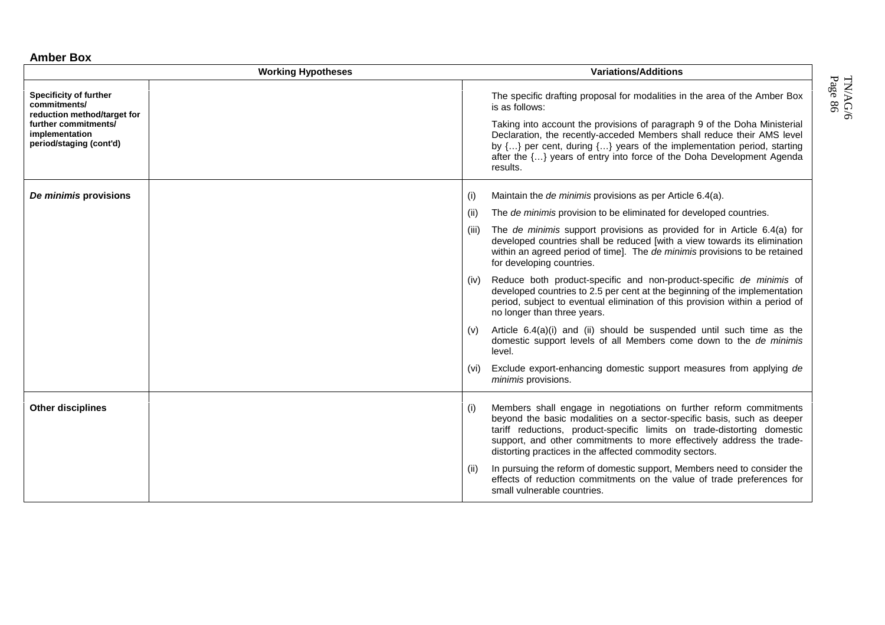|                                                                                                                                                   | <b>Working Hypotheses</b> |       | <b>Variations/Additions</b>                                                                                                                                                                                                                                                                                                                                                                                        |
|---------------------------------------------------------------------------------------------------------------------------------------------------|---------------------------|-------|--------------------------------------------------------------------------------------------------------------------------------------------------------------------------------------------------------------------------------------------------------------------------------------------------------------------------------------------------------------------------------------------------------------------|
| <b>Specificity of further</b><br>commitments/<br>reduction method/target for<br>further commitments/<br>implementation<br>period/staging (cont'd) |                           |       | The specific drafting proposal for modalities in the area of the Amber Box<br>is as follows:<br>Taking into account the provisions of paragraph 9 of the Doha Ministerial<br>Declaration, the recently-acceded Members shall reduce their AMS level<br>by {} per cent, during {} years of the implementation period, starting<br>after the {} years of entry into force of the Doha Development Agenda<br>results. |
| De minimis provisions                                                                                                                             |                           | (i)   | Maintain the de minimis provisions as per Article 6.4(a).                                                                                                                                                                                                                                                                                                                                                          |
|                                                                                                                                                   |                           | (ii)  | The de minimis provision to be eliminated for developed countries.                                                                                                                                                                                                                                                                                                                                                 |
|                                                                                                                                                   |                           | (iii) | The de minimis support provisions as provided for in Article 6.4(a) for<br>developed countries shall be reduced [with a view towards its elimination<br>within an agreed period of time]. The de minimis provisions to be retained<br>for developing countries.                                                                                                                                                    |
|                                                                                                                                                   |                           | (iv)  | Reduce both product-specific and non-product-specific de minimis of<br>developed countries to 2.5 per cent at the beginning of the implementation<br>period, subject to eventual elimination of this provision within a period of<br>no longer than three years.                                                                                                                                                   |
|                                                                                                                                                   |                           | (v)   | Article 6.4(a)(i) and (ii) should be suspended until such time as the<br>domestic support levels of all Members come down to the de minimis<br>level.                                                                                                                                                                                                                                                              |
|                                                                                                                                                   |                           | (vi)  | Exclude export-enhancing domestic support measures from applying de<br>minimis provisions.                                                                                                                                                                                                                                                                                                                         |
| <b>Other disciplines</b>                                                                                                                          |                           | (i)   | Members shall engage in negotiations on further reform commitments<br>beyond the basic modalities on a sector-specific basis, such as deeper<br>tariff reductions, product-specific limits on trade-distorting domestic<br>support, and other commitments to more effectively address the trade-<br>distorting practices in the affected commodity sectors.                                                        |
|                                                                                                                                                   |                           | (ii)  | In pursuing the reform of domestic support, Members need to consider the<br>effects of reduction commitments on the value of trade preferences for<br>small vulnerable countries.                                                                                                                                                                                                                                  |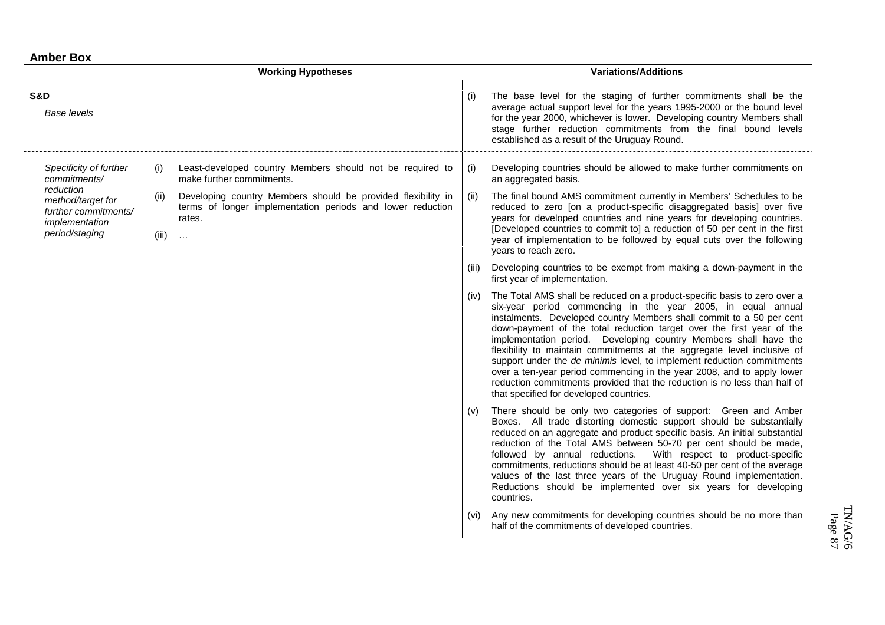|                                                                                                                                      | <b>Working Hypotheses</b>                                                                                                                                       |       | <b>Variations/Additions</b>                                                                                                                                                                                                                                                                                                                                                                                                                                                                                                                                                                                                                                                                                           |
|--------------------------------------------------------------------------------------------------------------------------------------|-----------------------------------------------------------------------------------------------------------------------------------------------------------------|-------|-----------------------------------------------------------------------------------------------------------------------------------------------------------------------------------------------------------------------------------------------------------------------------------------------------------------------------------------------------------------------------------------------------------------------------------------------------------------------------------------------------------------------------------------------------------------------------------------------------------------------------------------------------------------------------------------------------------------------|
| <b>S&amp;D</b><br>Base levels                                                                                                        |                                                                                                                                                                 | (i)   | The base level for the staging of further commitments shall be the<br>average actual support level for the years 1995-2000 or the bound level<br>for the year 2000, whichever is lower. Developing country Members shall<br>stage further reduction commitments from the final bound levels<br>established as a result of the Uruguay Round.                                                                                                                                                                                                                                                                                                                                                                          |
| Specificity of further<br>commitments/<br>reduction<br>method/target for<br>further commitments/<br>implementation<br>period/staging | Least-developed country Members should not be required to<br>(i)<br>make further commitments.                                                                   | (i)   | Developing countries should be allowed to make further commitments on<br>an aggregated basis.                                                                                                                                                                                                                                                                                                                                                                                                                                                                                                                                                                                                                         |
|                                                                                                                                      | Developing country Members should be provided flexibility in<br>(ii)<br>terms of longer implementation periods and lower reduction<br>rates.<br>(iii)<br>$\sim$ | (ii)  | The final bound AMS commitment currently in Members' Schedules to be<br>reduced to zero [on a product-specific disaggregated basis] over five<br>years for developed countries and nine years for developing countries.<br>[Developed countries to commit to] a reduction of 50 per cent in the first<br>year of implementation to be followed by equal cuts over the following<br>years to reach zero.                                                                                                                                                                                                                                                                                                               |
|                                                                                                                                      |                                                                                                                                                                 | (iii) | Developing countries to be exempt from making a down-payment in the<br>first year of implementation.                                                                                                                                                                                                                                                                                                                                                                                                                                                                                                                                                                                                                  |
|                                                                                                                                      |                                                                                                                                                                 | (iv)  | The Total AMS shall be reduced on a product-specific basis to zero over a<br>six-year period commencing in the year 2005, in equal annual<br>instalments. Developed country Members shall commit to a 50 per cent<br>down-payment of the total reduction target over the first year of the<br>implementation period. Developing country Members shall have the<br>flexibility to maintain commitments at the aggregate level inclusive of<br>support under the de minimis level, to implement reduction commitments<br>over a ten-year period commencing in the year 2008, and to apply lower<br>reduction commitments provided that the reduction is no less than half of<br>that specified for developed countries. |
|                                                                                                                                      |                                                                                                                                                                 | (v)   | There should be only two categories of support: Green and Amber<br>Boxes. All trade distorting domestic support should be substantially<br>reduced on an aggregate and product specific basis. An initial substantial<br>reduction of the Total AMS between 50-70 per cent should be made,<br>followed by annual reductions. With respect to product-specific<br>commitments, reductions should be at least 40-50 per cent of the average<br>values of the last three years of the Uruguay Round implementation.<br>Reductions should be implemented over six years for developing<br>countries.                                                                                                                      |
|                                                                                                                                      |                                                                                                                                                                 | (vi)  | Any new commitments for developing countries should be no more than<br>half of the commitments of developed countries.                                                                                                                                                                                                                                                                                                                                                                                                                                                                                                                                                                                                |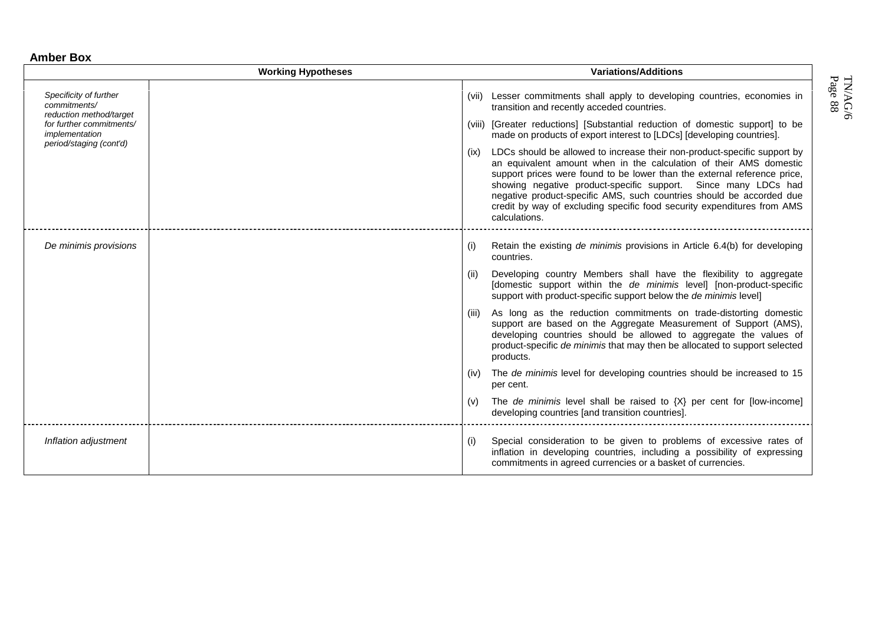|                                                                                                                                            | <b>Working Hypotheses</b> |       | <b>Variations/Additions</b>                                                                                                                                                                                                                                                                                                                                                                                                                                      |
|--------------------------------------------------------------------------------------------------------------------------------------------|---------------------------|-------|------------------------------------------------------------------------------------------------------------------------------------------------------------------------------------------------------------------------------------------------------------------------------------------------------------------------------------------------------------------------------------------------------------------------------------------------------------------|
| Specificity of further<br>commitments/<br>reduction method/target<br>for further commitments/<br>implementation<br>period/staging (cont'd) |                           | (vii) | Lesser commitments shall apply to developing countries, economies in<br>transition and recently acceded countries.                                                                                                                                                                                                                                                                                                                                               |
|                                                                                                                                            |                           |       | (viii) [Greater reductions] [Substantial reduction of domestic support] to be<br>made on products of export interest to [LDCs] [developing countries].                                                                                                                                                                                                                                                                                                           |
|                                                                                                                                            |                           | (ix)  | LDCs should be allowed to increase their non-product-specific support by<br>an equivalent amount when in the calculation of their AMS domestic<br>support prices were found to be lower than the external reference price,<br>showing negative product-specific support. Since many LDCs had<br>negative product-specific AMS, such countries should be accorded due<br>credit by way of excluding specific food security expenditures from AMS<br>calculations. |
| De minimis provisions                                                                                                                      | (i)                       |       | Retain the existing de minimis provisions in Article 6.4(b) for developing<br>countries.                                                                                                                                                                                                                                                                                                                                                                         |
|                                                                                                                                            |                           | (ii)  | Developing country Members shall have the flexibility to aggregate<br>[domestic support within the de minimis level] [non-product-specific<br>support with product-specific support below the <i>de minimis</i> level]                                                                                                                                                                                                                                           |
|                                                                                                                                            |                           | (iii) | As long as the reduction commitments on trade-distorting domestic<br>support are based on the Aggregate Measurement of Support (AMS),<br>developing countries should be allowed to aggregate the values of<br>product-specific de minimis that may then be allocated to support selected<br>products.                                                                                                                                                            |
|                                                                                                                                            |                           | (iv)  | The de minimis level for developing countries should be increased to 15<br>per cent.                                                                                                                                                                                                                                                                                                                                                                             |
|                                                                                                                                            |                           | (v)   | The de minimis level shall be raised to ${X}$ per cent for [low-income]<br>developing countries [and transition countries].                                                                                                                                                                                                                                                                                                                                      |
| Inflation adjustment                                                                                                                       |                           | (i)   | Special consideration to be given to problems of excessive rates of<br>inflation in developing countries, including a possibility of expressing<br>commitments in agreed currencies or a basket of currencies.                                                                                                                                                                                                                                                   |